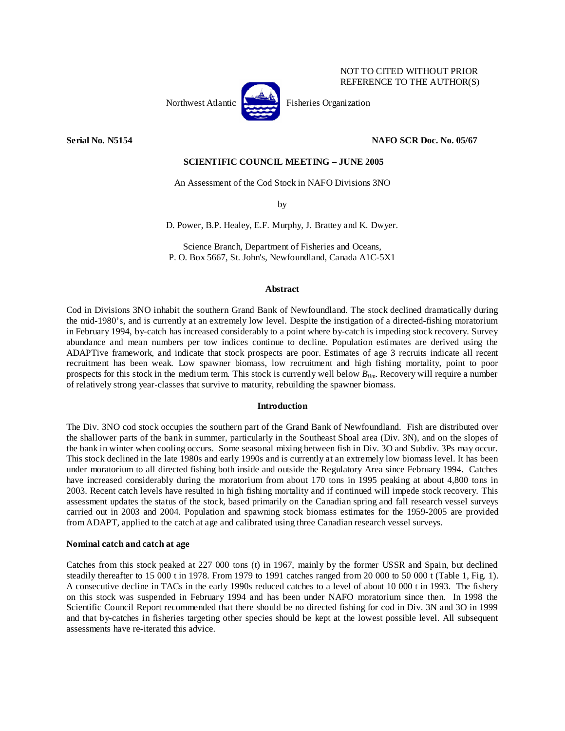

NOT TO CITED WITHOUT PRIOR REFERENCE TO THE AUTHOR(S)

**Serial No. N5154 NAFO SCR Doc. No. 05/67** 

# **SCIENTIFIC COUNCIL MEETING – JUNE 2005**

An Assessment of the Cod Stock in NAFO Divisions 3NO

by

D. Power, B.P. Healey, E.F. Murphy, J. Brattey and K. Dwyer.

Science Branch, Department of Fisheries and Oceans, P. O. Box 5667, St. John's, Newfoundland, Canada A1C-5X1

### **Abstract**

Cod in Divisions 3NO inhabit the southern Grand Bank of Newfoundland. The stock declined dramatically during the mid-1980's, and is currently at an extremely low level. Despite the instigation of a directed-fishing moratorium in February 1994, by-catch has increased considerably to a point where by-catch is impeding stock recovery. Survey abundance and mean numbers per tow indices continue to decline. Population estimates are derived using the ADAPTive framework, and indicate that stock prospects are poor. Estimates of age 3 recruits indicate all recent recruitment has been weak. Low spawner biomass, low recruitment and high fishing mortality, point to poor prospects for this stock in the medium term. This stock is currently well below *Blim*. Recovery will require a number of relatively strong year-classes that survive to maturity, rebuilding the spawner biomass.

## **Introduction**

The Div. 3NO cod stock occupies the southern part of the Grand Bank of Newfoundland. Fish are distributed over the shallower parts of the bank in summer, particularly in the Southeast Shoal area (Div. 3N), and on the slopes of the bank in winter when cooling occurs. Some seasonal mixing between fish in Div. 3O and Subdiv. 3Ps may occur. This stock declined in the late 1980s and early 1990s and is currently at an extremely low biomass level. It has been under moratorium to all directed fishing both inside and outside the Regulatory Area since February 1994. Catches have increased considerably during the moratorium from about 170 tons in 1995 peaking at about 4,800 tons in 2003. Recent catch levels have resulted in high fishing mortality and if continued will impede stock recovery. This assessment updates the status of the stock, based primarily on the Canadian spring and fall research vessel surveys carried out in 2003 and 2004. Population and spawning stock biomass estimates for the 1959-2005 are provided from ADAPT, applied to the catch at age and calibrated using three Canadian research vessel surveys.

## **Nominal catch and catch at age**

Catches from this stock peaked at 227 000 tons (t) in 1967, mainly by the former USSR and Spain, but declined steadily thereafter to 15 000 t in 1978. From 1979 to 1991 catches ranged from 20 000 to 50 000 t (Table 1, Fig. 1). A consecutive decline in TACs in the early 1990s reduced catches to a level of about 10 000 t in 1993. The fishery on this stock was suspended in February 1994 and has been under NAFO moratorium since then. In 1998 the Scientific Council Report recommended that there should be no directed fishing for cod in Div. 3N and 3O in 1999 and that by-catches in fisheries targeting other species should be kept at the lowest possible level. All subsequent assessments have re-iterated this advice.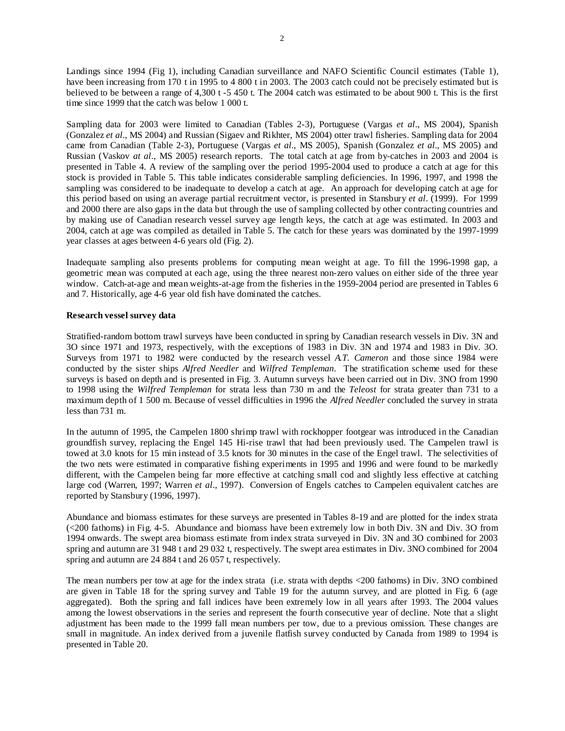Landings since 1994 (Fig 1), including Canadian surveillance and NAFO Scientific Council estimates (Table 1), have been increasing from 170 t in 1995 to 4 800 t in 2003. The 2003 catch could not be precisely estimated but is believed to be between a range of 4,300 t -5 450 t. The 2004 catch was estimated to be about 900 t. This is the first time since 1999 that the catch was below 1 000 t.

Sampling data for 2003 were limited to Canadian (Tables 2-3), Portuguese (Vargas *et al*., MS 2004), Spanish (Gonzalez *et al*., MS 2004) and Russian (Sigaev and Rikhter, MS 2004) otter trawl fisheries. Sampling data for 2004 came from Canadian (Table 2-3), Portuguese (Vargas *et al*., MS 2005), Spanish (Gonzalez *et al*., MS 2005) and Russian (Vaskov *at al*., MS 2005) research reports. The total catch at age from by-catches in 2003 and 2004 is presented in Table 4. A review of the sampling over the period 1995-2004 used to produce a catch at age for this stock is provided in Table 5. This table indicates considerable sampling deficiencies. In 1996, 1997, and 1998 the sampling was considered to be inadequate to develop a catch at age. An approach for developing catch at age for this period based on using an average partial recruitment vector, is presented in Stansbury *et al*. (1999). For 1999 and 2000 there are also gaps in the data but through the use of sampling collected by other contracting countries and by making use of Canadian research vessel survey age length keys, the catch at age was estimated. In 2003 and 2004, catch at age was compiled as detailed in Table 5. The catch for these years was dominated by the 1997-1999 year classes at ages between 4-6 years old (Fig. 2).

Inadequate sampling also presents problems for computing mean weight at age. To fill the 1996-1998 gap, a geometric mean was computed at each age, using the three nearest non-zero values on either side of the three year window. Catch-at-age and mean weights-at-age from the fisheries in the 1959-2004 period are presented in Tables 6 and 7. Historically, age 4-6 year old fish have dominated the catches.

# **Research vessel survey data**

Stratified-random bottom trawl surveys have been conducted in spring by Canadian research vessels in Div. 3N and 3O since 1971 and 1973, respectively, with the exceptions of 1983 in Div. 3N and 1974 and 1983 in Div. 3O. Surveys from 1971 to 1982 were conducted by the research vessel *A.T. Cameron* and those since 1984 were conducted by the sister ships *Alfred Needler* and *Wilfred Templeman*. The stratification scheme used for these surveys is based on depth and is presented in Fig. 3. Autumn surveys have been carried out in Div. 3NO from 1990 to 1998 using the *Wilfred Templeman* for strata less than 730 m and the *Teleost* for strata greater than 731 to a maximum depth of 1 500 m. Because of vessel difficulties in 1996 the *Alfred Needler* concluded the survey in strata less than 731 m.

In the autumn of 1995, the Campelen 1800 shrimp trawl with rockhopper footgear was introduced in the Canadian groundfish survey, replacing the Engel 145 Hi-rise trawl that had been previously used. The Campelen trawl is towed at 3.0 knots for 15 min instead of 3.5 knots for 30 minutes in the case of the Engel trawl. The selectivities of the two nets were estimated in comparative fishing experiments in 1995 and 1996 and were found to be markedly different, with the Campelen being far more effective at catching small cod and slightly less effective at catching large cod (Warren, 1997; Warren *et al*., 1997). Conversion of Engels catches to Campelen equivalent catches are reported by Stansbury (1996, 1997).

Abundance and biomass estimates for these surveys are presented in Tables 8-19 and are plotted for the index strata (<200 fathoms) in Fig. 4-5. Abundance and biomass have been extremely low in both Div. 3N and Div. 3O from 1994 onwards. The swept area biomass estimate from index strata surveyed in Div. 3N and 3O combined for 2003 spring and autumn are 31 948 t and 29 032 t, respectively. The swept area estimates in Div. 3NO combined for 2004 spring and autumn are 24 884 t and 26 057 t, respectively.

The mean numbers per tow at age for the index strata (i.e. strata with depths <200 fathoms) in Div. 3NO combined are given in Table 18 for the spring survey and Table 19 for the autumn survey, and are plotted in Fig. 6 (age aggregated). Both the spring and fall indices have been extremely low in all years after 1993. The 2004 values among the lowest observations in the series and represent the fourth consecutive year of decline. Note that a slight adjustment has been made to the 1999 fall mean numbers per tow, due to a previous omission. These changes are small in magnitude. An index derived from a juvenile flatfish survey conducted by Canada from 1989 to 1994 is presented in Table 20.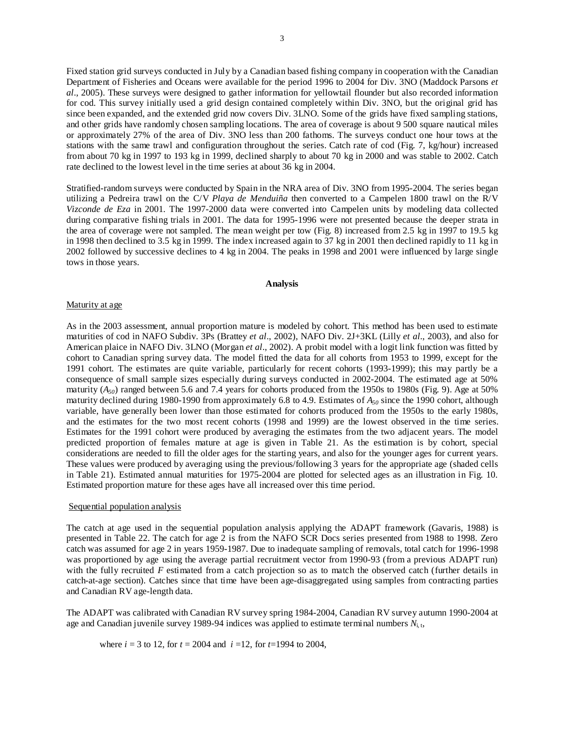Fixed station grid surveys conducted in July by a Canadian based fishing company in cooperation with the Canadian Department of Fisheries and Oceans were available for the period 1996 to 2004 for Div. 3NO (Maddock Parsons *et al*., 2005). These surveys were designed to gather information for yellowtail flounder but also recorded information for cod. This survey initially used a grid design contained completely within Div. 3NO, but the original grid has since been expanded, and the extended grid now covers Div. 3LNO. Some of the grids have fixed sampling stations, and other grids have randomly chosen sampling locations. The area of coverage is about 9 500 square nautical miles or approximately 27% of the area of Div. 3NO less than 200 fathoms. The surveys conduct one hour tows at the stations with the same trawl and configuration throughout the series. Catch rate of cod (Fig. 7, kg/hour) increased from about 70 kg in 1997 to 193 kg in 1999, declined sharply to about 70 kg in 2000 and was stable to 2002. Catch rate declined to the lowest level in the time series at about 36 kg in 2004.

Stratified-random surveys were conducted by Spain in the NRA area of Div. 3NO from 1995-2004. The series began utilizing a Pedreira trawl on the C/V *Playa de Menduiña* then converted to a Campelen 1800 trawl on the R/V *Vizconde de Eza* in 2001. The 1997-2000 data were converted into Campelen units by modeling data collected during comparative fishing trials in 2001. The data for 1995-1996 were not presented because the deeper strata in the area of coverage were not sampled. The mean weight per tow (Fig. 8) increased from 2.5 kg in 1997 to 19.5 kg in 1998 then declined to 3.5 kg in 1999. The index increased again to 37 kg in 2001 then declined rapidly to 11 kg in 2002 followed by successive declines to 4 kg in 2004. The peaks in 1998 and 2001 were influenced by large single tows in those years.

# **Analysis**

### Maturity at age

As in the 2003 assessment, annual proportion mature is modeled by cohort. This method has been used to estimate maturities of cod in NAFO Subdiv. 3Ps (Brattey *et al*., 2002), NAFO Div. 2J+3KL (Lilly *et al*., 2003), and also for American plaice in NAFO Div. 3LNO (Morgan *et al*., 2002). A probit model with a logit link function was fitted by cohort to Canadian spring survey data. The model fitted the data for all cohorts from 1953 to 1999, except for the 1991 cohort. The estimates are quite variable, particularly for recent cohorts (1993-1999); this may partly be a consequence of small sample sizes especially during surveys conducted in 2002-2004. The estimated age at 50% maturity  $(A_{50})$  ranged between 5.6 and 7.4 years for cohorts produced from the 1950s to 1980s (Fig. 9). Age at 50% maturity declined during 1980-1990 from approximately 6.8 to 4.9. Estimates of *A50* since the 1990 cohort, although variable, have generally been lower than those estimated for cohorts produced from the 1950s to the early 1980s, and the estimates for the two most recent cohorts (1998 and 1999) are the lowest observed in the time series. Estimates for the 1991 cohort were produced by averaging the estimates from the two adjacent years. The model predicted proportion of females mature at age is given in Table 21. As the estimation is by cohort, special considerations are needed to fill the older ages for the starting years, and also for the younger ages for current years. These values were produced by averaging using the previous/following 3 years for the appropriate age (shaded cells in Table 21). Estimated annual maturities for 1975-2004 are plotted for selected ages as an illustration in Fig. 10. Estimated proportion mature for these ages have all increased over this time period.

#### Sequential population analysis

The catch at age used in the sequential population analysis applying the ADAPT framework (Gavaris, 1988) is presented in Table 22. The catch for age 2 is from the NAFO SCR Docs series presented from 1988 to 1998. Zero catch was assumed for age 2 in years 1959-1987. Due to inadequate sampling of removals, total catch for 1996-1998 was proportioned by age using the average partial recruitment vector from 1990-93 (from a previous ADAPT run) with the fully recruited *F* estimated from a catch projection so as to match the observed catch (further details in catch-at-age section). Catches since that time have been age-disaggregated using samples from contracting parties and Canadian RV age-length data.

The ADAPT was calibrated with Canadian RV survey spring 1984-2004, Canadian RV survey autumn 1990-2004 at age and Canadian juvenile survey 1989-94 indices was applied to estimate terminal numbers *N*i, t,

where  $i = 3$  to 12, for  $t = 2004$  and  $i = 12$ , for  $t = 1994$  to 2004,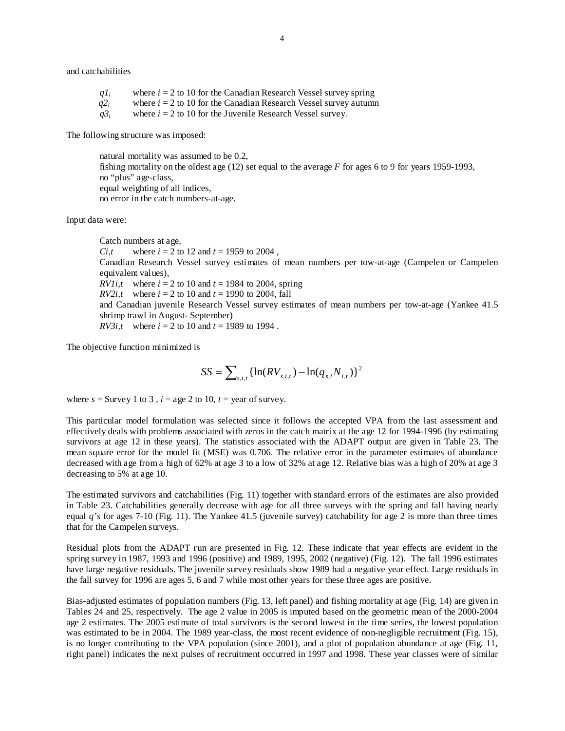and catchabilities

 $q_l$ <sup>i</sup> where  $i = 2$  to 10 for the Canadian Research Vessel survey spring  $q2_i$  where  $i = 2$  to 10 for the Canadian Research Vessel survey autumn  $q3_i$  where  $i = 2$  to 10 for the Juvenile Research Vessel survey.

The following structure was imposed:

 natural mortality was assumed to be 0.2, fishing mortality on the oldest age (12) set equal to the average *F* for ages 6 to 9 for years 1959-1993, no "plus" age-class, equal weighting of all indices, no error in the catch numbers-at-age.

Input data were:

Catch numbers at age, *Ci,t* where  $i = 2$  to 12 and  $t = 1959$  to 2004, Canadian Research Vessel survey estimates of mean numbers per tow-at-age (Campelen or Campelen equivalent values),  $RV1i, t$  where  $i = 2$  to 10 and  $t = 1984$  to 2004, spring *RV2i,t* where  $i = 2$  to 10 and  $t = 1990$  to 2004, fall and Canadian juvenile Research Vessel survey estimates of mean numbers per tow-at-age (Yankee 41.5 shrimp trawl in August- September) *RV3i,t* where  $i = 2$  to 10 and  $t = 1989$  to 1994.

The objective function minimized is

$$
SS = \sum_{s,i,t} \{ \ln(RV_{s,i,t}) - \ln(q_{s,i}N_{i,t}) \}^2
$$

where  $s =$  Survey 1 to 3,  $i =$  age 2 to 10,  $t =$  year of survey.

This particular model formulation was selected since it follows the accepted VPA from the last assessment and effectively deals with problems associated with zeros in the catch matrix at the age 12 for 1994-1996 (by estimating survivors at age 12 in these years). The statistics associated with the ADAPT output are given in Table 23. The mean square error for the model fit (MSE) was 0.706. The relative error in the parameter estimates of abundance decreased with age from a high of 62% at age 3 to a low of 32% at age 12. Relative bias was a high of 20% at age 3 decreasing to 5% at age 10.

The estimated survivors and catchabilities (Fig. 11) together with standard errors of the estimates are also provided in Table 23. Catchabilities generally decrease with age for all three surveys with the spring and fall having nearly equal *q's* for ages 7-10 (Fig. 11). The Yankee 41.5 (juvenile survey) catchability for age 2 is more than three times that for the Campelen surveys.

Residual plots from the ADAPT run are presented in Fig. 12. These indicate that year effects are evident in the spring survey in 1987, 1993 and 1996 (positive) and 1989, 1995, 2002 (negative) (Fig. 12). The fall 1996 estimates have large negative residuals. The juvenile survey residuals show 1989 had a negative year effect. Large residuals in the fall survey for 1996 are ages 5, 6 and 7 while most other years for these three ages are positive.

Bias-adjusted estimates of population numbers (Fig. 13, left panel) and fishing mortality at age (Fig. 14) are given in Tables 24 and 25, respectively. The age 2 value in 2005 is imputed based on the geometric mean of the 2000-2004 age 2 estimates. The 2005 estimate of total survivors is the second lowest in the time series, the lowest population was estimated to be in 2004. The 1989 year-class, the most recent evidence of non-negligible recruitment (Fig. 15), is no longer contributing to the VPA population (since 2001), and a plot of population abundance at age (Fig. 11, right panel) indicates the next pulses of recruitment occurred in 1997 and 1998. These year classes were of similar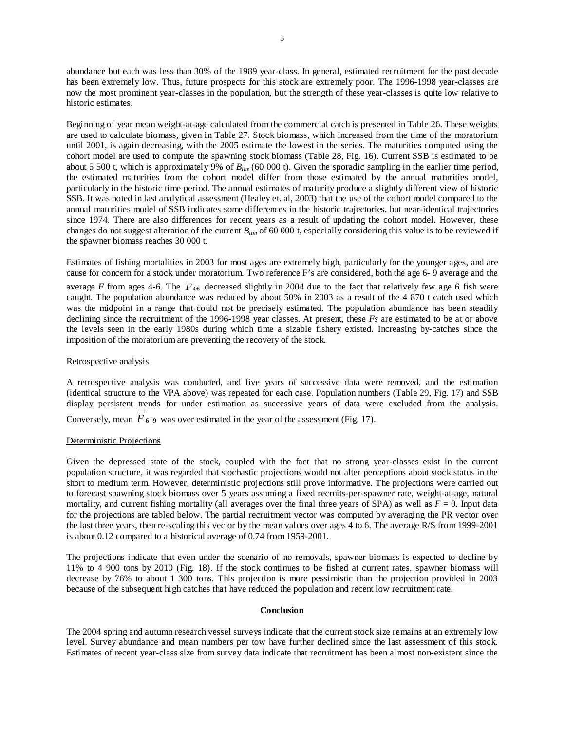abundance but each was less than 30% of the 1989 year-class. In general, estimated recruitment for the past decade has been extremely low. Thus, future prospects for this stock are extremely poor. The 1996-1998 year-classes are now the most prominent year-classes in the population, but the strength of these year-classes is quite low relative to historic estimates.

Beginning of year mean weight-at-age calculated from the commercial catch is presented in Table 26. These weights are used to calculate biomass, given in Table 27. Stock biomass, which increased from the time of the moratorium until 2001, is again decreasing, with the 2005 estimate the lowest in the series. The maturities computed using the cohort model are used to compute the spawning stock biomass (Table 28, Fig. 16). Current SSB is estimated to be about 5 500 t, which is approximately 9% of *Blim* (60 000 t). Given the sporadic sampling in the earlier time period, the estimated maturities from the cohort model differ from those estimated by the annual maturities model, particularly in the historic time period. The annual estimates of maturity produce a slightly different view of historic SSB. It was noted in last analytical assessment (Healey et. al, 2003) that the use of the cohort model compared to the annual maturities model of SSB indicates some differences in the historic trajectories, but near-identical trajectories since 1974. There are also differences for recent years as a result of updating the cohort model. However, these changes do not suggest alteration of the current *Blim* of 60 000 t, especially considering this value is to be reviewed if the spawner biomass reaches 30 000 t.

Estimates of fishing mortalities in 2003 for most ages are extremely high, particularly for the younger ages, and are cause for concern for a stock under moratorium. Two reference F's are considered, both the age 6- 9 average and the

average *F* from ages 4-6. The  $\overline{F}_{4,6}$  decreased slightly in 2004 due to the fact that relatively few age 6 fish were caught. The population abundance was reduced by about 50% in 2003 as a result of the 4 870 t catch used which was the midpoint in a range that could not be precisely estimated. The population abundance has been steadily declining since the recruitment of the 1996-1998 year classes. At present, these *Fs* are estimated to be at or above the levels seen in the early 1980s during which time a sizable fishery existed. Increasing by-catches since the imposition of the moratorium are preventing the recovery of the stock.

### Retrospective analysis

A retrospective analysis was conducted, and five years of successive data were removed, and the estimation (identical structure to the VPA above) was repeated for each case. Population numbers (Table 29, Fig. 17) and SSB display persistent trends for under estimation as successive years of data were excluded from the analysis.

Conversely, mean  $\overline{F}_{6-9}$  was over estimated in the year of the assessment (Fig. 17).

## Deterministic Projections

Given the depressed state of the stock, coupled with the fact that no strong year-classes exist in the current population structure, it was regarded that stochastic projections would not alter perceptions about stock status in the short to medium term. However, deterministic projections still prove informative. The projections were carried out to forecast spawning stock biomass over 5 years assuming a fixed recruits-per-spawner rate, weight-at-age, natural mortality, and current fishing mortality (all averages over the final three years of SPA) as well as  $F = 0$ . Input data for the projections are tabled below. The partial recruitment vector was computed by averaging the PR vector over the last three years, then re-scaling this vector by the mean values over ages 4 to 6. The average R/S from 1999-2001 is about 0.12 compared to a historical average of 0.74 from 1959-2001.

The projections indicate that even under the scenario of no removals, spawner biomass is expected to decline by 11% to 4 900 tons by 2010 (Fig. 18). If the stock continues to be fished at current rates, spawner biomass will decrease by 76% to about 1 300 tons. This projection is more pessimistic than the projection provided in 2003 because of the subsequent high catches that have reduced the population and recent low recruitment rate.

### **Conclusion**

The 2004 spring and autumn research vessel surveys indicate that the current stock size remains at an extremely low level. Survey abundance and mean numbers per tow have further declined since the last assessment of this stock. Estimates of recent year-class size from survey data indicate that recruitment has been almost non-existent since the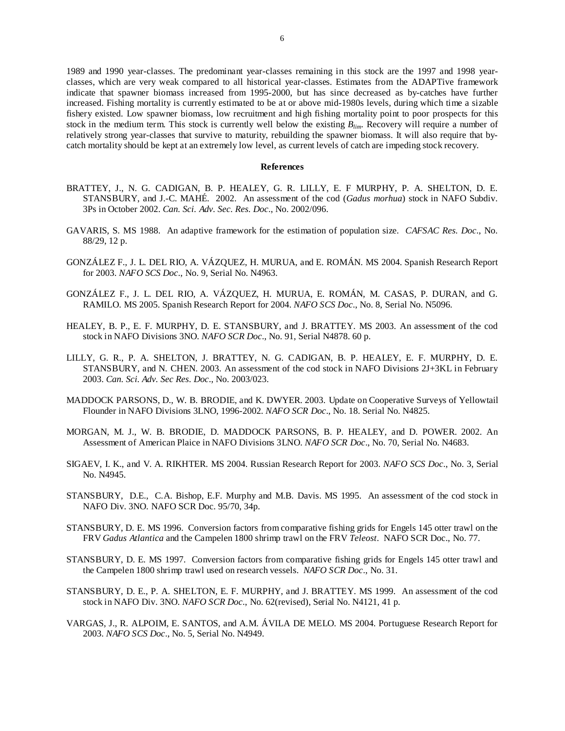1989 and 1990 year-classes. The predominant year-classes remaining in this stock are the 1997 and 1998 yearclasses, which are very weak compared to all historical year-classes. Estimates from the ADAPTive framework indicate that spawner biomass increased from 1995-2000, but has since decreased as by-catches have further increased. Fishing mortality is currently estimated to be at or above mid-1980s levels, during which time a sizable fishery existed. Low spawner biomass, low recruitment and high fishing mortality point to poor prospects for this stock in the medium term. This stock is currently well below the existing  $B_{lim}$ . Recovery will require a number of relatively strong year-classes that survive to maturity, rebuilding the spawner biomass. It will also require that bycatch mortality should be kept at an extremely low level, as current levels of catch are impeding stock recovery.

### **References**

- BRATTEY, J., N. G. CADIGAN, B. P. HEALEY, G. R. LILLY, E. F MURPHY, P. A. SHELTON, D. E. STANSBURY, and J.-C. MAHÉ. 2002. An assessment of the cod (*Gadus morhua*) stock in NAFO Subdiv. 3Ps in October 2002. *Can. Sci. Adv. Sec. Res. Doc*., No. 2002/096.
- GAVARIS, S. MS 1988. An adaptive framework for the estimation of population size. *CAFSAC Res. Doc*., No. 88/29, 12 p.
- GONZÁLEZ F., J. L. DEL RIO, A. VÁZQUEZ, H. MURUA, and E. ROMÁN. MS 2004. Spanish Research Report for 2003. *NAFO SCS Doc*., No. 9, Serial No. N4963.
- GONZÁLEZ F., J. L. DEL RIO, A. VÁZQUEZ, H. MURUA, E. ROMÁN, M. CASAS, P. DURAN, and G. RAMILO. MS 2005. Spanish Research Report for 2004. *NAFO SCS Doc*., No. 8, Serial No. N5096.
- HEALEY, B. P., E. F. MURPHY, D. E. STANSBURY, and J. BRATTEY. MS 2003. An assessment of the cod stock in NAFO Divisions 3NO. *NAFO SCR Doc*., No. 91, Serial N4878. 60 p.
- LILLY, G. R., P. A. SHELTON, J. BRATTEY, N. G. CADIGAN, B. P. HEALEY, E. F. MURPHY, D. E. STANSBURY, and N. CHEN. 2003. An assessment of the cod stock in NAFO Divisions 2J+3KL in February 2003. *Can. Sci. Adv. Sec Res. Doc*., No. 2003/023.
- MADDOCK PARSONS, D., W. B. BRODIE, and K. DWYER. 2003. Update on Cooperative Surveys of Yellowtail Flounder in NAFO Divisions 3LNO, 1996-2002. *NAFO SCR Doc*., No. 18. Serial No. N4825.
- MORGAN, M. J., W. B. BRODIE, D. MADDOCK PARSONS, B. P. HEALEY, and D. POWER. 2002. An Assessment of American Plaice in NAFO Divisions 3LNO. *NAFO SCR Doc*., No. 70, Serial No. N4683.
- SIGAEV, I. K., and V. A. RIKHTER. MS 2004. Russian Research Report for 2003. *NAFO SCS Doc*., No. 3, Serial No. N4945.
- STANSBURY, D.E., C.A. Bishop, E.F. Murphy and M.B. Davis. MS 1995. An assessment of the cod stock in NAFO Div. 3NO. NAFO SCR Doc. 95/70, 34p.
- STANSBURY, D. E. MS 1996. Conversion factors from comparative fishing grids for Engels 145 otter trawl on the FRV *Gadus Atlantica* and the Campelen 1800 shrimp trawl on the FRV *Teleost*. NAFO SCR Doc., No. 77.
- STANSBURY, D. E. MS 1997. Conversion factors from comparative fishing grids for Engels 145 otter trawl and the Campelen 1800 shrimp trawl used on research vessels. *NAFO SCR Doc*., No. 31.
- STANSBURY, D. E., P. A. SHELTON, E. F. MURPHY, and J. BRATTEY. MS 1999. An assessment of the cod stock in NAFO Div. 3NO. *NAFO SCR Doc*., No. 62(revised), Serial No. N4121, 41 p.
- VARGAS, J., R. ALPOIM, E. SANTOS, and A.M. ÁVILA DE MELO. MS 2004. Portuguese Research Report for 2003. *NAFO SCS Doc*., No. 5, Serial No. N4949.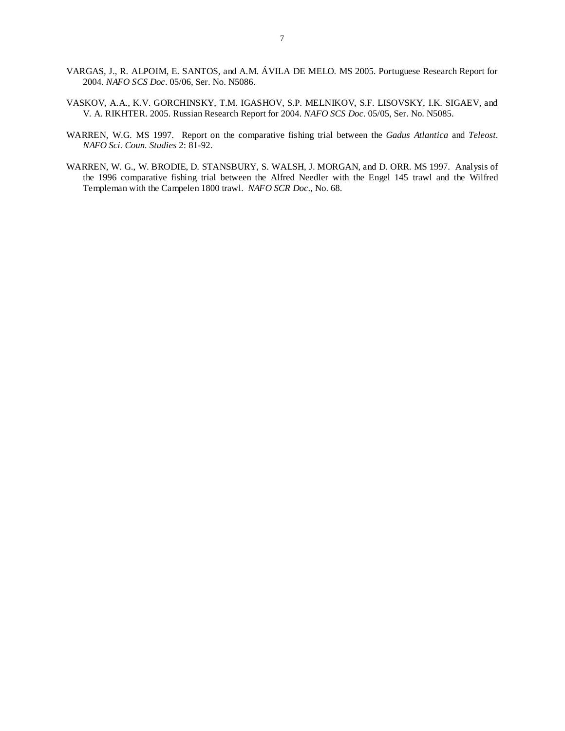- VARGAS, J., R. ALPOIM, E. SANTOS, and A.M. ÁVILA DE MELO. MS 2005. Portuguese Research Report for 2004. *NAFO SCS Doc*. 05/06, Ser. No. N5086.
- VASKOV, A.A., K.V. GORCHINSKY, T.M. IGASHOV, S.P. MELNIKOV, S.F. LISOVSKY, I.K. SIGAEV, and V. A. RIKHTER. 2005. Russian Research Report for 2004. *NAFO SCS Doc*. 05/05, Ser. No. N5085.
- WARREN, W.G. MS 1997. Report on the comparative fishing trial between the *Gadus Atlantica* and *Teleost*. *NAFO Sci. Coun. Studies* 2: 81-92.
- WARREN, W. G., W. BRODIE, D. STANSBURY, S. WALSH, J. MORGAN, and D. ORR. MS 1997. Analysis of the 1996 comparative fishing trial between the Alfred Needler with the Engel 145 trawl and the Wilfred Templeman with the Campelen 1800 trawl. *NAFO SCR Doc*., No. 68.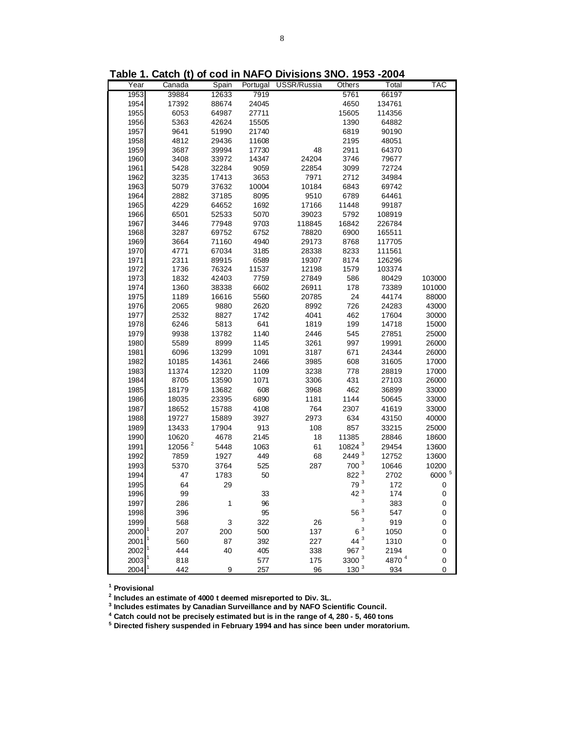| Year         | Canada             | Spain          |              | Portugal USSR/Russia | Others                    | Total          | <b>TAC</b>     |
|--------------|--------------------|----------------|--------------|----------------------|---------------------------|----------------|----------------|
| 1953         | 39884              | 12633          | 7919         |                      | 5761                      | 66197          |                |
| 1954         | 17392              | 88674          | 24045        |                      | 4650                      | 134761         |                |
| 1955         | 6053               | 64987          | 27711        |                      | 15605                     | 114356         |                |
| 1956         | 5363               | 42624          | 15505        |                      | 1390                      | 64882          |                |
| 1957         | 9641               | 51990          | 21740        |                      | 6819                      | 90190          |                |
| 1958         | 4812               | 29436          | 11608        |                      | 2195                      | 48051          |                |
| 1959         | 3687               | 39994          | 17730        | 48                   | 2911                      | 64370          |                |
| 1960         | 3408               | 33972          | 14347        | 24204                | 3746                      | 79677          |                |
| 1961         | 5428               | 32284          | 9059         | 22854                | 3099                      | 72724          |                |
| 1962         | 3235               | 17413          | 3653         | 7971                 | 2712                      | 34984          |                |
| 1963         | 5079               | 37632          | 10004        | 10184                | 6843                      | 69742          |                |
| 1964         | 2882               | 37185          | 8095         | 9510                 | 6789                      | 64461          |                |
| 1965         | 4229               | 64652          | 1692         | 17166                | 11448                     | 99187          |                |
| 1966         | 6501               | 52533          | 5070         | 39023                | 5792                      | 108919         |                |
| 1967         | 3446               | 77948          | 9703         | 118845               | 16842                     | 226784         |                |
| 1968         | 3287               | 69752          | 6752         | 78820                | 6900                      | 165511         |                |
| 1969         | 3664               | 71160          | 4940         | 29173                | 8768                      | 117705         |                |
| 1970         | 4771               | 67034          | 3185         | 28338                | 8233                      | 111561         |                |
| 1971         | 2311               | 89915          | 6589         | 19307                | 8174                      | 126296         |                |
| 1972         | 1736               | 76324          | 11537        | 12198                | 1579                      | 103374         |                |
| 1973         | 1832               | 42403          | 7759         | 27849                | 586                       | 80429          | 103000         |
| 1974         | 1360               | 38338          | 6602         | 26911                | 178                       | 73389          | 101000         |
| 1975         | 1189               | 16616          | 5560         | 20785                | 24                        | 44174          | 88000          |
| 1976         | 2065               | 9880           | 2620         | 8992                 | 726                       | 24283          | 43000          |
| 1977         | 2532               | 8827           | 1742         | 4041                 | 462                       | 17604          | 30000          |
| 1978         | 6246               | 5813           | 641          | 1819                 | 199                       | 14718          | 15000          |
| 1979         | 9938               | 13782          | 1140         | 2446                 | 545                       | 27851          | 25000          |
| 1980         | 5589               | 8999           | 1145         | 3261                 | 997                       | 19991          | 26000          |
| 1981         | 6096               | 13299          | 1091         | 3187                 | 671                       | 24344          | 26000          |
| 1982         | 10185              | 14361          | 2466         | 3985                 | 608                       | 31605          | 17000          |
| 1983         | 11374              | 12320          | 1109         | 3238                 | 778                       | 28819          | 17000          |
| 1984         | 8705               | 13590          | 1071         | 3306                 | 431                       | 27103          | 26000          |
| 1985<br>1986 | 18179              | 13682<br>23395 | 608<br>6890  | 3968<br>1181         | 462<br>1144               | 36899          | 33000<br>33000 |
|              | 18035              |                |              |                      |                           | 50645          |                |
| 1987<br>1988 | 18652<br>19727     | 15788<br>15889 | 4108<br>3927 | 764<br>2973          | 2307<br>634               | 41619<br>43150 | 33000<br>40000 |
| 1989         | 13433              | 17904          | 913          | 108                  | 857                       | 33215          | 25000          |
| 1990         | 10620              | 4678           | 2145         |                      | 11385                     | 28846          |                |
| 1991         | 12056 <sup>2</sup> | 5448           | 1063         | 18<br>61             | 10824 <sup>3</sup>        | 29454          | 18600<br>13600 |
| 1992         | 7859               | 1927           | 449          | 68                   | 2449 3                    | 12752          | 13600          |
| 1993         | 5370               | 3764           | 525          | 287                  | 700 <sup>3</sup>          | 10646          | 10200          |
| 1994         | 47                 | 1783           | 50           |                      | 822 3                     | 2702           | 6000 5         |
| 1995         | 64                 | 29             |              |                      | 79 <sup>3</sup>           | 172            | 0              |
| 1996         | 99                 |                | 33           |                      | 42 <sup>3</sup>           | 174            | 0              |
| 1997         | 286                | 1              | 96           |                      | $\ensuremath{\mathsf{3}}$ | 383            | $\pmb{0}$      |
| 1998         | 396                |                | 95           |                      | $56\,$ $^3$               | 547            | 0              |
| 1999         | 568                | 3              | 322          | 26                   | 3                         | 919            | 0              |
| 2000         | 207                | 200            | 500          | 137                  | 6 <sup>3</sup>            | 1050           | 0              |
| 2001         | 560                | 87             | 392          | 227                  | $44^{3}$                  | 1310           | 0              |
| 2002         | 444                | 40             | 405          | 338                  | 967 <sup>3</sup>          | 2194           | 0              |
| 2003         | 818                |                | 577          | 175                  | 3300 <sup>3</sup>         | 4870 4         | 0              |
| 2004         | 442                | 9              | 257          | 96                   | $130^{3}$                 | 934            | 0              |

**Table 1. Catch (t) of cod in NAFO Divisions 3NO. 1953 -2004**

**1 Provisional**

**2 Includes an estimate of 4000 t deemed misreported to Div. 3L.**

**3 Includes estimates by Canadian Surveillance and by NAFO Scientific Council.**

**4 Catch could not be precisely estimated but is in the range of 4, 280 - 5, 460 tons 5 Directed fishery suspended in February 1994 and has since been under moratorium.**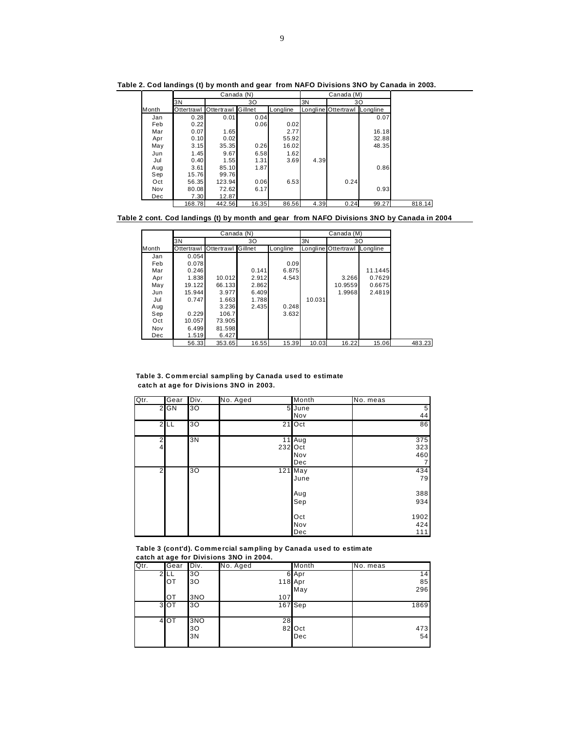|       |            |            | Canada (N) |          |      | Canada (M)          |          |
|-------|------------|------------|------------|----------|------|---------------------|----------|
|       | 3N         |            | 30         |          | 3N   |                     | 30       |
| Month | Ottertrawl | Ottertrawl | Gillnet    | Longline |      | Longline Ottertrawl | Longline |
| Jan   | 0.28       | 0.01       | 0.04       |          |      |                     | 0.07     |
| Feb   | 0.22       |            | 0.06       | 0.02     |      |                     |          |
| Mar   | 0.07       | 1.65       |            | 2.77     |      |                     | 16.18    |
| Apr   | 0.10       | 0.02       |            | 55.92    |      |                     | 32.88    |
| May   | 3.15       | 35.35      | 0.26       | 16.02    |      |                     | 48.35    |
| Jun   | 1.45       | 9.67       | 6.58       | 1.62     |      |                     |          |
| Jul   | 0.40       | 1.55       | 1.31       | 3.69     | 4.39 |                     |          |
| Aug   | 3.61       | 85.10      | 1.87       |          |      |                     | 0.86     |
| Sep   | 15.76      | 99.76      |            |          |      |                     |          |
| Oct   | 56.35      | 123.94     | 0.06       | 6.53     |      | 0.24                |          |
| Nov   | 80.08      | 72.62      | 6.17       |          |      |                     | 0.93     |
| Dec   | 7.30       | 12.87      |            |          |      |                     |          |
|       | 168.78     | 442.56     | 16.35      | 86.56    | 4.39 | 0.24                | 99.27    |

**Table 2. Cod landings (t) by month and gear from NAFO Divisions 3NO by Canada in 2003.**

**Table 2 cont. Cod landings (t) by month and gear from NAFO Divisions 3NO by Canada in 2004**

|       |        |                               | Canada (N) |          |        | Canada (M)                   |         |
|-------|--------|-------------------------------|------------|----------|--------|------------------------------|---------|
|       | 3N     |                               | 30         |          | 3N     |                              | 30      |
| Month |        | Ottertrawl Ottertrawl Gillnet |            | Longline |        | Longline Ottertrawl Longline |         |
| Jan   | 0.054  |                               |            |          |        |                              |         |
| Feb   | 0.078  |                               |            | 0.09     |        |                              |         |
| Mar   | 0.246  |                               | 0.141      | 6.875    |        |                              | 11.1445 |
| Apr   | 1.838  | 10.012                        | 2.912      | 4.543    |        | 3.266                        | 0.7629  |
| May   | 19.122 | 66.133                        | 2.862      |          |        | 10.9559                      | 0.6675  |
| Jun   | 15.944 | 3.977                         | 6.409      |          |        | 1.9968                       | 2.4819  |
| Jul   | 0.747  | 1.663                         | 1.788      |          | 10.031 |                              |         |
| Aug   |        | 3.236                         | 2.435      | 0.248    |        |                              |         |
| Sep   | 0.229  | 106.7                         |            | 3.632    |        |                              |         |
| Oct   | 10.057 | 73.905                        |            |          |        |                              |         |
| Nov   | 6.499  | 81.598                        |            |          |        |                              |         |
| Dec   | 1.519  | 6.427                         |            |          |        |                              |         |
|       | 56.33  | 353.65                        | 16.55      | 15.39    | 10.03  | 16.22                        | 15.06   |

**Table 3. Comm ercial sampling by Ca nada used to estimate catc h at age for Divis ions 3NO in 2003.**

| Qtr.           | Gear   | Div. | No. Aged | Month    | No. meas |
|----------------|--------|------|----------|----------|----------|
|                | $2$ GN | 30   |          | 5 June   | 5        |
|                |        |      |          | Nov      | 44       |
|                | 2LL    | 30   |          | $21$ Oct | 86       |
|                |        |      |          |          |          |
| $\mathfrak{p}$ |        | 3N   |          | $11$ Aug | 375      |
| 4              |        |      | 232 Oct  |          | 323      |
|                |        |      |          | Nov      | 460      |
|                |        |      |          | Dec      |          |
| $\overline{2}$ |        | 30   |          | 121 May  | 434      |
|                |        |      |          | June     | 79       |
|                |        |      |          |          |          |
|                |        |      |          | Aug      | 388      |
|                |        |      |          | Sep      | 934      |
|                |        |      |          |          |          |
|                |        |      |          | Oct      | 1902     |
|                |        |      |          | Nov      | 424      |
|                |        |      |          | Dec      | 111      |

**Table 3 (cont'd). Comme rcial sam pling by Canada used to estim ate catch at age for Divisions 3NO in 2004.**

| Qtr. | Gear            | Div.            | No. Aged | Month         | No. meas        |
|------|-----------------|-----------------|----------|---------------|-----------------|
| ົ    |                 | 30              |          | 6 Apr         | 14 <sub>1</sub> |
|      | OТ              | 30              | 118 Apr  |               | 85              |
|      |                 |                 |          | May           | 296             |
|      | OТ              | 3NO             | 107      |               |                 |
|      | 3 <sup>OT</sup> | 30              |          | 167 Sep       | 1869            |
|      | 4 OT            | 3NO<br>30<br>3N | 28       | 82 Oct<br>Dec | 473<br>54       |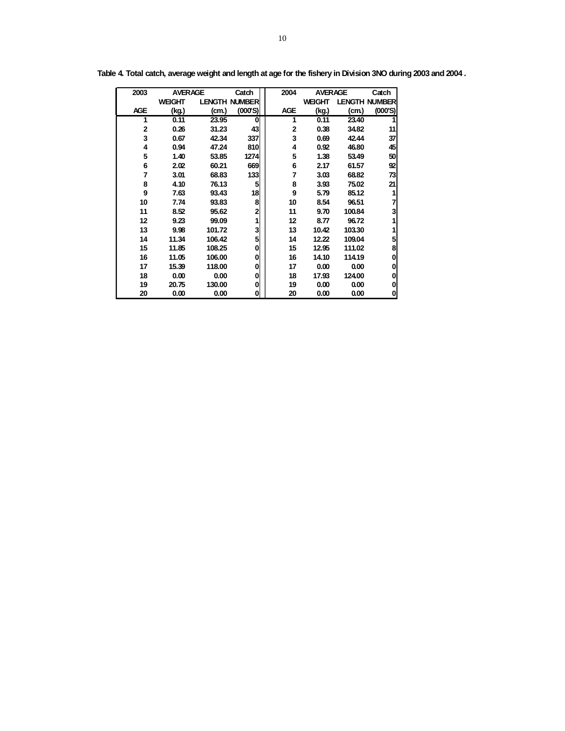| 2003         | <b>AVERAGE</b> |        | Catch                | 2004         | <b>AVERAGE</b> |        | Catch                |
|--------------|----------------|--------|----------------------|--------------|----------------|--------|----------------------|
|              | <b>WEIGHT</b>  |        | <b>LENGTH NUMBER</b> |              | <b>WEIGHT</b>  |        | <b>LENGTH NUMBER</b> |
| <b>AGE</b>   | (kg.)          | (cm.)  | (000S)               | <b>AGE</b>   | (kg.)          | (cm.)  | (000'S)              |
| 1            | 0.11           | 23.95  | 0                    | 1            | 0.11           | 23.40  |                      |
| $\mathbf{2}$ | 0.26           | 31.23  | 43                   | $\mathbf{2}$ | 0.38           | 34.82  | 11                   |
| 3            | 0.67           | 42.34  | 337                  | 3            | 0.69           | 42.44  | 37                   |
| 4            | 0.94           | 47.24  | 810                  | 4            | 0.92           | 46.80  | 45                   |
| 5            | 1.40           | 53.85  | 1274                 | 5            | 1.38           | 53.49  | 50                   |
| 6            | 2.02           | 60.21  | 669                  | 6            | 2.17           | 61.57  | 92                   |
| 7            | 3.01           | 68.83  | 133                  | 7            | 3.03           | 68.82  | 73                   |
| 8            | 4.10           | 76.13  | 5                    | 8            | 3.93           | 75.02  | 21                   |
| 9            | 7.63           | 93.43  | 18                   | 9            | 5.79           | 85.12  | 1                    |
| 10           | 7.74           | 93.83  | 8                    | 10           | 8.54           | 96.51  | 7                    |
| 11           | 8.52           | 95.62  | $\mathbf{2}$         | 11           | 9.70           | 100.84 | 3                    |
| 12           | 9.23           | 99.09  | 1                    | 12           | 8.77           | 96.72  | 1                    |
| 13           | 9.98           | 101.72 | 3                    | 13           | 10.42          | 103.30 | 1                    |
| 14           | 11.34          | 106.42 | 5                    | 14           | 12.22          | 109.04 | 5                    |
| 15           | 11.85          | 108.25 | 0                    | 15           | 12.95          | 111.02 | 8                    |
| 16           | 11.05          | 106.00 | 0                    | 16           | 14.10          | 114.19 | 0                    |
| 17           | 15.39          | 118.00 | 0                    | 17           | 0.00           | 0.00   | 0                    |
| 18           | 0.00           | 0.00   | 0                    | 18           | 17.93          | 124.00 | 0                    |
| 19           | 20.75          | 130.00 | 0                    | 19           | 0.00           | 0.00   | 0                    |
| 20           | 0.00           | 0.00   | 0                    | 20           | 0.00           | 0.00   | 0                    |

**Table 4. Total catch, average weight and length at age for the fishery in Division 3NO during 2003 and 2004 .**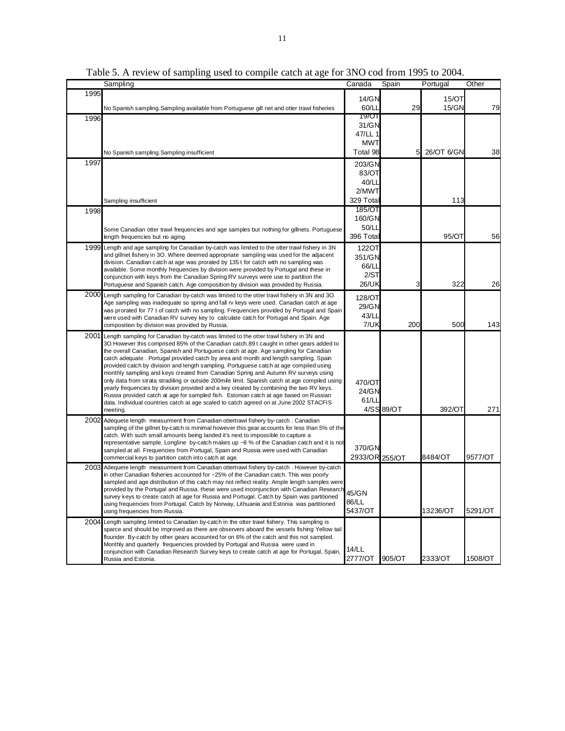|      | Sampling                                                                                                                                                                                | Canada         | Spain      | Portugal   | Other   |
|------|-----------------------------------------------------------------------------------------------------------------------------------------------------------------------------------------|----------------|------------|------------|---------|
| 1995 |                                                                                                                                                                                         |                |            |            |         |
|      |                                                                                                                                                                                         | 14/GN          |            | 15/OT      |         |
|      | No Spanish sampling. Sampling available from Portuguese gill net and otter trawl fisheries                                                                                              | 60/LI          | 29         | 15/GN      | 79      |
| 1996 |                                                                                                                                                                                         | 19/OT          |            |            |         |
|      |                                                                                                                                                                                         | 31/GN          |            |            |         |
|      |                                                                                                                                                                                         | 47/LL 1        |            |            |         |
|      |                                                                                                                                                                                         | <b>MWT</b>     |            |            |         |
|      | No Spanish sampling. Sampling insufficient                                                                                                                                              | Total 98       | 5          | 26/OT 6/GN | 38      |
| 1997 |                                                                                                                                                                                         | 203/GN         |            |            |         |
|      |                                                                                                                                                                                         | 83/OT          |            |            |         |
|      |                                                                                                                                                                                         | 40/LL          |            |            |         |
|      |                                                                                                                                                                                         | 2/MWT          |            |            |         |
|      | Sampling insufficient                                                                                                                                                                   | 329 Tota       |            | 113        |         |
|      |                                                                                                                                                                                         | 185/OT         |            |            |         |
| 1998 |                                                                                                                                                                                         | 160/GN         |            |            |         |
|      |                                                                                                                                                                                         | 50/LL          |            |            |         |
|      | Some Canadian otter trawl frequencies and age samples but nothing for gillnets. Portuguese                                                                                              |                |            |            |         |
|      | length frequencies but no aging.                                                                                                                                                        | 396 Total      |            | 95/OT      | 56      |
|      | 1999 Length and age sampling for Canadian by-catch was limited to the otter trawl fishery in 3N                                                                                         | 1220T          |            |            |         |
|      | and gillnet fishery in 3O. Where deemed appropriate sampling was used for the adjacent                                                                                                  | 351/GN         |            |            |         |
|      | division. Canadian catch at age was prorated by 135 t for catch with no sampling was<br>available. Some monthly frequencies by division were provided by Portugal and these in          | 66/LI          |            |            |         |
|      | conjunction with keys from the Canadian Spring RV surveys were use to partition the                                                                                                     | 2/ST           |            |            |         |
|      | Portuguese and Spanish catch. Age composition by division was provided by Russia.                                                                                                       | 26/UK          | 3          | 322        | 26      |
|      | 2000 Length sampling for Canadian by-catch was limited to the otter trawl fishery in 3N and 3O.                                                                                         |                |            |            |         |
|      | Age sampling was inadequate so spring and fall rv keys were used. Canadian catch at age                                                                                                 | 128/OT         |            |            |         |
|      | was prorated for 77 t of catch with no sampling. Frequencies provided by Portugal and Spain                                                                                             | 29/GN          |            |            |         |
|      | were used with Canadian RV survey key to calculate catch for Portugal and Spain. Age                                                                                                    | 43/LL          |            |            |         |
|      | composition by division was provided by Russia.                                                                                                                                         | 7/UK           | 200        | 500        | 143     |
|      | 2001 Length sampling for Canadian by-catch was limited to the otter trawl fishery in 3N and                                                                                             |                |            |            |         |
|      | 3O. However this comprised 85% of the Canadian catch. 89 t caught in other gears added to                                                                                               |                |            |            |         |
|      | the overall Canadian, Spanish and Portuguese catch at age. Age sampling for Canadian<br>catch adequate . Portugal provided catch by area and month and length sampling. Spain           |                |            |            |         |
|      | provided catch by division and length sampling. Portuguese catch at age compiled using                                                                                                  |                |            |            |         |
|      | monthly sampling and keys created from Canadian Spring and Autumn RV surveys using                                                                                                      |                |            |            |         |
|      | only data from strata stradiling or outside 200mile limit. Spanish catch at age compiled using                                                                                          | 470/OT         |            |            |         |
|      | yearly frequencies by division provided and a key created by combining the two RV keys.                                                                                                 | 24/GN          |            |            |         |
|      | Russia provided catch at age for sampled fish. Estonian catch at age based on Russian                                                                                                   | 61/LL          |            |            |         |
|      | data. Individual countries catch at age scaled to catch agreed on at June 2002 STACFIS<br>meeting.                                                                                      |                | 4/SS 89/OT | 392/OT     | 271     |
|      |                                                                                                                                                                                         |                |            |            |         |
|      | 2002 Adequete length measurment from Canadian ottertrawl fishery by-catch. Canadian<br>sampling of the gillnet by-catch is minimal however this gear accounts for less than 5% of the   |                |            |            |         |
|      | catch. With such small amounts being landed it's next to impossible to capture a                                                                                                        |                |            |            |         |
|      | representative sample. Longline by-catch makes up $\sim$ 8 % of the Canadian catch and it is not                                                                                        |                |            |            |         |
|      | sampled at all. Frequencies from Portugal, Spain and Russia were used with Canadian                                                                                                     | 370/GN         |            |            |         |
|      | commercial keys to partition catch into catch at age.                                                                                                                                   | 2933/OR 255/OT |            | 8484/OT    | 9577/OT |
|      | 2003 Adequete length measurment from Canadian ottertrawl fishery by-catch . However by-catch                                                                                            |                |            |            |         |
|      | in other Canadian fisheries accounted for ~25% of the Canadian catch. This was poorly                                                                                                   |                |            |            |         |
|      | sampled and age distribution of this catch may not reflect reality. Ample length samples were                                                                                           |                |            |            |         |
|      | provided by the Portugal and Russia. these were used inconjunction with Canadian Research<br>survey keys to create catch at age for Russia and Portugal. Catch by Spain was partitioned | 45/GN          |            |            |         |
|      | using frequencies from Portugal. Catch by Norway, Lithuania and Estonia was partitioned                                                                                                 | 86/LL          |            |            |         |
|      | using frequencies from Russia.                                                                                                                                                          | 5437/OT        |            | 13236/OT   | 5291/OT |
|      | 2004 Length sampling limited to Canadian by-catch in the otter trawl fishery. This sampling is                                                                                          |                |            |            |         |
|      | sparce and should be improved as there are observers aboard the vessels fishing Yellow tail                                                                                             |                |            |            |         |
|      | flounder. By-catch by other gears accounted for on 6% of the catch and this not sampled.                                                                                                |                |            |            |         |
|      | Monthly and quarterly frequencies provided by Portugal and Russia were used in                                                                                                          | 14/LL          |            |            |         |
|      | conjunction with Canadian Research Survey keys to create catch at age for Portugal, Spain,                                                                                              |                |            |            |         |
|      | Russia and Estonia.                                                                                                                                                                     | 2777/OT        | 905/OT     | 2333/OT    | 1508/OT |

Table 5. A review of sampling used to compile catch at age for 3NO cod from 1995 to 2004.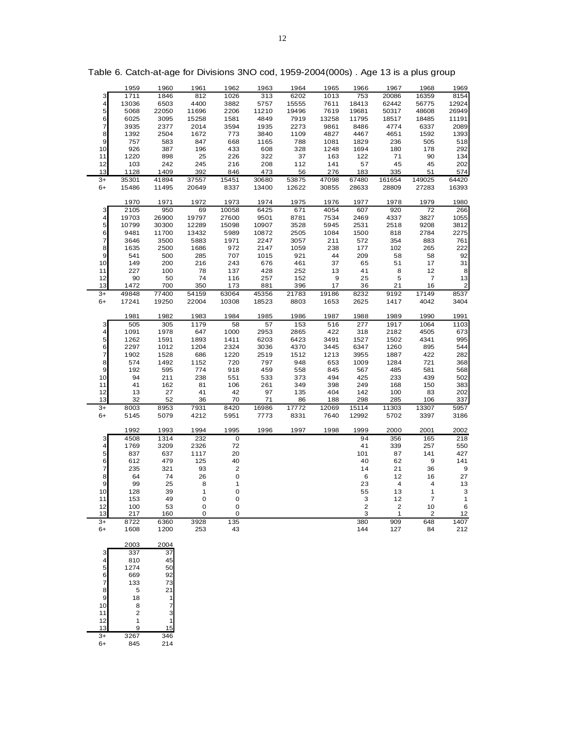|      | 1959                    | 1960  | 1961  | 1962                    | 1963  | 1964  | 1965  | 1966                    | 1967                    | 1968             | 1969         |
|------|-------------------------|-------|-------|-------------------------|-------|-------|-------|-------------------------|-------------------------|------------------|--------------|
|      | 1711                    | 1846  | 812   | 1026                    | 313   | 6202  | 1013  | 753                     | 20086                   | 16359            | 8154         |
| 3    |                         |       |       |                         |       |       |       |                         |                         |                  |              |
| 4    | 13036                   | 6503  | 4400  | 3882                    | 5757  | 15555 | 7611  | 18413                   | 62442                   | 56775            | 12924        |
| 5    | 5068                    | 22050 | 11696 | 2206                    | 11210 | 19496 | 7619  | 19681                   | 50317                   | 48608            | 26949        |
| 6    | 6025                    | 3095  | 15258 | 1581                    | 4849  | 7919  | 13258 | 11795                   | 18517                   | 18485            | 11191        |
| 7    | 3935                    | 2377  | 2014  | 3594                    | 1935  | 2273  | 9861  | 8486                    | 4774                    | 6337             | 2089         |
| 8    | 1392                    | 2504  | 1672  | 773                     | 3840  | 1109  | 4827  | 4467                    | 4651                    | 1592             | 1393         |
|      |                         |       |       |                         |       |       |       |                         |                         |                  |              |
| 9    | 757                     | 583   | 847   | 668                     | 1165  | 788   | 1081  | 1829                    | 236                     | 505              | 518          |
| 10   | 926                     | 387   | 196   | 433                     | 608   | 328   | 1248  | 1694                    | 180                     | 178              | 292          |
| 11   | 1220                    | 898   | 25    | 226                     | 322   | 37    | 163   | 122                     | 71                      | 90               | 134          |
| 12   | 103                     | 242   | 245   | 216                     | 208   | 112   | 141   | 57                      | 45                      | 45               | 202          |
|      |                         |       |       |                         |       |       |       |                         |                         |                  |              |
| 13   | 1128                    | 1409  | 392   | 846                     | 473   | 56    | 276   | 183                     | 335                     | 51               | 574          |
| $3+$ | 35301                   | 41894 | 37557 | 15451                   | 30680 | 53875 | 47098 | 67480                   | 161654                  | 149025           | 64420        |
| $6+$ | 15486                   | 11495 | 20649 | 8337                    | 13400 | 12622 | 30855 | 28633                   | 28809                   | 27283            | 16393        |
|      |                         |       |       |                         |       |       |       |                         |                         |                  |              |
|      | 1970                    | 1971  | 1972  | 1973                    | 1974  | 1975  | 1976  | 1977                    | 1978                    | 1979             | 1980         |
|      |                         | 950   |       |                         | 6425  | 671   | 4054  | 607                     | 920                     | 72               | 266          |
| 3    | 2105                    |       | 69    | 10058                   |       |       |       |                         |                         |                  |              |
| 4    | 19703                   | 26900 | 19797 | 27600                   | 9501  | 8781  | 7534  | 2469                    | 4337                    | 3827             | 1055         |
| 5    | 10799                   | 30300 | 12289 | 15098                   | 10907 | 3528  | 5945  | 2531                    | 2518                    | 9208             | 3812         |
| 6    | 9481                    | 11700 | 13432 | 5989                    | 10872 | 2505  | 1084  | 1500                    | 818                     | 2784             | 2275         |
| 7    | 3646                    | 3500  | 5883  | 1971                    | 2247  | 3057  | 211   | 572                     | 354                     | 883              | 761          |
|      |                         |       |       |                         |       |       |       |                         |                         |                  |              |
| 8    | 1635                    | 2500  | 1686  | 972                     | 2147  | 1059  | 238   | 177                     | 102                     | 265              | 222          |
| 9    | 541                     | 500   | 285   | 707                     | 1015  | 921   | 44    | 209                     | 58                      | 58               | 92           |
| 10   | 149                     | 200   | 216   | 243                     | 676   | 461   | 37    | 65                      | 51                      | 17               | 31           |
| 11   | 227                     | 100   | 78    | 137                     | 428   | 252   | 13    | 41                      | 8                       | 12               | 8            |
| 12   | 90                      | 50    | 74    | 116                     | 257   | 152   | 9     | 25                      | 5                       | $\boldsymbol{7}$ | 13           |
|      |                         |       |       |                         |       |       |       |                         |                         |                  |              |
| 13   | 1472                    | 700   | 350   | 173                     | 881   | 396   | 17    | 36                      | 21                      | 16               | 2            |
| $3+$ | 49848                   | 77400 | 54159 | 63064                   | 45356 | 21783 | 19186 | 8232                    | 9192                    | 17149            | 8537         |
| 6+   | 17241                   | 19250 | 22004 | 10308                   | 18523 | 8803  | 1653  | 2625                    | 1417                    | 4042             | 3404         |
|      |                         |       |       |                         |       |       |       |                         |                         |                  |              |
|      | 1981                    | 1982  | 1983  | 1984                    | 1985  | 1986  | 1987  | 1988                    | 1989                    | 1990             | 1991         |
|      |                         |       |       |                         |       |       |       |                         |                         |                  |              |
| 3    | 505                     | 305   | 1179  | 58                      | 57    | 153   | 516   | 277                     | 1917                    | 1064             | 1103         |
| 4    | 1091                    | 1978  | 647   | 1000                    | 2953  | 2865  | 422   | 318                     | 2182                    | 4505             | 673          |
| 5    | 1262                    | 1591  | 1893  | 1411                    | 6203  | 6423  | 3491  | 1527                    | 1502                    | 4341             | 995          |
| 6    | 2297                    | 1012  | 1204  | 2324                    | 3036  | 4370  | 3445  | 6347                    | 1260                    | 895              | 544          |
| 7    | 1902                    | 1528  | 686   | 1220                    | 2519  | 1512  | 1213  | 3955                    | 1887                    | 422              | 282          |
|      |                         |       |       |                         |       |       |       |                         |                         |                  |              |
| 8    | 574                     | 1492  | 1152  | 720                     | 797   | 948   | 653   | 1009                    | 1284                    | 721              | 368          |
| 9    | 192                     | 595   | 774   | 918                     | 459   | 558   | 845   | 567                     | 485                     | 581              | 568          |
| 10   | 94                      | 211   | 238   | 551                     | 533   | 373   | 494   | 425                     | 233                     | 439              | 502          |
| 11   | 41                      | 162   | 81    | 106                     | 261   | 349   | 398   | 249                     | 168                     | 150              | 383          |
| 12   | 13                      | 27    | 41    | 42                      | 97    | 135   | 404   | 142                     | 100                     | 83               | 202          |
| 13   | 32                      | 52    | 36    | 70                      | 71    | 86    | 188   | 298                     | 285                     | 106              | 337          |
|      |                         |       |       |                         |       |       |       |                         |                         |                  |              |
| $3+$ | 8003                    | 8953  | 7931  | 8420                    | 16986 | 17772 | 12069 | 15114                   | 11303                   | 13307            | 5957         |
| $6+$ | 5145                    | 5079  | 4212  | 5951                    | 7773  | 8331  | 7640  | 12992                   | 5702                    | 3397             | 3186         |
|      |                         |       |       |                         |       |       |       |                         |                         |                  |              |
|      | 1992                    | 1993  | 1994  | 1995                    | 1996  | 1997  | 1998  | 1999                    | 2000                    | 2001             | 2002         |
| 3    | 4508                    | 1314  | 232   | $\mathbf 0$             |       |       |       | 94                      | 356                     | 165              | 218          |
|      |                         |       |       |                         |       |       |       |                         |                         |                  |              |
| 4    | 1769                    | 3209  | 2326  | 72                      |       |       |       | 41                      | 339                     | 257              | 550          |
| 5    | 837                     | 637   | 1117  | 20                      |       |       |       | 101                     | 87                      | 141              | 427          |
| 6    | 612                     | 479   | 125   | 40                      |       |       |       | 40                      | 62                      | 9                | 141          |
| 7    | 235                     | 321   | 93    | $\overline{\mathbf{c}}$ |       |       |       | 14                      | 21                      | 36               | 9            |
| 8    | 64                      | 74    | 26    | $\mathbf 0$             |       |       |       | 6                       | 12                      | 16               | 27           |
| 9    | 99                      | 25    | 8     | 1                       |       |       |       | 23                      | 4                       | 4                | 13           |
|      |                         |       |       |                         |       |       |       |                         |                         |                  |              |
| 10   | 128                     | 39    | 1     | 0                       |       |       |       | 55                      | 13                      | 1                | 3            |
| 11   | 153                     | 49    | 0     | $\pmb{0}$               |       |       |       | 3                       | 12                      | 7                | $\mathbf{1}$ |
| 12   | 100                     | 53    | 0     | 0                       |       |       |       | $\overline{\mathbf{c}}$ | $\overline{\mathbf{c}}$ | 10               | 6            |
| 13   | 217                     | 160   | 0     | 0                       |       |       |       | 3                       | 1                       | 2                | 12           |
| $3+$ | 8722                    |       |       | 135                     |       |       |       |                         | 909                     | 648              | 1407         |
|      |                         | 6360  | 3928  |                         |       |       |       | 380                     |                         |                  |              |
| 6+   | 1608                    | 1200  | 253   | 43                      |       |       |       | 144                     | 127                     | 84               | 212          |
|      |                         |       |       |                         |       |       |       |                         |                         |                  |              |
|      | 2003                    | 2004  |       |                         |       |       |       |                         |                         |                  |              |
| 3    | 337                     | 37    |       |                         |       |       |       |                         |                         |                  |              |
| 4    | 810                     | 45    |       |                         |       |       |       |                         |                         |                  |              |
|      |                         |       |       |                         |       |       |       |                         |                         |                  |              |
| 5    | 1274                    | 50    |       |                         |       |       |       |                         |                         |                  |              |
| 6    | 669                     | 92    |       |                         |       |       |       |                         |                         |                  |              |
| 7    | 133                     | 73    |       |                         |       |       |       |                         |                         |                  |              |
| 8    | 5                       | 21    |       |                         |       |       |       |                         |                         |                  |              |
| 9    | 18                      | 1     |       |                         |       |       |       |                         |                         |                  |              |
|      |                         |       |       |                         |       |       |       |                         |                         |                  |              |
| 10   | 8                       | 7     |       |                         |       |       |       |                         |                         |                  |              |
| 11   | $\overline{\mathbf{c}}$ | 3     |       |                         |       |       |       |                         |                         |                  |              |
| 12   | 1                       | 1     |       |                         |       |       |       |                         |                         |                  |              |
| 13   | 9                       | 15    |       |                         |       |       |       |                         |                         |                  |              |
| $3+$ | 3267                    | 346   |       |                         |       |       |       |                         |                         |                  |              |
| $6+$ | 845                     | 214   |       |                         |       |       |       |                         |                         |                  |              |
|      |                         |       |       |                         |       |       |       |                         |                         |                  |              |

Table 6. Catch-at-age for Divisions 3NO cod, 1959-2004(000s) . Age 13 is a plus group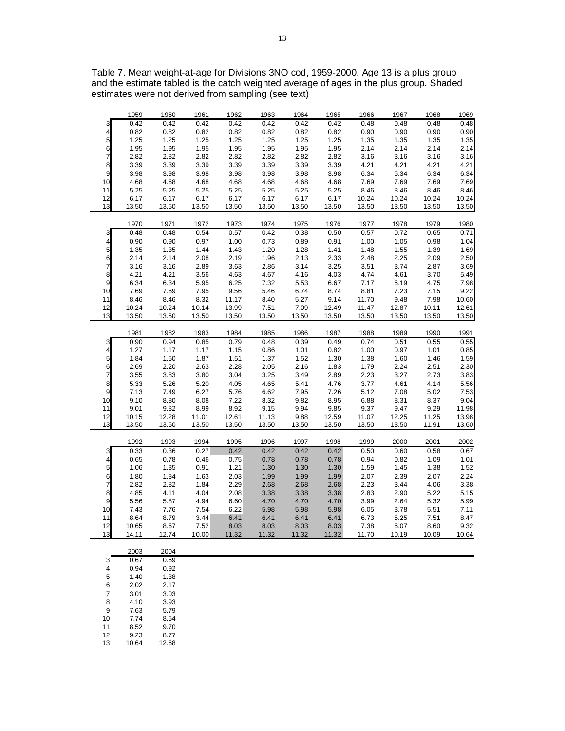|                         | 1959  | 1960  | 1961  | 1962  | 1963  | 1964  | 1965  | 1966  | 1967  | 1968  | 1969  |
|-------------------------|-------|-------|-------|-------|-------|-------|-------|-------|-------|-------|-------|
| 3                       | 0.42  | 0.42  | 0.42  | 0.42  | 0.42  | 0.42  | 0.42  | 0.48  | 0.48  | 0.48  | 0.48  |
| 4                       | 0.82  | 0.82  | 0.82  | 0.82  | 0.82  | 0.82  | 0.82  | 0.90  | 0.90  | 0.90  | 0.90  |
| 5                       | 1.25  | 1.25  | 1.25  | 1.25  | 1.25  | 1.25  | 1.25  | 1.35  | 1.35  | 1.35  | 1.35  |
| 6                       | 1.95  | 1.95  | 1.95  | 1.95  | 1.95  | 1.95  | 1.95  | 2.14  | 2.14  | 2.14  | 2.14  |
| 7                       | 2.82  | 2.82  | 2.82  | 2.82  | 2.82  | 2.82  | 2.82  | 3.16  | 3.16  | 3.16  | 3.16  |
| 8                       | 3.39  | 3.39  | 3.39  | 3.39  | 3.39  | 3.39  | 3.39  | 4.21  | 4.21  | 4.21  | 4.21  |
| 9                       | 3.98  | 3.98  | 3.98  | 3.98  | 3.98  | 3.98  | 3.98  | 6.34  | 6.34  | 6.34  | 6.34  |
| 10                      | 4.68  | 4.68  | 4.68  | 4.68  | 4.68  | 4.68  | 4.68  | 7.69  | 7.69  | 7.69  | 7.69  |
| 11                      | 5.25  | 5.25  | 5.25  | 5.25  | 5.25  | 5.25  | 5.25  | 8.46  | 8.46  | 8.46  | 8.46  |
| 12                      | 6.17  | 6.17  | 6.17  | 6.17  | 6.17  | 6.17  | 6.17  | 10.24 | 10.24 | 10.24 | 10.24 |
| 13                      | 13.50 | 13.50 | 13.50 | 13.50 | 13.50 | 13.50 | 13.50 | 13.50 | 13.50 | 13.50 | 13.50 |
|                         | 1970  | 1971  | 1972  | 1973  | 1974  | 1975  | 1976  | 1977  | 1978  | 1979  | 1980  |
| 3                       | 0.48  | 0.48  | 0.54  | 0.57  | 0.42  | 0.38  | 0.50  | 0.57  | 0.72  | 0.65  | 0.71  |
| 4                       | 0.90  | 0.90  | 0.97  | 1.00  | 0.73  | 0.89  | 0.91  | 1.00  | 1.05  | 0.98  | 1.04  |
| 5                       | 1.35  | 1.35  | 1.44  | 1.43  | 1.20  | 1.28  | 1.41  | 1.48  | 1.55  | 1.39  | 1.69  |
| 6                       | 2.14  | 2.14  | 2.08  | 2.19  | 1.96  | 2.13  | 2.33  | 2.48  | 2.25  | 2.09  | 2.50  |
| 7                       | 3.16  | 3.16  | 2.89  | 3.63  | 2.86  | 3.14  | 3.25  | 3.51  | 3.74  | 2.87  | 3.69  |
| 8                       | 4.21  | 4.21  | 3.56  | 4.63  | 4.67  | 4.16  | 4.03  | 4.74  | 4.61  | 3.70  | 5.49  |
| 9                       | 6.34  | 6.34  | 5.95  | 6.25  | 7.32  | 5.53  | 6.67  | 7.17  | 6.19  | 4.75  | 7.98  |
| 10                      | 7.69  | 7.69  | 7.95  | 9.56  | 5.46  | 6.74  | 8.74  | 8.81  | 7.23  | 7.15  | 9.22  |
| 11                      | 8.46  | 8.46  | 8.32  | 11.17 | 8.40  | 5.27  | 9.14  | 11.70 | 9.48  | 7.98  | 10.60 |
| 12                      | 10.24 | 10.24 | 10.14 | 13.99 | 7.51  | 7.09  | 12.49 | 11.47 | 12.87 | 10.11 | 12.61 |
| 13                      | 13.50 | 13.50 | 13.50 | 13.50 | 13.50 | 13.50 | 13.50 | 13.50 | 13.50 | 13.50 | 13.50 |
|                         | 1981  | 1982  | 1983  | 1984  | 1985  | 1986  | 1987  | 1988  | 1989  | 1990  | 1991  |
| 3                       | 0.90  | 0.94  | 0.85  | 0.79  | 0.48  | 0.39  | 0.49  | 0.74  | 0.51  | 0.55  | 0.55  |
| 4                       | 1.27  | 1.17  | 1.17  | 1.15  | 0.86  | 1.01  | 0.82  | 1.00  | 0.97  | 1.01  | 0.85  |
| 5                       | 1.84  | 1.50  | 1.87  | 1.51  | 1.37  | 1.52  | 1.30  | 1.38  | 1.60  | 1.46  | 1.59  |
| 6                       | 2.69  | 2.20  | 2.63  | 2.28  | 2.05  | 2.16  | 1.83  | 1.79  | 2.24  | 2.51  | 2.30  |
| 7                       | 3.55  | 3.83  | 3.80  | 3.04  | 3.25  | 3.49  | 2.89  | 2.23  | 3.27  | 2.73  | 3.83  |
| 8                       | 5.33  | 5.26  | 5.20  | 4.05  | 4.65  | 5.41  | 4.76  | 3.77  | 4.61  | 4.14  | 5.56  |
| 9                       | 7.13  | 7.49  | 6.27  | 5.76  | 6.62  | 7.95  | 7.26  | 5.12  | 7.08  | 5.02  | 7.53  |
| 10                      | 9.10  | 8.80  | 8.08  | 7.22  | 8.32  | 9.82  | 8.95  | 6.88  | 8.31  | 8.37  | 9.04  |
| 11                      | 9.01  | 9.82  | 8.99  | 8.92  | 9.15  | 9.94  | 9.85  | 9.37  | 9.47  | 9.29  | 11.98 |
| 12                      | 10.15 | 12.28 | 11.01 | 12.61 | 11.13 | 9.88  | 12.59 | 11.07 | 12.25 | 11.25 | 13.98 |
| 13                      | 13.50 | 13.50 | 13.50 | 13.50 | 13.50 | 13.50 | 13.50 | 13.50 | 13.50 | 11.91 | 13.60 |
|                         | 1992  | 1993  | 1994  | 1995  | 1996  | 1997  | 1998  | 1999  | 2000  | 2001  | 2002  |
| 3                       | 0.33  | 0.36  | 0.27  | 0.42  | 0.42  | 0.42  | 0.42  | 0.50  | 0.60  | 0.58  | 0.67  |
| 4                       | 0.65  | 0.78  | 0.46  | 0.75  | 0.78  | 0.78  | 0.78  | 0.94  | 0.82  | 1.09  | 1.01  |
| 5                       | 1.06  | 1.35  | 0.91  | 1.21  | 1.30  | 1.30  | 1.30  | 1.59  | 1.45  | 1.38  | 1.52  |
| 6                       | 1.80  | 1.84  | 1.63  | 2.03  | 1.99  | 1.99  | 1.99  | 2.07  | 2.39  | 2.07  | 2.24  |
| 7                       | 2.82  | 2.82  | 1.84  | 2.29  | 2.68  | 2.68  | 2.68  | 2.23  | 3.44  | 4.06  | 3.38  |
| 8                       | 4.85  | 4.11  | 4.04  | 2.08  | 3.38  | 3.38  | 3.38  | 2.83  | 2.90  | 5.22  | 5.15  |
| 9                       | 5.56  | 5.87  | 4.94  | 6.60  | 4.70  | 4.70  | 4.70  | 3.99  | 2.64  | 5.32  | 5.99  |
| 10                      | 7.43  | 7.76  | 7.54  | 6.22  | 5.98  | 5.98  | 5.98  | 6.05  | 3.78  | 5.51  | 7.11  |
| 11                      | 8.64  | 8.79  | 3.44  | 6.41  | 6.41  | 6.41  | 6.41  | 6.73  | 5.25  | 7.51  | 8.47  |
| 12                      | 10.65 | 8.67  | 7.52  | 8.03  | 8.03  | 8.03  | 8.03  | 7.38  | 6.07  | 8.60  | 9.32  |
| 13                      | 14.11 | 12.74 | 10.00 | 11.32 | 11.32 | 11.32 | 11.32 | 11.70 | 10.19 | 10.09 | 10.64 |
|                         | 2003  | 2004  |       |       |       |       |       |       |       |       |       |
| 3                       | 0.67  | 0.69  |       |       |       |       |       |       |       |       |       |
| 4                       | 0.94  | 0.92  |       |       |       |       |       |       |       |       |       |
| 5                       | 1.40  | 1.38  |       |       |       |       |       |       |       |       |       |
| 6                       | 2.02  | 2.17  |       |       |       |       |       |       |       |       |       |
| $\overline{\mathbf{7}}$ | 3.01  | 3.03  |       |       |       |       |       |       |       |       |       |
| 8                       | 4.10  | 3.93  |       |       |       |       |       |       |       |       |       |
| 9                       | 7.63  | 5.79  |       |       |       |       |       |       |       |       |       |
| 10                      | 7.74  | 8.54  |       |       |       |       |       |       |       |       |       |
| 11                      | 8.52  | 9.70  |       |       |       |       |       |       |       |       |       |
| 12                      | 9.23  | 8.77  |       |       |       |       |       |       |       |       |       |
| 13                      | 10.64 | 12.68 |       |       |       |       |       |       |       |       |       |

Table 7. Mean weight-at-age for Divisions 3NO cod, 1959-2000. Age 13 is a plus group and the estimate tabled is the catch weighted average of ages in the plus group. Shaded estimates were not derived from sampling (see text)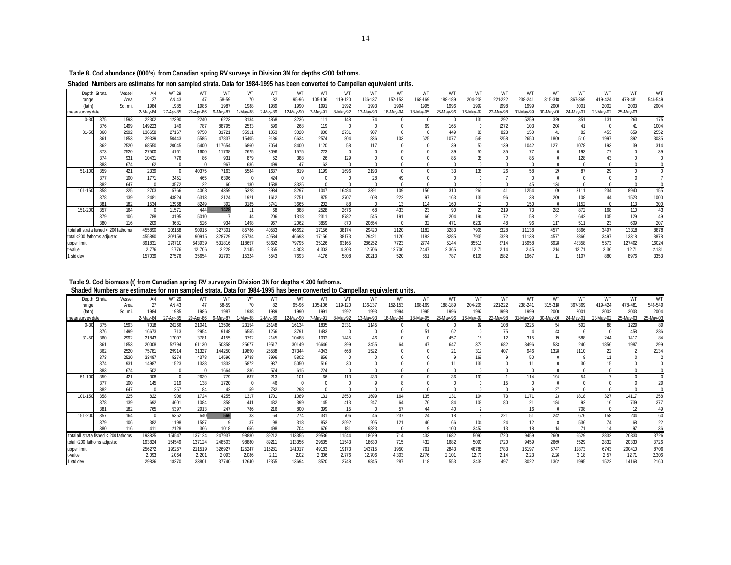**Table 8. Cod abundance (000's) from Canadian spring RV surveys in Division 3N for depths <200 fathoms.**

**Shaded Numbers are estimates for non sampled strata. Data for 1984-1995 has been converted to Campellan equivalent units.**

|                                       | Depth Strata | Vessel  | ΑN       | WT 29     | WТ        | WT       | WТ        | WТ       | WT       | WT       | WT       | WT        | WT        |           | WT        | WT        | WT        | WT        | W <sub>1</sub> | WT        | WT        | WT        | WT      |
|---------------------------------------|--------------|---------|----------|-----------|-----------|----------|-----------|----------|----------|----------|----------|-----------|-----------|-----------|-----------|-----------|-----------|-----------|----------------|-----------|-----------|-----------|---------|
| range                                 |              | Area    | 27       | AN 43     | 47        | 58-59    | 70        | 82       | 95-96    | 105-106  | 119-120  | 136-137   | 152-153   | 168-169   | 188-189   | 204-208   | 221-222   | 238-241   | 315-318        | 367-369   | 419-424   | 478-481   | 546-549 |
| (fath)                                |              | Sa. mi. | 1984     | 1985      | 1986      | 1987     | 1988      | 1989     | 1990     | 1991     | 1992     | 1993      | 1994      | 1995      | 1996      | 1997      | 1998      | 1999      | 2000           | 2001      | 2002      | 2003      | 2004    |
| mean survey date                      |              |         | 2-May-84 | 27-Apr-85 | 29-Apr-86 | 9-May-87 | $-May-88$ | 2-May-89 | 2-May-90 | 7-May-91 | 8-May-92 | 13-May-93 | 18-May-94 | 18-May-95 | 25-May-96 | 16-May-97 | 22-May-98 | 31-May-99 | 30-May-00      | 24-May-01 | 23-May-02 | 25-May-03 |         |
| $0 - 30$                              | 375          | 1593    | 22302    | 12390     | 2240      | 6223     | 3134      | 4868     | 3236     | 111      | 148      | 74        |           |           |           | 131       | 292       | 5259      | 329            | 351       | 131       | 263       | 175     |
|                                       | 376          | 1499    | 149223   | 149       | 787       | 88795    | 2533      | 599      | 268      | 119      |          |           |           | 69        | 165       |           | 1272      | 103       | 206            | 41        |           | 41        | 1004    |
| $31 - 50$                             | 360          | 2992    | 136658   | 27167     | 9750      | 31721    | 35911     | 1053     | 3020     | 900      | 2731     | 907       |           |           | 449       | 86        | 823       | 150       | 41             | 82        | 453       | 659       | 2552    |
|                                       | 361          | 1853    | 29339    | 50443     | 5585      | 47837    | 15405     | 9136     | 6634     | 2574     | 804      | 836       | 103       | 625       | 1077      | 549       | 2258      | 2650      | 1869           | 510       | 1997      | 892       | 3035    |
|                                       | 362          | 2520    | 68550    | 20045     | 5400      | 117654   | 6860      | 7054     | 8400     | 1120     |          | 117       |           |           | 39        |           | 139       | 1042      | 1271           | 1078      | 193       | 39        | 314     |
|                                       | 373          | 2520    | 27500    | 4161      | 1600      | 11738    | 2625      | 3096     | 1575     | 223      |          |           |           |           |           |           | 35        | 77        |                | 193       |           |           |         |
|                                       | 374          | 931     | 10431    | 776       | 86        | 931      | 879       | 52       | 388      | 26       | 129      |           |           |           |           |           |           |           |                | 128       |           |           |         |
|                                       | 383          | 674     | 62       |           |           | 967      | 686       | 499      | 47       | 62       |          |           |           |           |           |           |           |           |                |           |           |           |         |
| $51 - 10$                             | 359          | 421     | 2339     |           | 40375     | 7163     | 5584      | 1637     | 819      | 1199     | 1696     | 2193      |           |           | 33        | 138       | 26        | 58        | 29             | 87        | 29        |           |         |
|                                       | 377          | 100     | 1771     | 2451      | 465       | 6396     |           | 424      |          |          |          | 28        | 49        |           |           |           |           |           |                |           |           |           |         |
|                                       | 382          | 647     |          | 3572      | 22        | 60       | 180       | 1588     | 3325     |          |          |           |           |           |           |           |           |           | 134            |           |           |           |         |
| 101-15                                | 358          | 225     | 2703     | 5766      | 4063      | 4359     | 5328      | 3984     | 8297     | 1047     | 16484    | 3391      | 109       | 156       | 310       | 261       |           | 1254      | 69             | 3111      | 234       | 8940      | 155     |
|                                       | 378          | 139     | 2481     | 43824     | 6313      | 2124     | 1921      | 1612     | 2751     | 875      | 3707     | 608       | 222       | 97        | 163       | 136       | 96        | 38        | 209            | 108       | 44        | 1523      | 1000    |
|                                       | 381          |         | 1534     | 12968     | 8249      | 392      | 3185      | 3741     | 3665     | 202      | 88       |           |           | 114       | 160       |           |           | 150       |                | 1152      |           | 113       | 300     |
| 151-200                               | 357          | 164     |          | 11571     | 444       | 1428     |           | 68       | 888      | 2528     | 2676     | 68        | 433       | 23        | 90        | 20        | 219       | 73        | 282            | 872       | 168       | 110       | 43      |
|                                       | 379          |         | 788      | 3195      | 5010      |          |           | 206      | 1318     | 2311     | 8782     | 545       | 191       |           | 204       | 194       | 72        |           |                | 642       | 105       | 129       |         |
|                                       | 380          | 116     | 209      | 3681      | 526       | 934      | 1498      | 967      | 2062     | 3859     | 870      | 20654     |           | 32        | 471       | 6239      |           | 96        | 117            | 511       | 23        | 609       | 207     |
| total all strata fished < 200 fathoms |              |         | 455890   | 202158    | 90915     | 327301   | 85786     | 40583    | 46692    | 17156    | 38174    | 29420     | 1120      | 1182      | 3283      | 7905      | 5328      | 11138     | 4577           | 8866      | 3497      | 13318     | 8878    |
| total <200 fathoms adjusted           |              |         | 455890   | 202159    | 90915     | 328729   | 85784     | 40584    | 46693    | 17156    | 38173    | 29421     | 1120      | 1182      | 3285      | 7905      | 5328      | 11138     | 4577           | 8866      | 3497      | 13318     | 8878    |
| upper limit                           |              |         | 891831   | 278710    | 543939    | 531816   | 118657    | 53692    | 79795    | 35126    | 63165    | 286252    | 7723      | 2774      | 5144      | 85516     | 8714      | 15958     | 6928           | 48358     | 5573      | 127402    | 16024   |
| -value                                |              |         | 2.776    | 2.776     | 12.706    | 2.228    | 2.145     | 2.365    | 4.303    | 4.303    | 4.303    | 12.706    | 12.706    | 2.447     | 2.365     | 12.71     | 2.14      | 2.45      | 214            | 12.71     | 2.36      | 12.71     | 2.131   |
| 1 std dev                             |              |         | 157039   | 27576     | 35654     | 91793    | 15324     | 5543     | 7693     | 4176     | 5808     | 20213     | 520       | 651       | 787       | 6106      | 1582      | 1967      |                | 3107      | 880       | 8976      | 3353    |

#### **Table 9. Cod biomass (t) from Canadian spring RV surveys in Division 3N for depths < 200 fathoms. Shaded Numbers are estimates for non sampled strata. Data for 1984-1995 has been converted to Campellan equivalent units.**

|                                       | AN                                                        | <b>WT 29</b>                                                                                          | WТ                                                                                                                                                       | WТ                                                                                                                                      | WТ                                                                                                                                                       | WТ                                                                                                                            | wт                                                                                                                            | WT                                                                                                                                               |                                                                                                                                              | WT                                                                                                               | WЛ                                                                                                            | WT                                                                              | WT                                                                    | WT                                                                                                       | W.                                                                                  | WТ                                                                 | W٦                                                                                              | W٦                                                                 | W٦                                                                                                             | W.                                                                               | W٦                                                                                              |
|---------------------------------------|-----------------------------------------------------------|-------------------------------------------------------------------------------------------------------|----------------------------------------------------------------------------------------------------------------------------------------------------------|-----------------------------------------------------------------------------------------------------------------------------------------|----------------------------------------------------------------------------------------------------------------------------------------------------------|-------------------------------------------------------------------------------------------------------------------------------|-------------------------------------------------------------------------------------------------------------------------------|--------------------------------------------------------------------------------------------------------------------------------------------------|----------------------------------------------------------------------------------------------------------------------------------------------|------------------------------------------------------------------------------------------------------------------|---------------------------------------------------------------------------------------------------------------|---------------------------------------------------------------------------------|-----------------------------------------------------------------------|----------------------------------------------------------------------------------------------------------|-------------------------------------------------------------------------------------|--------------------------------------------------------------------|-------------------------------------------------------------------------------------------------|--------------------------------------------------------------------|----------------------------------------------------------------------------------------------------------------|----------------------------------------------------------------------------------|-------------------------------------------------------------------------------------------------|
| Area                                  |                                                           |                                                                                                       | 47                                                                                                                                                       |                                                                                                                                         |                                                                                                                                                          |                                                                                                                               |                                                                                                                               |                                                                                                                                                  |                                                                                                                                              |                                                                                                                  |                                                                                                               |                                                                                 |                                                                       |                                                                                                          |                                                                                     |                                                                    |                                                                                                 |                                                                    |                                                                                                                |                                                                                  | 546-549                                                                                         |
| Sa. mi.                               | 1984                                                      | 1985                                                                                                  | 1986                                                                                                                                                     | 1987                                                                                                                                    | 1988                                                                                                                                                     | 1989                                                                                                                          | 1990                                                                                                                          | 1991                                                                                                                                             | 1992                                                                                                                                         | 1993                                                                                                             | 1994                                                                                                          | 1995                                                                            | 1996                                                                  | 1997                                                                                                     | 1998                                                                                | 1999                                                               | 2000                                                                                            | 2001                                                               | 2002                                                                                                           | 2003                                                                             | 2004                                                                                            |
|                                       | 2-May-84                                                  |                                                                                                       |                                                                                                                                                          |                                                                                                                                         |                                                                                                                                                          |                                                                                                                               |                                                                                                                               |                                                                                                                                                  |                                                                                                                                              |                                                                                                                  |                                                                                                               |                                                                                 |                                                                       |                                                                                                          |                                                                                     |                                                                    |                                                                                                 |                                                                    |                                                                                                                |                                                                                  | 25-May-03                                                                                       |
| 1593                                  | 7018                                                      | 26266                                                                                                 | 21041                                                                                                                                                    | 13506                                                                                                                                   | 23154                                                                                                                                                    | 25148                                                                                                                         | 16134                                                                                                                         | 1835                                                                                                                                             | 2331                                                                                                                                         | 1145                                                                                                             |                                                                                                               |                                                                                 |                                                                       | 92                                                                                                       | 108                                                                                 | 3225                                                               | 54                                                                                              | 592                                                                | 88                                                                                                             | 1229                                                                             |                                                                                                 |
| 1499                                  | 16673                                                     | 713                                                                                                   | 2954                                                                                                                                                     | 9148                                                                                                                                    | 6555                                                                                                                                                     | 1256                                                                                                                          | 3791                                                                                                                          | 1483                                                                                                                                             |                                                                                                                                              |                                                                                                                  |                                                                                                               |                                                                                 |                                                                       |                                                                                                          |                                                                                     |                                                                    |                                                                                                 |                                                                    |                                                                                                                | 458                                                                              | 286                                                                                             |
| 2992                                  | 21843                                                     | 17007                                                                                                 | 3781                                                                                                                                                     | 4155                                                                                                                                    | 3792                                                                                                                                                     | 2145                                                                                                                          | 10488                                                                                                                         | 1032                                                                                                                                             | 1445                                                                                                                                         | 46                                                                                                               |                                                                                                               |                                                                                 | 457                                                                   | 15                                                                                                       | 12                                                                                  | 315                                                                |                                                                                                 | 588                                                                | 244                                                                                                            | 1417                                                                             | 84                                                                                              |
| 1853                                  | 20008                                                     | 52794                                                                                                 | 61130                                                                                                                                                    | 50358                                                                                                                                   | 25677                                                                                                                                                    | 19517                                                                                                                         | 30149                                                                                                                         | 16646                                                                                                                                            | 399                                                                                                                                          | 3455                                                                                                             |                                                                                                               |                                                                                 | 647                                                                   | 378                                                                                                      | 682                                                                                 | 3496                                                               | 533                                                                                             | 240                                                                | 1856                                                                                                           | 1987                                                                             | 299                                                                                             |
|                                       | 75781                                                     |                                                                                                       |                                                                                                                                                          |                                                                                                                                         |                                                                                                                                                          |                                                                                                                               | 37344                                                                                                                         |                                                                                                                                                  | 668                                                                                                                                          | 1522                                                                                                             |                                                                                                               |                                                                                 |                                                                       |                                                                                                          | 407                                                                                 |                                                                    | 328                                                                                             |                                                                    | 22                                                                                                             |                                                                                  | 2134                                                                                            |
|                                       |                                                           |                                                                                                       |                                                                                                                                                          |                                                                                                                                         |                                                                                                                                                          |                                                                                                                               |                                                                                                                               |                                                                                                                                                  |                                                                                                                                              |                                                                                                                  |                                                                                                               |                                                                                 |                                                                       |                                                                                                          |                                                                                     |                                                                    |                                                                                                 |                                                                    |                                                                                                                |                                                                                  |                                                                                                 |
| 931                                   | 14987                                                     |                                                                                                       | 1338                                                                                                                                                     |                                                                                                                                         | 5872                                                                                                                                                     | 937                                                                                                                           |                                                                                                                               |                                                                                                                                                  |                                                                                                                                              |                                                                                                                  |                                                                                                               |                                                                                 |                                                                       |                                                                                                          |                                                                                     |                                                                    |                                                                                                 |                                                                    |                                                                                                                |                                                                                  |                                                                                                 |
| 674                                   |                                                           |                                                                                                       |                                                                                                                                                          |                                                                                                                                         |                                                                                                                                                          | 574                                                                                                                           |                                                                                                                               |                                                                                                                                                  |                                                                                                                                              |                                                                                                                  |                                                                                                               |                                                                                 |                                                                       |                                                                                                          |                                                                                     |                                                                    |                                                                                                 |                                                                    |                                                                                                                |                                                                                  |                                                                                                 |
|                                       |                                                           |                                                                                                       |                                                                                                                                                          |                                                                                                                                         |                                                                                                                                                          |                                                                                                                               |                                                                                                                               |                                                                                                                                                  |                                                                                                                                              |                                                                                                                  |                                                                                                               |                                                                                 |                                                                       |                                                                                                          |                                                                                     |                                                                    |                                                                                                 |                                                                    |                                                                                                                |                                                                                  |                                                                                                 |
|                                       | 145                                                       |                                                                                                       |                                                                                                                                                          |                                                                                                                                         |                                                                                                                                                          | 46                                                                                                                            |                                                                                                                               |                                                                                                                                                  |                                                                                                                                              |                                                                                                                  |                                                                                                               |                                                                                 |                                                                       |                                                                                                          |                                                                                     |                                                                    |                                                                                                 |                                                                    |                                                                                                                |                                                                                  |                                                                                                 |
| 647                                   |                                                           |                                                                                                       | 84                                                                                                                                                       | 42                                                                                                                                      | 59                                                                                                                                                       |                                                                                                                               |                                                                                                                               |                                                                                                                                                  |                                                                                                                                              |                                                                                                                  |                                                                                                               |                                                                                 |                                                                       |                                                                                                          |                                                                                     |                                                                    |                                                                                                 |                                                                    |                                                                                                                |                                                                                  |                                                                                                 |
|                                       |                                                           |                                                                                                       |                                                                                                                                                          |                                                                                                                                         |                                                                                                                                                          |                                                                                                                               |                                                                                                                               |                                                                                                                                                  |                                                                                                                                              |                                                                                                                  |                                                                                                               |                                                                                 |                                                                       | 1 <sub>0</sub>                                                                                           | 73                                                                                  |                                                                    | 23                                                                                              |                                                                    |                                                                                                                |                                                                                  | 258                                                                                             |
|                                       |                                                           |                                                                                                       |                                                                                                                                                          |                                                                                                                                         |                                                                                                                                                          |                                                                                                                               |                                                                                                                               |                                                                                                                                                  |                                                                                                                                              |                                                                                                                  |                                                                                                               |                                                                                 |                                                                       |                                                                                                          |                                                                                     |                                                                    |                                                                                                 |                                                                    |                                                                                                                |                                                                                  | 377                                                                                             |
|                                       |                                                           |                                                                                                       |                                                                                                                                                          |                                                                                                                                         |                                                                                                                                                          |                                                                                                                               |                                                                                                                               |                                                                                                                                                  |                                                                                                                                              |                                                                                                                  |                                                                                                               |                                                                                 |                                                                       |                                                                                                          |                                                                                     |                                                                    |                                                                                                 |                                                                    |                                                                                                                |                                                                                  |                                                                                                 |
|                                       |                                                           |                                                                                                       |                                                                                                                                                          |                                                                                                                                         |                                                                                                                                                          |                                                                                                                               |                                                                                                                               |                                                                                                                                                  |                                                                                                                                              |                                                                                                                  |                                                                                                               |                                                                                 |                                                                       |                                                                                                          |                                                                                     |                                                                    |                                                                                                 |                                                                    |                                                                                                                |                                                                                  | 60                                                                                              |
|                                       |                                                           |                                                                                                       |                                                                                                                                                          |                                                                                                                                         |                                                                                                                                                          |                                                                                                                               |                                                                                                                               |                                                                                                                                                  |                                                                                                                                              |                                                                                                                  |                                                                                                               |                                                                                 |                                                                       |                                                                                                          |                                                                                     |                                                                    |                                                                                                 |                                                                    |                                                                                                                |                                                                                  | 22                                                                                              |
|                                       | 411                                                       |                                                                                                       |                                                                                                                                                          |                                                                                                                                         |                                                                                                                                                          |                                                                                                                               |                                                                                                                               |                                                                                                                                                  |                                                                                                                                              |                                                                                                                  |                                                                                                               |                                                                                 |                                                                       |                                                                                                          |                                                                                     |                                                                    |                                                                                                 |                                                                    |                                                                                                                |                                                                                  |                                                                                                 |
| total all strata fished < 200 fathoms |                                                           |                                                                                                       |                                                                                                                                                          |                                                                                                                                         |                                                                                                                                                          |                                                                                                                               |                                                                                                                               |                                                                                                                                                  |                                                                                                                                              |                                                                                                                  |                                                                                                               |                                                                                 |                                                                       |                                                                                                          |                                                                                     |                                                                    |                                                                                                 |                                                                    |                                                                                                                |                                                                                  | 3726                                                                                            |
|                                       |                                                           |                                                                                                       |                                                                                                                                                          |                                                                                                                                         |                                                                                                                                                          |                                                                                                                               |                                                                                                                               |                                                                                                                                                  |                                                                                                                                              |                                                                                                                  |                                                                                                               |                                                                                 |                                                                       |                                                                                                          |                                                                                     |                                                                    |                                                                                                 |                                                                    |                                                                                                                |                                                                                  | 3726                                                                                            |
|                                       |                                                           |                                                                                                       |                                                                                                                                                          |                                                                                                                                         |                                                                                                                                                          |                                                                                                                               |                                                                                                                               |                                                                                                                                                  |                                                                                                                                              |                                                                                                                  |                                                                                                               |                                                                                 |                                                                       |                                                                                                          |                                                                                     |                                                                    |                                                                                                 |                                                                    |                                                                                                                |                                                                                  | 8706                                                                                            |
|                                       |                                                           |                                                                                                       |                                                                                                                                                          |                                                                                                                                         |                                                                                                                                                          |                                                                                                                               |                                                                                                                               |                                                                                                                                                  |                                                                                                                                              |                                                                                                                  |                                                                                                               |                                                                                 |                                                                       |                                                                                                          |                                                                                     |                                                                    |                                                                                                 |                                                                    |                                                                                                                |                                                                                  | 2.306                                                                                           |
|                                       |                                                           |                                                                                                       |                                                                                                                                                          |                                                                                                                                         |                                                                                                                                                          |                                                                                                                               |                                                                                                                               |                                                                                                                                                  |                                                                                                                                              |                                                                                                                  |                                                                                                               |                                                                                 |                                                                       |                                                                                                          |                                                                                     |                                                                    |                                                                                                 |                                                                    |                                                                                                                |                                                                                  | 2160                                                                                            |
|                                       | Vessel<br>2520<br>2520<br>421<br>225<br>139<br>164<br>106 | 27<br>33487<br>502<br>308<br>822<br>692<br>765<br>382<br>193825<br>193824<br>256272<br>2.093<br>29836 | AN 43<br>27-Apr-85<br>29914<br>5274<br>1523<br>219<br>257<br>906<br>4601<br>5397<br>6352<br>1198<br>2128<br>154547<br>154549<br>192257<br>2.064<br>18270 | 29-Apr-86<br>31327<br>4378<br>2639<br>138<br>1724<br>1084<br>2913<br>640<br>1587<br>366<br>137124<br>137124<br>211519<br>2.201<br>33801 | 58-59<br>9-May-87<br>144250<br>14596<br>1832<br>1664<br>779<br>1720<br>4255<br>358<br>247<br>566<br>1018<br>247937<br>248503<br>326927<br>2.093<br>37740 | -May-88<br>19890<br>9738<br>236<br>637<br>1317<br>441<br>786<br>33<br>37<br>656<br>98880<br>98880<br>125247<br>2.086<br>12640 | 2-May-89<br>26588<br>8996<br>213<br>782<br>1701<br>432<br>216<br>64<br>98<br>498<br>89212<br>89211<br>115281<br>2.11<br>12355 | 95-96<br>2-May-90<br>5802<br>5050<br>615<br>101<br>298<br>1089<br>399<br>800<br>274<br>318<br>704<br>113355<br>113356<br>141017<br>2.02<br>13694 | 105-106<br>7-May-91<br>4343<br>856<br>516<br>224<br>66<br>131<br>145<br>399<br>331<br>852<br>676<br>29536<br>29535<br>49183<br>2.306<br>8520 | 19-120<br>8-May-92<br>113<br>2650<br>413<br>15<br>706<br>2592<br>181<br>11544<br>11543<br>19173<br>2.776<br>2748 | 136-137<br>13-May-93<br>433<br>1699<br>247<br>46<br>205<br>9823<br>18629<br>18630<br>143715<br>12.706<br>9845 | 152-153<br>18-May-94<br>164<br>237<br>121<br>714<br>715<br>1950<br>4.303<br>287 | 168-169<br>8-May-95<br>135<br>24<br>433<br>432<br>761<br>2.776<br>118 | 188-189<br>25-May-96<br>36<br>131<br>84<br>40<br>18<br>66<br>100<br>1682<br>1682<br>2843<br>2.101<br>553 | 204-208<br>6-May-97<br>199<br>104<br>3457<br>5090<br>5090<br>48785<br>12.71<br>3438 | 221-222<br>22-May-98<br>221<br>1720<br>1720<br>2783<br>2.14<br>497 | 238-241<br>31-May-99<br>946<br>114<br>1171<br>51<br>18<br>9459<br>9459<br>16197<br>2.23<br>3022 | 315-318<br>30-May-00<br>242<br>2669<br>2669<br>5747<br>2.26<br>362 | 367-369<br>24-May-01<br>1110<br>54<br>1818<br>92<br>708<br>676<br>536<br>6529<br>6529<br>12873<br>3.18<br>1995 | 419-424<br>23-May-02<br>327<br>158<br>74<br>2832<br>2832<br>6743<br>2.57<br>1522 | 478-481<br>25-May-03<br>14117<br>739<br>204<br>68<br>20330<br>20330<br>200410<br>12.71<br>14168 |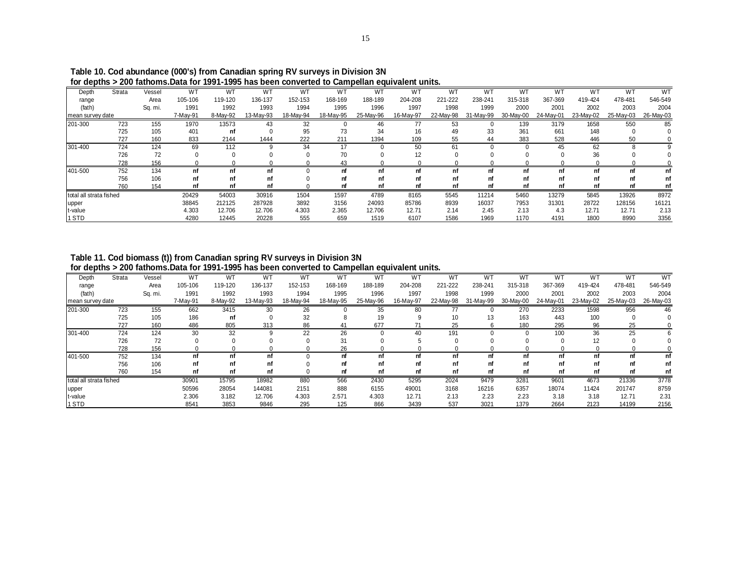|                         |        |         |          |          | וטו עסטוווסטרא בעט ומנווטוווס. סמונו וטו דוסטט וומס טכפוו טטוויפונפט נט טמוווטכוומוו פעטוימוכות מוותס. |           |           |           |           |           |           |           |           |           |           |           |
|-------------------------|--------|---------|----------|----------|--------------------------------------------------------------------------------------------------------|-----------|-----------|-----------|-----------|-----------|-----------|-----------|-----------|-----------|-----------|-----------|
| Depth                   | Strata | Vessel  | W1       | WT       | W1                                                                                                     | WT        | WT        | WT        | WT        | WT        | WT        | WT        | W"        | w.        | W٦        | <b>WT</b> |
| range                   |        | Area    | 105-106  | 119-120  | 136-137                                                                                                | 152-153   | 168-169   | 188-189   | 204-208   | 221-222   | 238-241   | 315-318   | 367-369   | 419-424   | 478-481   | 546-549   |
| (fath)                  |        | Sq. mi. | 1991     | 1992     | 1993                                                                                                   | 1994      | 1995      | 1996      | 1997      | 1998      | 1999      | 2000      | 2001      | 2002      | 2003      | 2004      |
| mean survey date        |        |         | 7-May-91 | 8-Mav-92 | 13-May-93                                                                                              | 18-May-94 | 18-May-95 | 25-May-96 | 16-May-97 | 22-May-98 | 31-May-99 | 30-May-00 | 24-May-01 | 23-May-02 | 25-May-03 | 26-May-03 |
| 201-300                 | 723    | 155     | 1970     | 13573    | 43                                                                                                     | 32        |           | 46        | 77        | 53        |           | 139       | 3179      | 1658      | 550       | 85        |
|                         | 725    | 105     | 401      | nf       |                                                                                                        | 95        | 73        | 34        | 16        | 49        | 33        | 361       | 661       | 148       |           |           |
|                         | 727    | 160     | 833      | 2144     | 1444                                                                                                   | 222       | 211       | 1394      | 109       | 55        | 44        | 383       | 528       | 446       | 50        |           |
| 301-400                 | 724    | 124     | 69       | 112      |                                                                                                        | 34        | 17        |           | 50        | 61        |           |           | 45        | 62        |           |           |
|                         | 726    | 72      |          |          |                                                                                                        |           | 70        |           | 12        |           |           |           |           | 36        |           |           |
|                         | 728    | 156     |          |          |                                                                                                        |           | 43        |           |           |           |           |           |           |           |           |           |
| 401-500                 | 752    | 134     |          | nf       | nf                                                                                                     |           | nf        | nf        | nf        | nf        | nf        | nf        |           | nf        |           | nf        |
|                         | 756    | 106     | nf       | nf       | nf                                                                                                     |           |           | nf        | nf        | nf        | nf        | nf        |           | nf        |           | nf        |
|                         | 760    | 154     |          | nf       |                                                                                                        |           |           | nf        | nf        | nf        | nf        | nf        |           | nf        |           |           |
| total all strata fished |        |         | 20429    | 54003    | 30916                                                                                                  | 1504      | 1597      | 4789      | 8165      | 5545      | 11214     | 5460      | 13279     | 5845      | 13926     | 8972      |
| upper                   |        |         | 38845    | 212125   | 287928                                                                                                 | 3892      | 3156      | 24093     | 85786     | 8939      | 16037     | 7953      | 31301     | 28722     | 128156    | 16121     |
| t-value                 |        |         | 4.303    | 12.706   | 12.706                                                                                                 | 4.303     | 2.365     | 12.706    | 12.71     | 2.14      | 2.45      | 2.13      | 4.3       | 12.71     | 12.71     | 2.13      |
| 1 STD                   |        |         | 4280     | 12445    | 20228                                                                                                  | 555       | 659       | 1519      | 6107      | 1586      | 1969      | 1170      | 4191      | 1800      | 8990      | 3356      |

 **Table 10. Cod abundance (000's) from Canadian spring RV surveys in Division 3N for depths > 200 fathoms.Data for 1991-1995 has been converted to Campellan equivalent units.**

 **Table 11. Cod biomass (t)) from Canadian spring RV surveys in Division 3N for depths > 200 fathoms.Data for 1991-1995 has been converted to Campellan equivalent units.**

| - - -                   |        |         |           |          |           |           |           | .         |           |           |           |           |           |                |           |           |
|-------------------------|--------|---------|-----------|----------|-----------|-----------|-----------|-----------|-----------|-----------|-----------|-----------|-----------|----------------|-----------|-----------|
| Depth                   | Strata | Vessel  | <b>WT</b> | WT       | WT        | WT        | <b>WT</b> | WT        | WT        | WT        | WT        | WT        | WT        | W <sub>1</sub> | W٦        | <b>WT</b> |
| range                   |        | Area    | 105-106   | 119-120  | 136-137   | 152-153   | 168-169   | 188-189   | 204-208   | 221-222   | 238-241   | 315-318   | 367-369   | 419-424        | 478-481   | 546-549   |
| (fath)                  |        | Sq. mi. | 1991      | 1992     | 1993      | 1994      | 1995      | 1996      | 1997      | 1998      | 1999      | 2000      | 2001      | 2002           | 2003      | 2004      |
| mean survey date        |        |         | 7-May-91  | 8-May-92 | 13-May-93 | 18-May-94 | 18-May-95 | 25-May-96 | 16-May-97 | 22-May-98 | 31-May-99 | 30-May-00 | 24-May-01 | 23-May-02      | 25-May-03 | 26-May-03 |
| 201-300                 | 723    | 155     | 662       | 3415     | 30        | 26        |           | 35        | 80        |           |           | 270       | 2233      | 1598           | 956       | 46        |
|                         | 725    | 105     | 186       | nf       |           | 32        |           | 19        |           | 10        | 13        | 163       | 443       | 100            |           |           |
|                         | 727    | 160     | 486       | 805      | 313       | 86        | 41        | 677       |           | 25        |           | 180       | 295       | 96             | 25        |           |
| 301-400                 | 724    | 124     | 30        | 32       |           | 22        | 26        |           | 40        | 191       |           |           | 100       | 36             | 25        |           |
|                         | 726    | 72      |           |          |           |           | 31        |           |           |           |           |           |           | 12             |           |           |
|                         | 728    | 156     |           |          |           |           | 26        |           |           |           |           |           |           |                |           |           |
| 401-500                 | 752    | 134     | nf        | nf       | nf        |           | nf        | nf        | nf        |           | nf        | nf        | nf        | nf             |           | nf        |
|                         | 756    | 106     | nf        | nf       |           |           | nf        | nf        | nf        |           |           | nf        | nf        | nf             |           |           |
|                         | 760    | 154     | nf        | nf       | nf        |           | nt        | nf        | nf        |           | nt        | nt        | nt        | nf             |           |           |
| total all strata fished |        |         | 30901     | 15795    | 18982     | 880       | 566       | 2430      | 5295      | 2024      | 9479      | 3281      | 9601      | 4673           | 21336     | 3778      |
| upper                   |        |         | 50596     | 28054    | 144081    | 2151      | 888       | 6155      | 49001     | 3168      | 16216     | 6357      | 18074     | 11424          | 201747    | 8759      |
| t-value                 |        |         | 2.306     | 3.182    | 12.706    | 4.303     | 2.571     | 4.303     | 12.71     | 2.13      | 2.23      | 2.23      | 3.18      | 3.18           | 12.71     | 2.31      |
| 1 STD                   |        |         | 8541      | 3853     | 9846      | 295       | 125       | 866       | 3439      | 537       | 3021      | 1379      | 2664      | 2123           | 14199     | 2156      |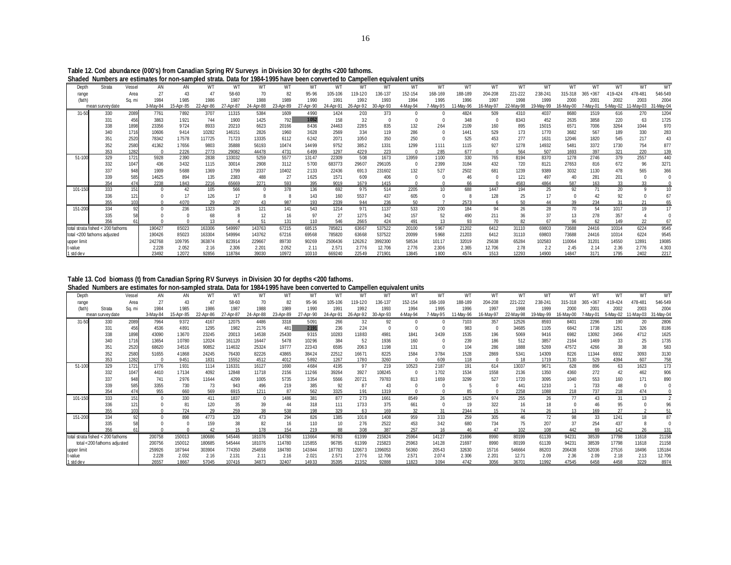| Table 12. Cod abundance (000's) from Canadian Spring RV Surveys in Division 30 for depths <200 fathoms.                   |
|---------------------------------------------------------------------------------------------------------------------------|
| Shaded Numbers are estimates for non-sampled strata. Data for 1984-1995 have been converted to Campellen equivalent units |

| unuuu       |                                   |        |          |           |           |           |           |           |           |           |           |           | TOOT TOOO HUTCHOON OONTOITOU TO OUNIDONON OQUITUMENT UNITIO |          |          |          |           |          |          |             |          |          |           |
|-------------|-----------------------------------|--------|----------|-----------|-----------|-----------|-----------|-----------|-----------|-----------|-----------|-----------|-------------------------------------------------------------|----------|----------|----------|-----------|----------|----------|-------------|----------|----------|-----------|
| Depth       | Strata                            | Vessel | AN       | AN        | WT        | WТ        | WT        | WT        | WT        | WT        | WT        | WT        | WT                                                          | WT       | WT       | WT       | WT        | WT       | WT       | WT          | WT       | WT       | WT        |
| range       |                                   | Area   |          |           |           | 58-60     | 70        | 82        | 95-96     | 105-106   | 19-120    | 136-137   | 152-154                                                     | 168-169  | 188-189  | 204-208  | 221-222   | 238-24   | 315-318  | $365 + 367$ | 419-424  | 478-481  | 546-549   |
| (fath)      |                                   | Sa. mi | 1984     | 1985      | 1986      | 1987      | 1988      | 1989      | 1990      | 1991      | 1992      | 1993      | 1994                                                        | 1995     | 1996     | 1997     | 1998      | 1999     | 2000     | 2001        | 2002     | 2003     | 2004      |
|             | mean survey date                  |        | 3-May-84 | 15-Apr-85 | 22-Apr-86 | 27-Apr-87 | 24-Apr-88 | 23-Apr-89 | 27-Apr-90 | 24-Apr-91 | 26-Apr-92 | 30-Apr-93 | 4-May-94                                                    | 7-May-95 | 1-May-96 | 6-May-97 | 22-May-98 | 9-May-99 | 6-May-00 | -Mav-01     | 5-May-02 | 1-May-03 | 31-May-04 |
| $31 - 50$   | 330                               | 2089   | 7761     | 7892      | 3707      | 11315     | 5384      | 1609      | 4990      | 1424      | 203       | 373       |                                                             |          | 4824     | 509      | 4310      | 4037     | 8680     | 1519        | 616      | 270      | 1204      |
|             | 331                               | 456    | 3863     | 1921      | 744       | 1900      | 1425      | 792       | 1052      | 158       | 32        |           |                                                             |          | 348      |          | 8343      | 452      | 2635     | 3858        | 220      | 63       | 1725      |
|             | 338                               | 1898   | 23356    | 9724      | 8933      | 20210     | 6623      | 20166     | 8436      | 24463     | 2285      | 835       | 132                                                         | 264      | 2109     | 160      | 895       | 15015    | 6571     | 7006        | 3264     | 1044     | 970       |
|             | 340                               | 1716   | 10606    | 9414      | 10282     | 146151    | 2826      | 1960      | 3628      | 2569      | 334       | 119       | 286                                                         |          | 1441     | 529      | 173       | 1770     | 3682     | 567         | 189      | 330      | 283       |
|             | 35'                               | 2520   | 78342    | 17578     | 117725    | 71723     | 13335     | 6112      | 6242      | 2071      | 1050      | 350       | 250                                                         |          | 525      | 453      | 277       | 1631     | 12046    | 1820        | 545      | 217      | 43        |
|             | 352                               | 2580   | 41362    | 17656     | 9803      | 35888     | 56193     | 10474     | 14499     | 9752      | 3852      | 1331      | 1299                                                        | 1111     | 1115     | 927      | 1278      | 14932    | 5481     | 3372        | 1730     | 754      | 877       |
|             | 353                               | 1282   |          | 2226      | 2773      | 29082     | 44478     | 4731      | 6499      | 1297      | 4229      | 223       |                                                             | 285      | 677      |          | 564       | 507      | 1693     | 397         | 321      | 220      | 139       |
| 51-100      | 329                               | 1721   | 5928     | 2390      | 2838      | 133032    | 5259      | 5577      | 13147     | 22309     | 508       | 1673      | 13959                                                       | 1100     | 330      | 765      | 8194      | 8370     | 1278     | 2746        | 379      | 2557     | 440       |
|             | 332                               | 1047   | 436      | 3432      | 1115      | 30014     | 2908      | 3112      | 5700      | 683773    | 29607     | 296105    |                                                             | 2399     | 3184     | 432      | 720       | 8121     | 27653    | 816         | 672      | 96       | 3271      |
|             | 337                               | 948    | 1909     | 5688      | 1369      | 1799      | 2337      | 10402     | 2133      | 22436     | 6913      | 231602    | 132                                                         | 527      | 2502     | 681      | 1239      | 9389     | 3032     | 1130        | 478      | 565      | 366       |
|             | 339                               | 585    | 14625    | 894       | 135       | 2383      | 488       | 27        | 1625      | 1571      | 609       | 406       |                                                             |          |          |          | 121       | 497      | 40       | 281         | 201      |          |           |
|             | 354                               | 474    | 2238     | 1843      | 2216      | 65669     | 2271      | 593       | 395       | 9019      | 1679      | 1415      |                                                             |          | 66       |          | 4583      | 4864     | 587      | 163         | 33       | 33       |           |
| 101-150     | 333                               | 151    |          | 42        | 105       | 566       | $\Omega$  | 378       | 136       | 692       | 975       | 514       | 2205                                                        | 10       | 688      | 1447     | 194       | 25       | 92       | 71          | 20       |          |           |
|             | 336                               |        |          |           | 126       | 17        | 8         |           | 143       | 160       | 5537      | 437       | 605                                                         |          |          | 128      | 25        | 17       |          | 42          | 92       |          |           |
|             | 355                               |        |          | 4070      | 29        | 207       | 43        | 987       | 193       | 2339      | 944       | 236       | 50                                                          |          | 2573     |          | 50        | 44       | 3d       | 234         | 31       |          |           |
| 151-200     | 334                               | 92     |          | 236       | 1323      | 26        | 121       | 141       | 543       | 1214      | 971       | 1137      | 533                                                         | 200      | 184      | 94       | 26        | 28       | 70       | 54          | 1017     | 19       |           |
|             | 335                               |        |          |           | 68        |           | 12        | 16        | 97        | 27        | 1275      | 342       | 157                                                         | 52       | 490      | 211      | 36        | 37       | 13       | 278         | 357      |          |           |
|             | 356                               |        |          |           |           |           | 51        | 131       | 110       | 546       | 2665      | 424       | 491                                                         | 13       | 93       | 70       | 82        | 67       | 96       |             | 149      | 22       |           |
|             | total strata fished < 200 fathoms |        | 190427   | 85023     | 163306    | 549997    | 143763    | 67215     | 68515     | 785821    | 63667     | 537522    | 20100                                                       | 5967     | 21202    | 6412     | 31110     | 69803    | 73688    | 24416       | 10314    | 6224     | 9545      |
|             | total <200 fathoms adjusted       |        | 190426   | 85023     | 163304    | 549994    | 143762    | 67216     | 69568     | 785820    | 63668     | 537522    | 20099                                                       | 5968     | 21203    | 6412     | 31110     | 69803    | 73688    | 24416       | 10314    | 6224     | 9545      |
| upper limit |                                   |        | 242768   | 109795    | 363874    | 823914    | 229667    | 89730     | 90269     | 2506436   | 126262    | 3992300   | 58534                                                       | 10117    | 32019    | 25638    | 65284     | 102583   | 110064   | 31201       | 14550    | 12891    | 19085     |
| t-value     |                                   |        | 2.228    | 2.052     | 2.16      | 2.306     | 2.201     | 2.052     | 2.11      | 2.571     | 2.776     | 12.706    | 2.776                                                       | 2.306    | 2.365    | 12.706   | 2.78      | 2.2      | 2.45     | 2.14        | 2.36     | 2.776    | 4.303     |
| 1 std dev   |                                   |        | 23492    | 12072     | 92856     | 118784    | 39030     | 10972     | 10310     | 669240    | 22549     | 271901    | 13845                                                       | 1800     | 4574     | 1513     | 12293     | 14900    | 14847    | 3171        | 1795     | 2402     | 2217      |
|             |                                   |        |          |           |           |           |           |           |           |           |           |           |                                                             |          |          |          |           |          |          |             |          |          |           |

**Table 13. Cod biomass (t) from Canadian Spring RV Surveys in Division 3O for depths <200 fathoms.**

**Shaded Numbers are estimates for non-sampled strata. Data for 1984-1995 have been converted to Campellen equivalent units**

| Depth           |                                   | Vessel      | AN           | AN           | WT           | WT            | WТ           | WΤ        | WΤ           | W1         | WT        | WT        | WT       | WT       | W1          | WT        | WT             | WT           | WT           | W1           | WT          |           | W٦           |
|-----------------|-----------------------------------|-------------|--------------|--------------|--------------|---------------|--------------|-----------|--------------|------------|-----------|-----------|----------|----------|-------------|-----------|----------------|--------------|--------------|--------------|-------------|-----------|--------------|
|                 |                                   | Area        |              | 43           |              | 58-60         | 70           | 82        | 95-96        | 105-106    | 19-120    | 136-137   | 152-154  | 168-169  | 188-189     | 204-208   | 221-222        | 238-241      | 315-318      | $365 + 367$  | 19-424      | 478-48    | 546-549      |
| range<br>(fath) | Strata                            | Sa. mi      | 1984         | 1985         | 1986         | 1987          | 1988         | 1989      | 1990         | 1991       | 1992      | 1993      | 1994     | 1995     | 1996        | 1997      | 1998           | 1999         | 2000         | 200'         | 2002        | 2003      | 2004         |
|                 | mean survey date                  |             | 3-May-84     | 15-Apr-85    | 22-Apr-86    | 27-Apr-87     | 24-Apr-88    | 23-Apr-89 | 27-Apr-90    | 24-Apr-91  | 26-Apr-92 | 30-Apr-93 | 4-May-94 | 7-May-95 | 1-Mav-96    | 16-May-97 | 22-May-98      | 19-May-99    | 6-May-00     | 7-May-01     | 5-May-02    | 11-May-03 | 31-May-04    |
|                 |                                   |             |              |              |              |               |              |           |              |            |           |           |          |          |             |           |                |              |              |              |             |           |              |
| 31-50           | 330<br>331                        | 2089<br>456 | 7964<br>4536 | 9372<br>4891 | 4167<br>1295 | 12075<br>1982 | 4486<br>2176 | 3318      | 5091<br>2191 | 266<br>236 | 32<br>224 | 92        |          |          | 7103<br>983 | 357       | 12526<br>34685 | 8593<br>1105 | 8401<br>6842 | 2296<br>1738 | 190<br>1251 | 20<br>326 | 2806<br>8186 |
|                 |                                   |             |              |              |              |               |              | 481       |              |            |           |           |          |          |             |           |                |              |              |              |             |           |              |
|                 | 338                               | 1898        | 43090        | 13670        | 23245        | 20013         | 14538        | 25430     | 9315         | 10283      | 11883     | 4981      | 1841     | 3439     | 1535        | 196       | 5069           | 9416         | 6982         | 13092        | 2456        | 4712      | 1625         |
|                 | 340                               | 1716        | 13654        | 10780        | 12024        | 161120        | 16447        | 5478      | 10296        | 384        | 52        | 1936      | 160      |          | 239         | 186       | 512            | 3857         | 2164         | 1469         | 33          | 25        | 1735         |
|                 | 351                               | 2520        | 68620        | 34516        | 90852        | 114632        | 25324        | 19777     | 22343        | 6595       | 2063      | 1198      | 131      |          | 104         | 286       | 1888           | 5269         | 47572        | 4266         | 38          | 38        | 583          |
|                 | 352                               | 2580        | 51655        | 41868        | 24245        | 76430         | 82226        | 43865     | 38424        | 22512      | 16671     | 8225      | 1584     | 3784     | 1528        | 2869      | 5341           | 14309        | 8226         | 11344        | 6932        | 3093      | 3130         |
|                 | 353                               | 1282        |              | 9451         | 1831         | 15552         | 4512         | 4012      | 5892         | 1267       | 1780      | 3260      |          | 609      | 118         |           | 18             | 1719         | 7130         | 529          | 4394        | 607       | 758          |
| 51-100          | 329                               | 1721        | 1776         | 1931         | 1114         | 116331        | 16127        | 1690      | 4684         | 4195       | 97        | 219       | 10523    | 2187     | 191         | 614       | 13037          | 9671         | 628          | 896          | 63          | 1623      | 173          |
|                 | 332                               | 1047        | 4410         | 17134        | 4092         | 12848         | 11718        | 2156      | 11266        | 39264      | 3927      | 108245    |          | 1702     | 1534        | 1558      | 2136           | 1350         | 4360         | 272          | 42          | 462       | 906          |
|                 | 337                               | 948         | 741          | 2976         | 11644        | 4299          | 1005         | 5735      | 3354         | 5566       | 20721     | 79783     | 813      | 1659     | 3299        | 527       | 1720           | 3095         | 1040         | 553          | 160         | 171       | 890          |
|                 | 339                               | 585         | 3355         | 730          | 73           | 943           | 496          | 219       | 385          | 92         | 87        | 43        |          |          |             |           | 441            | 1210         |              | 733          | 48          |           |              |
|                 | 354                               | 474         | 955          | 660          | 569          | 6915          | 1211         |           | 562          | 3325       | 191       | 1319      |          |          | 85          |           | 2258           | 1088         | 218          | 737          | 218         | 474       |              |
| 101-150         | 333                               | 151         |              | 330          | 411          | 1837          | $\Omega$     | 1486      | 381          | 877        | 273       | 1661      | 8549     | 26       | 1625        | 974       | 255            | 26           | 77           | 43           | 31          | 13        |              |
|                 | 336                               | 121         |              | 81           | 120          | 35            | 39           | 44        | 318          | 111        | 1733      | 375       | 661      |          | 19          | 322       | 16             | 18           |              |              | 95          |           |              |
|                 | 355                               |             |              | 724          | 29           | 259           | 38           | 538       | 198          | 329        | 63        | 169       | 32       | 31       | 2344        |           | 74             | 26           | 13           | 169          | 27          |           |              |
| 151-200         | 334                               | 92          |              | 898          | 4773         | 120           | 473          | 294       | 826          | 1385       | 1018      | 1408      | 959      | 333      | 259         | 305       | 46             | 72           | 98           | 33           | 1241        |           |              |
|                 | 335                               |             |              |              | 159          | 38            | 82           | 16        | 110          |            | 276       | 2522      | 453      | 342      | 680         | 734       | 75             | 207          | 37           | 254          | 437         |           |              |
|                 | 356                               |             |              |              |              | 15            | 178          | 154       | 219          | 88         | 308       | 387       | 257      | 16       | 46          |           | 102            | 108          | 442          | 69           | 142         | 26        | 131          |
|                 | total strata fished < 200 fathoms |             | 200758       | 150013       | 180686       | 545446        | 181076       | 114780    | 113664       | 96783      | 61399     | 215824    | 25964    | 14127    | 21696       | 8990      | 80199          | 61139        | 94231        | 38539        | 17798       | 11618     | 21158        |
|                 | total <200 fathoms adjusted       |             | 200756       | 150012       | 180685       | 545444        | 181076       | 114780    | 115855       | 96785      | 61399     | 215823    | 25963    | 14128    | 21697       | 8990      | 80199          | 61139        | 94231        | 38539        | 17798       | 11618     | 21158        |
| upper limit     |                                   |             | 259926       | 187944       | 303904       | 774350        | 254658       | 184780    | 143844       | 187783     | 120673    | 396053    | 56360    | 20543    | 32630       | 15716     | 546664         | 86203        | 206438       | 52036        | 27516       | 18496     | 135184       |
| t-value         |                                   |             | 2.228        | 2.032        | 2.16         | 2.131         | 2.11         | 2.16      | 2.021        | 2.57'      | 2.776     | 12.706    | 2.571    | 2.074    | 2.306       | 2.201     | 12.71          | 2.09         | 2.36         | 2.09         | 2.18        | 2.13      | 12.706       |
| 1 std de v      |                                   |             | 26557        | 18667        | 57045        | 107416        | 34873        | 32407     | 14933        | 35395      | 21352     | 92888     | 11823    | 3094     | 4742        | 3056      | 36701          | 11992        | 47545        | 6458         | 4458        | 3229      | 8974         |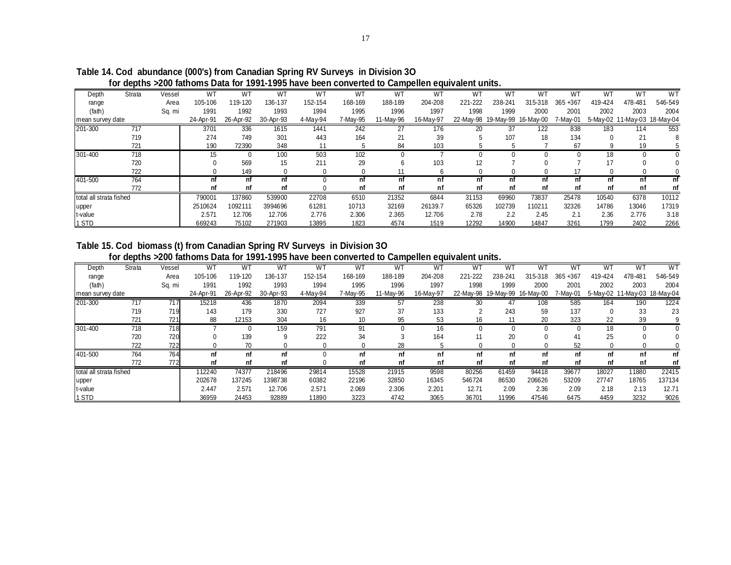|                         | TUI GUNUS ZEUV TAITUMS DAIA TUI TUUT TUUU NAVU NGGH CUMVOLIGU IU QAMDOMON GUNVAIGHI IMMS. |        |           |           |           |          |          |           |           |           |           |                               |          |         |         |                              |
|-------------------------|-------------------------------------------------------------------------------------------|--------|-----------|-----------|-----------|----------|----------|-----------|-----------|-----------|-----------|-------------------------------|----------|---------|---------|------------------------------|
| Depth                   | Strata                                                                                    | Vessel | WT        | <b>WT</b> | WT        | WT       | WT       | WT        | WT        | <b>WT</b> | <b>WT</b> | WT                            | WT       | WT      | WT      | <b>WT</b>                    |
| range                   |                                                                                           | Area   | 105-106   | 119-120   | 136-137   | 152-154  | 168-169  | 188-189   | 204-208   | 221-222   | 238-241   | 315-318                       | 365+367  | 419-424 | 478-481 | 546-549                      |
| (fath)                  |                                                                                           | Sq. mi | 1991      | 1992      | 1993      | 1994     | 1995     | 1996      | 1997      | 1998      | 1999      | 2000                          | 2001     | 2002    | 2003    | 2004                         |
| mean survey date        |                                                                                           |        | 24-Apr-91 | 26-Apr-92 | 30-Apr-93 | 4-May-94 | 7-May-95 | 11-May-96 | 16-May-97 |           |           | 22-May-98 19-May-99 16-May-00 | 7-May-01 |         |         | 5-May-02 11-May-03 18-May-04 |
| 201-300                 | 717                                                                                       |        | 3701      | 336       | 1615      | 1441     | 242      | 27        | 176       | 20        | 37        | 122                           | 838      | 183     | 114     | 553                          |
|                         | 719                                                                                       |        | 274       | 749       | 301       | 443      | 164      | 21        | 39        |           | 107       | 18                            | 134      |         | 21      |                              |
|                         | 721                                                                                       |        | 190       | 72390     | 348       | 11       |          | 84        | 103       |           |           |                               | 67       |         | 19      |                              |
| 301-400                 | 718                                                                                       |        | 15        |           | 100       | 503      | 102      |           |           |           |           |                               |          | 18      |         |                              |
|                         | 720                                                                                       |        |           | 569       | 15        | 211      | 29       | 6         | 103       | 12        |           |                               |          | 17      |         |                              |
|                         | 722                                                                                       |        |           | 149       |           |          |          |           |           |           |           |                               |          |         |         |                              |
| 401-500                 | 764                                                                                       |        | nt        |           |           |          |          | nf        |           | nf        |           |                               |          |         | nf      | nf                           |
|                         | 772                                                                                       |        | nf        | nf        | nf        |          | nf       | nf        | nf        | nf        | nf        | nf                            | nf       | nf      | nf      | nf                           |
| total all strata fished |                                                                                           |        | 790001    | 137860    | 539900    | 22708    | 6510     | 21352     | 6844      | 31153     | 69960     | 73837                         | 25478    | 10540   | 6378    | 10112                        |
| upper                   |                                                                                           |        | 2510624   | 1092111   | 3994696   | 61281    | 10713    | 32169     | 26139.7   | 65326     | 102739    | 110211                        | 32326    | 14786   | 13046   | 17319                        |
| t-value                 |                                                                                           |        | 2.571     | 12.706    | 12.706    | 2.776    | 2.306    | 2.365     | 12.706    | 2.78      | 2.2       | 2.45                          | 2.1      | 2.36    | 2.776   | 3.18                         |
| 1 STD                   |                                                                                           |        | 669243    | 75102     | 271903    | 13895    | 1823     | 4574      | 1519      | 12292     | 14900     | 14847                         | 3261     | 1799    | 2402    | 2266                         |

**Table 14. Cod abundance (000's) from Canadian Spring RV Surveys in Division 3O for depths >200 fathoms Data for 1991-1995 have been converted to Campellen equivalent units.**

# **Table 15. Cod biomass (t) from Canadian Spring RV Surveys in Division 3O for depths >200 fathoms Data for 1991-1995 have been converted to Campellen equivalent units.**

| Depth                   | Strata | Vessel     | WT        | WT        | <b>WT</b> | <b>WT</b> | WT       | WT        | W٦        | WT         | <b>WT</b>           | WT        | WT       | WT       | WT                           | W <sub>T</sub> |
|-------------------------|--------|------------|-----------|-----------|-----------|-----------|----------|-----------|-----------|------------|---------------------|-----------|----------|----------|------------------------------|----------------|
| range                   |        | Area       | 105-106   | 119-120   | 136-137   | 152-154   | 168-169  | 188-189   | 204-208   | 221-222    | 238-241             | 315-318   | 365+367  | 419-424  | 478-481                      | 546-549        |
| (fath)                  |        | Sq. mi     | 1991      | 1992      | 1993      | 1994      | 1995     | 1996      | 1997      | 1998       | 1999                | 2000      | 2001     | 2002     | 2003                         | 2004           |
| mean survey date        |        |            | 24-Apr-91 | 26-Apr-92 | 30-Apr-93 | 4-May-94  | 7-May-95 | 11-May-96 | 16-May-97 |            | 22-May-98 19-May-99 | 16-May-00 | 7-May-01 |          | 5-May-02 11-May-03 18-May-04 |                |
| 201-300                 | 717    | 717        | 15218     | 436       | 1870      | 2094      | 339      | 57        | 238       | 30         | 47                  | 108       | 585      | 164      | 190                          | 1224           |
|                         | 719    | 719        | 143       | 179       | 330       | 727       | 927      | 37        | 133       | $\sqrt{2}$ | 243                 | 59        | 137      | $\Omega$ | 33                           | 23             |
|                         | 721    | 721        | 88        | 12153     | 304       | 16        | 10       | 95        | 53        | 16         |                     | 20        | 323      | 22       | 39                           |                |
| 301-400                 | 718    | <b>718</b> |           |           | 159       | 791       | 91       | 0         | 16        |            |                     |           |          | 18       |                              |                |
|                         | 720    | 720        |           | 139       | 9         | 222       | 34       |           | 164       | 11         | 20                  |           | 41       | 25       |                              |                |
|                         | 722    | 722        |           | 70        |           |           |          | 28        |           |            |                     |           | 52       |          |                              |                |
| 401-500                 | 764    | 764        | nf        | nf        |           |           | nf       | nf        | nf        | nf         | nf                  | nf        | nf       | nf       | nf                           | nf             |
|                         | 772    | 772        | nf        | nf        |           |           | nf       | nf        | nf        | nf         | nf                  | nf        | nf       | nf       | nf                           | nf             |
| total all strata fished |        |            | 112240    | 74377     | 218496    | 29814     | 15528    | 21915     | 9598      | 80256      | 61459               | 94418     | 39677    | 18027    | 1880                         | 22415          |
| upper                   |        |            | 202678    | 137245    | 1398738   | 60382     | 22196    | 32850     | 16345     | 546724     | 86530               | 206626    | 53209    | 27747    | 18765                        | 137134         |
| t-value                 |        |            | 2.447     | 2.571     | 12.706    | 2.571     | 2.069    | 2.306     | 2.201     | 12.71      | 2.09                | 2.36      | 2.09     | 2.18     | 2.13                         | 12.71          |
| 1 STD                   |        |            | 36959     | 24453     | 92889     | 11890     | 3223     | 4742      | 3065      | 36701      | 11996               | 47546     | 6475     | 4459     | 3232                         | 9026           |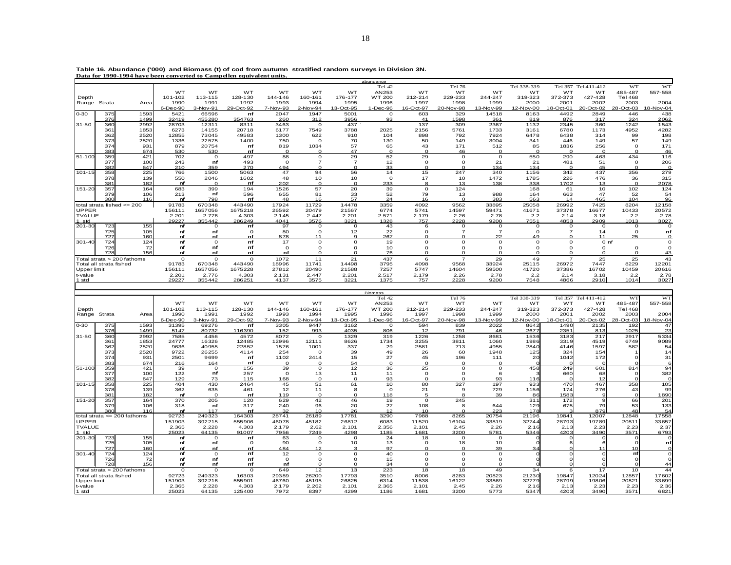|                         |     | Data for 1990-1994 have been converted to Campellen equivalent units. |           |           |           |           |                |              |           |             |                |           |             |                |                |                |           |
|-------------------------|-----|-----------------------------------------------------------------------|-----------|-----------|-----------|-----------|----------------|--------------|-----------|-------------|----------------|-----------|-------------|----------------|----------------|----------------|-----------|
|                         |     |                                                                       |           |           |           |           |                |              | abundance |             |                |           |             |                |                |                |           |
|                         |     |                                                                       |           |           |           |           |                |              | Tel 42    |             | Tel 76         |           | Tel 338-339 | Tel 357        | Tel 411-412    | <b>WT</b>      | WT        |
|                         |     |                                                                       | <b>WT</b> | <b>WT</b> | <b>WT</b> | <b>WT</b> | <b>WT</b>      | <b>WT</b>    | AN253     | <b>WT</b>   | <b>WT</b>      | <b>WT</b> | WT          | <b>WT</b>      | <b>WT</b>      | 485-487        | 557-558   |
| Depth                   |     |                                                                       | 101-102   | 113-115   | 128-130   | 144-146   | 160-161        | 176-177      | WT 200    | 212-214     | 229-233        | 244-247   | 319-323     | 372-373        | 427-428        | <b>Tel 468</b> |           |
| Range Strata            |     | Area                                                                  | 1990      | 1991      | 1992      | 1993      | 1994           | 1995         | 1996      | 1997        | 1998           | 1999      | 2000        | 2001           | 2002           | 2003           | 2004      |
|                         |     |                                                                       | 6-Dec-90  | 3-Nov-91  | 29-Oct-92 | 7-Nov-93  | 2-Nov-94       | 13-Oct-95    | 1-Dec-96  | 16-Oct-97   | 20-Nov-98      | 13-Nov-99 | 12-Nov-00   | 18-Oct-01      | 20-Oct-02      | 28-Oct-03      | 18-Nov-04 |
| $0 - 30$                | 375 | 1593                                                                  | 5421      | 66596     | nf        | 2047      | 1947           | 5001         | $\circ$   | 603         | 329            | 14518     | 8163        | 4492           | 2849           | 446            | 438       |
|                         | 376 | 1499                                                                  | 32419     | 455280    | 354763    | 260       | 312            | 3956         | 93        | 41          | 1598           | 361       | 819         | 876            | 317            | 324            | 2062      |
| 31-50                   | 360 | 2992                                                                  | 28703     | 12311     | 8311      | 3463      | $\circ$        | 437          |           | 137         | 309            | 2367      | 1132        | 2345           | 360            | 1242           | 1543      |
|                         | 361 | 1853                                                                  | 6273      | 14155     | 20718     | 6177      | 7549           | 3788         | 2025      | 2156        | 5761           | 1733      | 3161        | 6780           | 1173           | 4952           | 4282      |
|                         | 362 | 2520                                                                  | 12855     | 73045     | 49583     | 1300      | 622            | 910          | 104       | 898         | 792            | 7924      | 6478        | 6438           | 314            | 99             | 198       |
|                         | 373 | 2520                                                                  | 1336      | 22575     | 1400      | 750       | $\Omega$       | 70           | 130       | 50          | 149            | 3004      | 341         | 446            | 149            | 57             | 149       |
|                         | 374 | 931                                                                   | 879       | 20754     | nf        | 819       | 1034           | 57           | 65        | 43          | 171            | 512       | 85          | 1836           | 256            | $\circ$        | 171       |
|                         | 383 | 674                                                                   | 530       | 530       | nf        | $\Omega$  |                | 47           | $\Omega$  | $\Omega$    | 46             | $\Omega$  |             | $\Omega$       | $\Omega$       | $\Omega$       | 46        |
| 51-100                  | 359 | 421                                                                   | 702       | $\Omega$  | 497       | 88        | $\Omega$       | 29           | 52        | 29          | $\circ$        | $\Omega$  | 550         | 290            | 463            | 434            | 116       |
|                         | 377 | 100                                                                   | 243       | nf        | 493       | $\Omega$  | $\overline{7}$ |              | 12        | $\Omega$    | $\Omega$       | 21        | 21          | 481            | 51             | $\Omega$       | 206       |
|                         | 382 | 647                                                                   | 210       | 359       | 270       | 494       |                |              | 33        |             | $\sqrt{2}$     | 134       | 134         | $\Omega$       | 45             |                |           |
| $101 - 15$              | 358 | 225                                                                   | 766       | 1500      | 5063      | 47        | 94             | 56           | 14        | 15          | 247            | 340       | 1156        | 342            | 437            | 356            | 279       |
|                         | 378 | 139                                                                   | 550       | 2046      | 1602      | 48        | 10             | 10           | $\circ$   | 17          | 10             | 1472      | 1785        | 226            | 476            | 36             | 315       |
|                         | 381 | 182                                                                   | nf        | $\Omega$  | nf        | 202       | $\Omega$       | $\Omega$     | 233       | $\circ$     | 13             | 138       | 338         | 1702           | 13             | $\Omega$       | 2078      |
| 151-20                  | 357 | 164                                                                   | 683       | 399       | 194       | 1526      | 57             | 20           | 39        | $\mathbf 0$ | 124            |           | 168         | 61             | 10             | 102            | 124       |
|                         | 379 | 106                                                                   | 213       | nf        | 596       | 655       | 81             | 33           | 52        | 79          | 13             | 988       | 164         | 663            | 47             | 52             | 54        |
|                         | 380 | 116                                                                   | nf        | 798       | nf        | 48        | 16             | 57           | 24        | 16          | $\Omega$       | 383       | 563         | 14             | 465            | 104            | 96        |
|                         |     | total strata fished $\leq$ 200                                        | 91783     | 670348    | 443490    | 17924     | 11729          | 14478        | 3359      | 4092        | 9562           | 33895     | 25058       | 26992          | 7425           | 8204           | 12158     |
| <b>UPPER</b>            |     |                                                                       | 156111    | 1657056   | 1675218   | 26592     | 20479          | 21567        | 6774      | 5741        | 14597          | 59471     | 41671       | 37378          | 16677          | 10433          | 20572     |
| <b>TVALUE</b>           |     |                                                                       | 2.201     | 2.776     | 4.303     | 2.145     | 2.447          | 2.201        | 2.571     | 2.179       | 2.26           | 2.78      | 2.2         | 2.14           | 3.18           | 2.2            | 2.78      |
| 1 std                   |     |                                                                       | 29227     | 355442    | 286249    | 4041      | 3576           | 3221         | 1328      | 757         | 2228           | 9200      | 7551        | 4853           | 2909           | 1013           | 3027      |
| 201-30                  | 723 | 155                                                                   | nf        | $\Omega$  | nf        | 97        | $\Omega$       | $\mathbf{o}$ | 43        | 6           | $\circ$        | $\Omega$  | $\Omega$    | $\circ$        | $\circ$        | $\mathbf{o}$   |           |
|                         | 725 | 105                                                                   | nf        | nf        | $\Omega$  | 80        |                | 12           | 22        | $\Omega$    |                |           | $\Omega$    |                | 14             | $\circ$        | nt        |
|                         | 727 | 160                                                                   | nf        | nf        | nf        | 878       | 11             | Q            | 267       | $\Omega$    | $\Omega$       | 22        | 49          | $\Omega$       | 11             | 25             |           |
| $301 - 40$              | 724 | 124                                                                   | nf        | $\circ$   | nf        | 17        | $\Omega$       |              | 19        | $\Omega$    | $\Omega$       | $\Omega$  | $\Omega$    | $\circ$        | 0 <sub>0</sub> |                |           |
|                         | 726 | 72                                                                    | nf        | nf        | nf        | O         |                |              | 10        | $\Omega$    | $\Omega$       |           | $\Omega$    | O              | O              | 0              |           |
|                         | 728 | 156                                                                   | nf        | nf        | nf        | nf        |                |              | 76        | $\Omega$    | $\Omega$       |           |             | $\Omega$       | $\Omega$       | $\Omega$       | 43        |
|                         |     | Total strata > 200 fathoms                                            | $\Omega$  | $\Omega$  | $\Omega$  | 1072      | 11             | 21           | 437       | 6           | $\overline{7}$ | 29        | 49          | $\overline{7}$ | 25             | 25             | 43        |
| Total all strata fished |     |                                                                       | 91783     | 670348    | 443490    | 18996     | 11741          | 14498        | 3795      | 4098        | 9568           | 33924     | 25115       | 26972          | 7447           | 8229           | 12201     |
| Upper limit             |     |                                                                       | 156111    | 1657056   | 1675228   | 27812     | 20490          | 21588        | 7257      | 5747        | 14604          | 59500     | 41720       | 37386          | 16702          | 10459          | 20616     |
| t-value                 |     |                                                                       | 2.201     | 2.776     | 4.303     | 2.131     | 2.447          | 2.201        | 2.517     | 2.179       | 2.26           | 2.78      | 2.2         | 2.14           | 3.18           | 2.2            | 2.78      |
| 1 std                   |     |                                                                       | 29227     | 355442    | 286251    | 4137      | 3575           | 3221         | 1375      | 757         | 2228           | 9200      | 7548        | 4866           | 2910           | 1014           | 3027      |

**Table 16. Abundance ('000) and Biomass (t) of cod from autumn stratified random surveys in Division 3N.** 

|               |                         |                                 |           |           |              |               |                      |           | <b>Biomass</b> |           |                      |           |                |           |             |                |           |
|---------------|-------------------------|---------------------------------|-----------|-----------|--------------|---------------|----------------------|-----------|----------------|-----------|----------------------|-----------|----------------|-----------|-------------|----------------|-----------|
|               |                         |                                 |           |           |              |               |                      |           | Tel 42         |           | Tel 76               |           | Tel 338-339    | Tel 357   | Tel 411-412 | WT             | WT        |
|               |                         |                                 | <b>WT</b> | <b>WT</b> | <b>WT</b>    | <b>WT</b>     | <b>WT</b>            | <b>WT</b> | AN253          | <b>WT</b> | <b>WT</b>            | <b>WT</b> | <b>WT</b>      | <b>WT</b> | <b>WT</b>   | 485-487        | 557-558   |
| Depth         |                         |                                 | 101-102   | 113-115   | 128-130      | 144-146       | 160-161              | 176-177   | WT 200         | 212-214   | 229-233              | 244-247   | 319-323        | 372-373   | 427-428     | <b>Tel 468</b> |           |
| Range         | Strata                  | Area                            | 1990      | 1991      | 1992         | 1993          | 1994                 | 1995      | 1996           | 1997      | 1998                 | 1999      | 2000           | 2001      | 2002        | 2003           | 2004      |
|               |                         |                                 | 6-Dec-90  | 3-Nov-91  | 29-Oct-92    | 7-Nov-93      | 2-Nov-94             | 13-Oct-95 | 1-Dec-96       | 16-Oct-97 | 20-Nov-98            | 13-Nov-99 | 12-Nov-00      | 18-Oct-01 | 20-Oct-02   | 28-Oct-03      | 18-Nov-04 |
| $0 - 30$      | 375                     | 1593                            | 31395     | 69276     | nf           | 3305          | 9447                 | 3162      | $\Omega$       | 594       | 839                  | 2022      | 8642           | 1490      | 2135        | 192            | 47        |
|               | 376                     | 1499                            | 5147      | 80732     | 116390       | 152           | 993                  | 4035      | 806            | 12        | 791                  | 46        | 2677           | 2351      | 813         | 1025           | 23        |
| 31-50         | 360                     | 2992                            | 7585      | 4456      | 4572         | 8072          | $\mathbf{o}$         | 1329      | 319            | 1226      | 1258                 | 8681      | 1536           | 3183      | 217         | 2917           | 5334      |
|               | 361                     | 1853                            | 24777     | 16326     | 12485        | 12996         | 12111                | 8626      | 1734           | 3255      | 3811                 | 1060      | 1986           | 3319      | 4519        | 6749           | 9089      |
|               | 362                     | 2520                            | 9636      | 40955     | 22852        | 1576          | 1001                 | 337       | 29             | 2581      | 713                  | 4955      | 2840           | 4146      | 1597        | 582            | 54        |
|               | 373                     | 2520                            | 9722      | 26255     | 4114         | 254           | $\Omega$             | 39        | 49             | 26        | 60                   | 1948      | 125            | 324       | 154         |                | 14        |
|               | 374                     | 931                             | 2501      | 9699      | nf           | 1102          | 2414                 | 15        | 27             | 45        | 196                  | 111       | 2 <sub>C</sub> | 1042      | 172         |                | 31        |
|               | 383                     | 674                             | 216       | 164       | nf           | $\Omega$      | $\Omega$             | 54        | $\Omega$       |           | $\Omega$             | $\Omega$  |                |           |             |                |           |
| 51-100        | 359                     | 421                             | 39        | $\Omega$  | 156          | 39            | $\Omega$             | 12        | 36             | 25        | $\circ$              | $\Omega$  | 458            | 249       | 601         | 814            | 94        |
|               | 377                     | 100                             | 122       | nf        | 257          | $\circ$       | 13                   | 11        | 11             | $\Omega$  | $\Omega$             |           |                | 660       | 68          |                | 382       |
|               | 382                     | 647                             | 129       | 73        | 115          | 168           | $\Omega$             | $\Omega$  | 93             |           |                      | 93        | 116            | $\Omega$  | 12          |                | $\Omega$  |
| $101 - 15$    | 358                     | 225                             | 404       | 430       | 2464         | 45            | 51                   | 61        | 10             | 80        | 327                  | 197       | 933            | 470       | 467         | 358            | 105       |
|               | 378                     | 139                             | 362       | 635       | 461          | 12            | 11                   | 8         | $\circ$        | 21        | 9                    | 729       | 1156           | 174       | 276         | 43             | 99        |
|               | 381                     | 182                             | nf        | $\Omega$  | nf           | 119           | $\Omega$             | $\Omega$  | 118            |           |                      | 39        | 86             | 1583      |             | $\Omega$       | 1890      |
| 151-20        | 357                     | 164                             | 370       | 205       | 120          | 629           | 42                   | 46        | 19             | $\Omega$  | 245                  |           | 311            | 172       | 9           | 66             | 201       |
|               | 379                     | 106                             | 318       | nf        | 317          | 240           | 96                   | 20        | 27             | 108       | 8                    | 644       | 129            | 675       | 79          | 53             | 133       |
|               | 380                     | 116                             | nf        | 117       | nf           | 32            | 10                   | 26        | 12             | 10        |                      | 223       | 178            |           | 879         | 48             | 54        |
|               |                         | total strata $\leq$ 200 fathoms | 92723     | 249323    | 164303       | 28741         | 26189                | 17781     | 3290           | 7988      | 8265                 | 20754     | 21196          | 19841     | 12007       | 12848          | 17558     |
| UPPER         |                         |                                 | 151903    | 392215    | 555906       | 46078         | 45182                | 26812     | 6083           | 11520     | 16104                | 33819     | 32744          | 28793     | 19789       | 20811          | 33657     |
| <b>TVALUE</b> |                         |                                 | 2.365     | 2.228     | 4.303        | 2.179         | 2.62                 | 2.101     | 2.356          | 2.101     | 2.45                 | 2.26      | 2.16           | 2.13      | 2.23        | 2.23           | 2.37      |
| 1 std         |                         |                                 | 25023     | 64135     | 91007        | 7956          | 7249                 | 4298      | 1185           | 1681      | 3200                 | 5781      | 5346           | 4203      | 3490        | 3571           | 6793      |
| 201-30        | 723                     | 155                             | nf        | $\Omega$  | nf           | 63            | $\circ$              | $\Omega$  | 24             | 18        | $\circ$              | $\circ$   |                |           |             |                | $\Omega$  |
|               | 725<br>727              | 105<br>160                      | nf        | nf        | $\Omega$     | 90            | $\Omega$             | 10<br>з   | 13<br>97       | $\Omega$  | 18<br>$\Omega$       | 10        |                |           |             |                | nf        |
|               |                         |                                 | nf        | nf        | nf           | 484           | 12                   |           |                |           |                      | 39        | 34             |           | 11          | 10<br>nf       |           |
| $301 - 40$    | 724                     | 124                             | nf        | $\Omega$  | nf           | 12            | $\Omega$<br>$\Omega$ | $\Omega$  | 40             | $\Omega$  | $\Omega$             | $\Omega$  |                |           |             |                |           |
|               | 726<br>728              | 72<br>156                       | nf        | nf        | nf           | $\circ$<br>nf | $\Omega$             |           | 15<br>34       |           | $\Omega$<br>$\Omega$ |           |                |           |             | $\Omega$       | 44        |
|               |                         |                                 | nf        | nf        | nf           |               |                      |           |                |           |                      |           |                |           |             |                |           |
|               |                         | Total strata > 200 fathoms      | $\circ$   | $\Omega$  | $\mathbf{o}$ | 649           | 12                   | 13        | 223            | 18        | 18                   | 49        | 34             | 6         | 17          | 10             | 44        |
|               | Total all strata fished |                                 | 92723     | 249323    | 16303        | 29389         | 26200                | 17793     | 3510           | 8006      | 8283                 | 20823     | 21230          | 19847     | 12024       | 12857          | 17602     |
| Upper limit   |                         |                                 | 151903    | 392216    | 555901       | 46760         | 45195                | 26825     | 6314           | 11538     | 16122                | 33869     | 32779          | 28799     | 19806       | 20821          | 33699     |
| t-value       |                         |                                 | 2.365     | 2.228     | 4.303        | 2.179         | 2.262                | 2.101     | 2.365<br>1186  | 2.101     | 2.45                 | 2.26      | 2.16           | 2.13      | 2.23        | 2.23           | 2.36      |
| 1 std         |                         |                                 | 25023     | 64135     | 125400       | 7972          | 8397                 | 4299      |                | 1681      | 3200                 | 5773      | 5347           | 4203      | 3490        | 3571           | 6821      |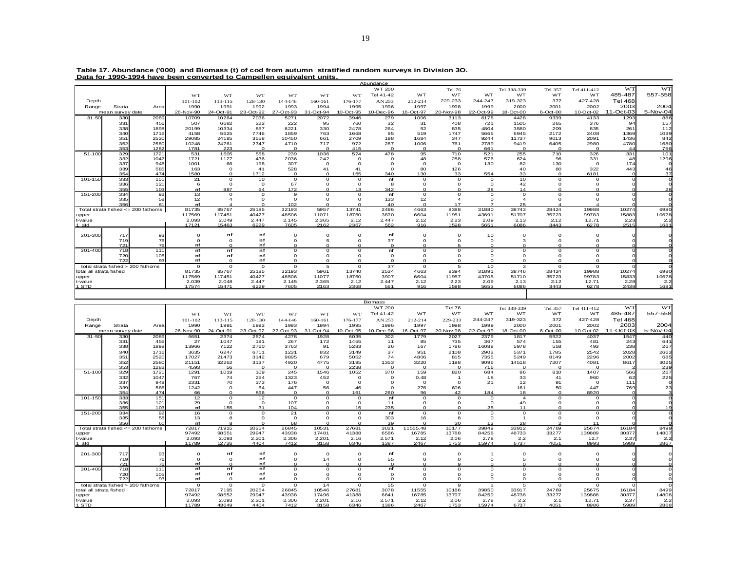|                         | Data for 1990-1994 have been converted to Campellen equivalent units. |              |                 |                 |                |                |                     |               | Abundance     |                     |                     |               |                       |                      |                  |                |              |
|-------------------------|-----------------------------------------------------------------------|--------------|-----------------|-----------------|----------------|----------------|---------------------|---------------|---------------|---------------------|---------------------|---------------|-----------------------|----------------------|------------------|----------------|--------------|
|                         |                                                                       |              |                 |                 |                |                |                     |               | WT 200        |                     | Tel 76              |               | Tel 338-339           | Tel 357              | Tel 411-412      | <b>WT</b>      | WT           |
|                         |                                                                       |              | WT              | WT              | WT             | WT             | <b>WT</b>           | WT            | Tel 41-42     | WT                  | WT                  | WT            | WT                    | WT                   | WT               | 485-487        | 557-558      |
| Depth                   |                                                                       |              | 101-102         | 113-115         | 128-130        | 144-146        | 160-161             | 176-177       | AN 253        | 212-214             | 229-233             | 244-247       | 319-323               | 372                  | 427-428          | <b>Tel 468</b> |              |
| Range                   | Strata                                                                | Areal        | 1990            | 1991            | 1992           | 1993           | 1994                | 1995          | 1996          | 1997                | 1998                | 1999          | 2000                  | 2001                 | 2002             | 2003           | 2004         |
|                         | mean survey date                                                      |              | 26-Nov-90       | 24-Oct-91       | 23-Oct-92      | 27-Oct-93      | 31-Oct-94           | 10-Oct-95     | 10-Dec-96     | 16-Oct-97           | 20-Nov-98           | 22-Oct-99     | 18-Oct-00             | 6-Oct-00             | 10-Oct-02        | 11-Oct-03      | 5-Nov-04     |
| $31 - 50$               | 330                                                                   | 2089         | 10709           | 10264           | 7036           | 5271           | 2072                | 3946          | 279           | 1006                | 3113                | 6178          | 4428                  | 9339                 | 4133             | 1293           | 886          |
|                         | 331                                                                   | 456          | 507             | 6682            | 222            | 222            | 95                  | 760           | 32            | 31                  | 408                 | 721           | 1505                  | 265                  | 376              | 94             | 157          |
|                         | 338                                                                   | 1898         | 20199           | 10334           | 857            | 6221           | 330                 | 2478          | 264           | 52                  | 835                 | 4804          | 3580                  | 209                  | 835              | 261            | 112          |
|                         | 340                                                                   | 1716         | 4158            | 5625            | 7746           | 1859           | 763                 | 1668          | 95            | 519                 | 1747                | 5665          | 6945                  | 2172                 | 2408             | 1369           | 1039         |
|                         | 351<br>352                                                            | 2520<br>2580 | 29085<br>10248  | 24185<br>24761  | 3558<br>2747   | 10450<br>4710  | 661<br>717          | 2709<br>972   | 198<br>287    | 1684                | 347<br>761          | 9244<br>2789  | 11737<br>9419         | 9013                 | 2091             | 1436<br>4780   | 842          |
|                         | 353                                                                   | 1282         | 1781            | 223             | $\Omega$       | $\Omega$       | $\Omega$            | 415           | $\Omega$      | 1006<br>$\Omega$    | $\Omega$            | 661           | $\Omega$              | 6405<br>$\Omega$     | 2980<br>$\Omega$ |                | 1680<br>756  |
| $51 - 100$              | 329                                                                   | 1721         | 531             | 1605            | 558            | 239            | 1036                | 574           | 478           | 95                  | 710                 | 521           | 255                   | 710                  | 326              | 331            | 101          |
|                         | 332                                                                   | 1047         | 1721            | 1127            | 436            | 2036           | 242                 | $\Omega$      | $\Omega$      | 48                  | 288                 | 576           | 624                   | 96                   | 331              | 48             | 1296         |
|                         | 337                                                                   | 948          | 1001            | 66              | 198            | 307            | $\Omega$            |               |               | $\Omega$            | $\Omega$            | 130           | 82                    | 130                  | $\Omega$         | 174            |              |
|                         | 339                                                                   | 585          | 163             | $\Omega$        | 41             | 528            | 41                  | 41            | $\Omega$      | 80                  | 126                 |               | 40                    | 80                   | 322              | 443            | 46           |
|                         | 354                                                                   | 474          | 1580            | $\Omega$        | 1712           | $\Omega$       | $\Omega$            | 165           | 340           | 130                 | 33                  | 554           | 33                    | $\Omega$             | 6181             |                | 37           |
| 101-150                 | 333                                                                   | 151          | 21              | $\Omega$        | 10             | $\circ$        | $\circ$<br>$\Omega$ | $\circ$       | nf            | $\circ$             | $\circ$             | $\circ$       | 10                    | $\Omega$<br>$\Omega$ | $\Omega$         |                | $\mathsf{C}$ |
|                         | 336<br>355                                                            | 121<br>103   | 6<br>nf         | $\circ$<br>887  | $\Omega$<br>64 | 67<br>172      | $\Omega$            | $\circ$<br>13 | 8<br>342      | $\circ$<br>$\Omega$ | $\circ$<br>$\Omega$ | $\circ$<br>28 | 42<br>14              | $\Omega$             |                  |                | C<br>28      |
| 151-200                 | 334                                                                   | 92           | 13              | $\Omega$        | $\Omega$       | 9              | $\Omega$            | $\Omega$      | nf            | $\circ$             | $\Omega$            | $\Omega$      | $\circ$               | $\Omega$             |                  |                | C            |
|                         | 335                                                                   | 58           | 12              |                 |                | $\Omega$       | $\Omega$            | $\Omega$      | 133           | 12                  |                     | $\circ$       | $\boldsymbol{\Delta}$ |                      |                  |                |              |
|                         | 356                                                                   | 61           | nf              |                 |                | 102            |                     |               | 40            | $\Omega$            | 17                  |               | 25                    |                      |                  |                |              |
|                         | Total strata fished <= 200 fathoms                                    |              | 81735           | 85767           | 25185          | 32193          | 5957                | 13741         | 2496          | 4663                | 8388                | 31880         | 38743                 | 28424                | 19988            | 10274          | 698C         |
| upper                   |                                                                       |              | 117569          | 117451          | 40427          | 48506          | 11071               | 18760         | 3870          | 6604                | 11951               | 43691         | 51707                 | 35723                | 99783            | 15883          | 10678        |
| t-value                 |                                                                       |              | 2.093           | 2.049           | 2.447          | 2.145          | 2.365               | 2.12          | 2.447         | 2.12                | 2.23                | 2.09          | 2.13                  | 2.12                 | 12.71            | 2.23           | 2.2          |
| 1 std                   |                                                                       |              | 17121           | 15463           | 6229           | 7605           | 2162                | 2367          | 562           | 916                 | 1598                | 5651          | 6086                  | 3443                 | 6278             | 2515           | 1681         |
| 201-300                 | 717                                                                   | 93           | $\Omega$        | nf              | nf             | $\Omega$       | $\Omega$            | $\Omega$      | nf            | $\circ$             | $\Omega$            | 10            | $\Omega$              | $\Omega$             |                  |                |              |
|                         | 719                                                                   | 76           | $\Omega$        | $\Omega$        | nf             | $\Omega$       | 5                   | $\Omega$      | 37            | O                   | $\Omega$            | $\circ$       | 3                     | $\Omega$             |                  |                |              |
|                         | 721                                                                   | 76           | nf              | $\Omega$        | nf             | $\Omega$       | $\Omega$            | $\Omega$      | $\Omega$      | $\Omega$            |                     | $\Omega$      | $\Omega$              |                      |                  |                |              |
| 301-400                 | 718                                                                   | 111          | nf              | nf              | nf             | $\circ$        | $\Omega$            | $\circ$       | nf            | $\Omega$            | $\circ$             | $\circ$       | $\circ$               | $\Omega$             | $\Omega$         |                |              |
|                         | 720                                                                   | 105          | nf              | nf              | nf             | $\Omega$       | $\Omega$            | $\Omega$      | $\Omega$      | 0                   | $\circ$             | $\circ$       | $\circ$               | C                    |                  |                |              |
|                         | 722                                                                   | 93           | nf              | $\Omega$        | nf             | $\Omega$       | $\Omega$            | $\Omega$      | $\Omega$      | $\Omega$            | $\Omega$            | $\Omega$      | $\Omega$              | $\Omega$             |                  |                |              |
|                         | total strata fished > 200 fathoms                                     |              | $\Omega$        | $\Omega$        | $\circ$        | $\Omega$       | 5                   | $\Omega$      | 37            | $\circ$             | 5                   | 10            | 3                     | $\Omega$             | $\Omega$         |                |              |
| total all strata fished |                                                                       |              | 81735           | 85767           | 25185          | 32193          | 5961                | 13740         | 2534          | 4663                | 8394                | 31891         | 38746                 | 28424                | 19988            | 10274          | 698C         |
| upper<br>t-value        |                                                                       |              | 117569<br>2.039 | 117451<br>2.048 | 40427<br>2.447 | 48506<br>2.145 | 11077<br>2.365      | 18760<br>2.12 | 3907<br>2.447 | 6604<br>2.12        | 11957<br>2.23       | 43705<br>2.09 | 51710<br>2.13         | 35723<br>2.12        | 99783<br>12.71   | 15833<br>2.28  | 10678<br>2.2 |
| 1 STD                   |                                                                       |              | 17574           | 15471           | 6229           | 7605           | 2163                | 2368          | 561           | 916                 | 1598                | 5653          | 6086                  | 3443                 | 6278             | 2438           | 1681         |
|                         |                                                                       |              |                 |                 |                |                |                     |               |               |                     |                     |               |                       |                      |                  |                |              |
|                         |                                                                       |              |                 |                 |                |                |                     |               |               |                     |                     |               |                       |                      |                  |                |              |

| Table 17. Abundance ('000) and Biomass (t) of cod from autumn stratified random surveys in Division 3O. |  |  |  |  |
|---------------------------------------------------------------------------------------------------------|--|--|--|--|
| Data for 1990-1994 have been converted to Campellen equivalent units.                                   |  |  |  |  |

|                         |                                    |              |                |                |                |                |                |                  | <b>Biomass</b>  |               |               |               |                       |             |              |                |              |
|-------------------------|------------------------------------|--------------|----------------|----------------|----------------|----------------|----------------|------------------|-----------------|---------------|---------------|---------------|-----------------------|-------------|--------------|----------------|--------------|
|                         |                                    |              |                |                |                |                |                |                  | WT 200          |               | <b>Tel 76</b> |               | Tel 338-339           | Tel 357     | Tel 411-412  | <b>WT</b>      | WT           |
|                         |                                    |              | WT             | WT             | WT             | <b>WT</b>      | WT             | <b>WT</b>        | Tel 41-42       | WT            | WT            | <b>WT</b>     | WT                    | WT          | WT           | 485-487        | 557-558      |
| Depth                   |                                    |              | 101-102        | 113-115        | 128-130        | 144-146        | 160-161        | 176-177          | AN 253          | 212-214       | 229-233       | 244-247       | 319-323               | 372         | 427-428      | <b>Tel 468</b> |              |
| Range                   | Strata                             | Area         | 1990           | 1991           | 1992           | 1993           | 1994           | 1995             | 1996            | 1997          | 1998          | 1999          | 2000                  | 2001        | 2002         | 2003           | 2004         |
|                         | mean survey date                   |              | 26-Nov-90      | 24-Oct-91      | 23-Oct-92      | 27-Oct-93      | 31-Oct-94      | 10-Oct-95        | 10-Dec-96       | 16-Oct-97     | 20-Nov-98     | 22-Oct-99     | 18-Oct-00             | 6-Oct-00    | 10-Oct-02    | 11-Oct-03      | 5-Nov-04     |
| $31 - 50$               | 330                                | 2089         | 6651           | 2374           | 2574           | 4278           | 1928           | 6035             | 302             | 1779          | 2027          | 2379          | 1817                  | 5922        | 4037         | 1547           | 440          |
|                         | 331                                | 456          | 27             | 1047           | 191            | 267            | 172            | 1455             | 11              | 85            | 735           | 367           | 574                   | 155         | 481          | 243            | 641          |
|                         | 338                                | 1898         | 13966          | 7122           | 2760           | 3763           | 91             | 5283             | 26              | 167           | 1786          | 16088         | 5978                  | 558         | 493          | 238            | 267          |
|                         | 340                                | 1716         | 3635           | 6247           | 6711           | 1231           | 832            | 3149             | 37              | 951           | 2108          | 2902          | 5371                  | 1785        | 2542         | 2028           | 2663         |
|                         | 351                                | 2520         | 17027          | 21473          | 3142           | 9895           | 679            | 5052             | 74              | 4806          | 815           | 7355          | 5249                  | 8149        | 2296         | 2002           | 685          |
|                         | 352                                | 2580         | 21151          | 32262          | 3137           | 4920           | 4775           | 3195             | 1353            | 3220          | 1198          | 9096          | 14518                 | 7207        | 4081         | 8617           | 3025         |
|                         | 353                                | 1282         | 4593           | 56             | $\Omega$       | $\Omega$       | $\Omega$       | 2238             | $\Omega$        |               |               | 716           | $\Omega$              | $\Omega$    | $\Omega$     |                | 239          |
| 51-100                  | 329<br>332                         | 1721<br>1047 | 1291<br>767    | 1019<br>74     | 109<br>254     | 245<br>1323    | 1546<br>452    | 1052<br>$\Omega$ | 370<br>$\Omega$ | 159<br>0.48   | 820           | 684<br>18     | 86<br>33              | 810<br>41   | 1407<br>960  | 566<br>62      | 267<br>225   |
|                         | 337                                | 948          | 2331           | 70             | 373            | 176            | $\circ$        | $\Omega$         |                 | $\Omega$      | $\Omega$      | 21            | 12                    | 91          | $\Omega$     | 111            |              |
|                         | 339                                | 585          | 1242           | $\Omega$       | 64             | 447            | 56             | 46               | $\Omega$        | 276           | 606           |               | 161                   | 50          | 447          | 769            | 23           |
|                         | 354                                | 474          | 66             |                | 896            | $\Omega$       | $\Omega$       | 161              | 260             | 96            | 42            | 184           | 18                    | $\Omega$    | 8920         |                | <b>o</b>     |
| 101-150                 | 333                                | 151          | 12             | $\Omega$       | 12             | $\circ$        | $\Omega$       | $\Omega$         | nf              | $\Omega$      | $\Omega$      | $\Omega$      | $\boldsymbol{\Delta}$ | $\Omega$    | $\Omega$     |                |              |
|                         | 336                                | 121          | 29             | $\Omega$       | $\Omega$       | 107            |                | $\Omega$         | 11              |               | $\Omega$      | $\Omega$      | 49                    |             |              |                |              |
|                         | 355                                | 103          | nf             | 155            | 31             | 104            |                | 15               | 235             |               | $\Omega$      | 25            | 11                    |             |              |                | 19           |
| 151-200                 | 334                                | 92           | 16             | $\Omega$       | $\Omega$       | 21             | $\Omega$       | $\Omega$         | nf              | $\circ$       | $\Omega$      | $\Omega$      | $\Omega$              | $\Omega$    | $\Omega$     |                |              |
|                         | 335                                | 58           | 13             |                | $\Omega$       | $\Omega$       |                |                  | 303             | 16            | 8             | $\Omega$      |                       |             |              |                |              |
|                         | 356                                | 61           | nf             |                |                | 68             |                |                  | 39              |               | 30            | 13            | 28                    |             | 11           |                |              |
|                         | Total strata fished <= 200 fathoms |              | 72817          | 71915          | 20254          | 26845          | 10531          | 27681            | 3021            | 11555.48      | 10177         | 39849         | 33912                 | 24769       | 25674        | 16184          | 8499         |
| upper                   |                                    |              | 97492<br>2.093 | 98551<br>2.093 | 29947<br>2.201 | 43938<br>2.306 | 17481<br>2.201 | 41388            | 6586<br>2.571   | 16785<br>2.12 | 13788         | 84258<br>2.78 | 48733<br>2.2          | 33277       | 139889       | 30377<br>2.37  | 14807<br>2.2 |
| t-value<br>1 std        |                                    |              | 11789          | 12726          | 4404           | 7412           | 3158           | 2.16<br>6346     | 1387            | 2467          | 2.06<br>1753  | 15974         | 6737                  | 2.1<br>4051 | 12.7<br>8993 | 5989           | 2867         |
|                         |                                    |              |                |                |                |                |                |                  |                 |               |               |               |                       |             |              |                |              |
| 201-300                 | 717                                | 93           | $\Omega$       | nf             | nf             | n              | $\Omega$       | n                | nf              |               | $\Omega$      |               |                       | $\Omega$    | C            |                |              |
|                         | 719                                | 76           |                |                | nf             |                | 14             |                  | 55              |               | $\Omega$      | $\Omega$      |                       |             |              |                |              |
|                         | 721                                | 76           | nf             |                | nf             |                |                |                  |                 |               | $\circ$       | $\Omega$      |                       |             |              |                |              |
| 301-400                 | 718                                | 111          | nf             | nf             | nf             | $\Omega$       | $\Omega$       | $\Omega$         | nf              | $\Omega$      | $\Omega$      | $\Omega$      | $\Omega$              | $\Omega$    | $\Omega$     |                |              |
|                         | 720                                | 105          | nf             | nf             | nf             | $\Omega$       |                | $\Omega$         | $\Omega$        |               | $\Omega$      | $\Omega$      |                       |             |              |                |              |
|                         | 722                                | 93           | nf             | $\Omega$       | nf             | $\Omega$       | $\Omega$       | $\Omega$         | $\Omega$        | $\Omega$      | $\Omega$      | $\Omega$      | $\Omega$              | $\Omega$    |              |                |              |
|                         | total strata fished > 200 fathoms  |              | $\circ$        | $\Omega$       | $\Omega$       | $\circ$        | 14             | $\circ$          | 55              | $\Omega$      | $\mathbf{9}$  | -1            | 5                     | $\Omega$    | $\circ$      |                |              |
| total all strata fished |                                    |              | 72817          | 7195           | 20254          | 26845          | 10546          | 27681            | 3078            | 11555         | 10186         | 39850         | 33917                 | 24769       | 25675        | 16184          | 8499         |
| upper                   |                                    |              | 97492          | 98552          | 29947          | 43938          | 17496          | 41388            | 6641            | 16785         | 13797         | 84259         | 48738                 | 33277       | 139888       | 30377          | 14808        |
| t-value                 |                                    |              | 2.093          | 2.093          | 2.201          | 2.306          | 2.201          | 2.16             | 2.571           | 2.12          | 2.06          | 2.78          | 2.2                   | 2.1         | 12.71        | 2.37           | 2.2          |
| 1 STD                   |                                    |              | 11789          | 43649          | 4404           | 7412           | 3158           | 6346             | 1386            | 2467          | 1753          | 15974         | 6737                  | 4051        | 8986         | 5989           | 2868         |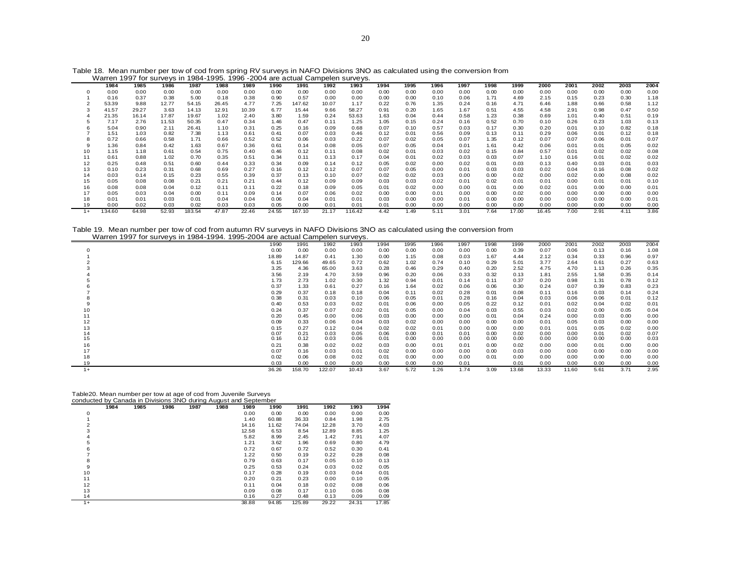|      | 1984   | 1985  | 1986  | 1987   | 1988  | 1989  | 1990  | 1991   | 1992  | 1993   | 1994 | 1995 | 1996 | 1997 | 1998 | 1999  | 2000  | 2001 | 2002 | 2003 | 2004 |
|------|--------|-------|-------|--------|-------|-------|-------|--------|-------|--------|------|------|------|------|------|-------|-------|------|------|------|------|
|      | 0.00   | 0.00  | 0.00  | 0.00   | 0.00  | 0.00  | 0.00  | 0.00   | 0.00  | 0.00   | 0.00 | 0.00 | 0.00 | 0.00 | 0.00 | 0.00  | 0.00  | 0.00 | 0.00 | 0.00 | 0.00 |
|      | 0.16   | 0.37  | 0.38  | 5.00   | 0.18  | 0.38  | 0.90  | 0.57   | 0.00  | 0.00   | 0.00 | 0.00 | 0.10 | 0.06 | 1.71 | 4.69  | 2.15  | 0.15 | 0.23 | 0.30 | 1.18 |
|      | 53.39  | 9.88  | 12.77 | 54.15  | 26.45 | 4.77  | 7.25  | 147.62 | 10.07 | 1.17   | 0.22 | 0.76 | 1.35 | 0.24 | 0.16 | 4.71  | 6.46  | 1.88 | 0.66 | 0.58 | 1.12 |
|      | 41.57  | 29.27 | 3.63  | 14.13  | 12.91 | 10.39 | 6.77  | 15.44  | 9.66  | 58.27  | 0.91 | 0.20 | 1.65 | 1.67 | 0.51 | 4.55  | 4.58  | 2.91 | 0.98 | 0.47 | 0.50 |
|      | 21.35  | 16.14 | 17.87 | 19.67  | 1.02  | 2.40  | 3.80  | 1.59   | 0.24  | 53.63  | 1.63 | 0.04 | 0.44 | 0.58 | 1.23 | 0.38  | 0.69  | 1.01 | 0.40 | 0.51 | 0.19 |
|      | 7.17   | 2.76  | 11.53 | 50.35  | 0.47  | 0.34  | 1.46  | 0.47   | 0.11  | 1.25   | 1.05 | 0.15 | 0.24 | 0.16 | 0.52 | 0.70  | 0.10  | 0.26 | 0.23 | 1.03 | 0.13 |
|      | 5.04   | 0.90  | 2.11  | 26.41  | 1.10  | 0.31  | 0.25  | 0.16   | 0.09  | 0.68   | 0.07 | 0.10 | 0.57 | 0.03 | 0.17 | 0.30  | 0.20  | 0.01 | 0.10 | 0.82 | 0.18 |
|      | 1.51   | 1.03  | 0.82  | 7.38   | 1.13  | 0.61  | 0.41  | 0.07   | 0.03  | 0.46   | 0.12 | 0.01 | 0.56 | 0.09 | 0.13 | 0.11  | 0.29  | 0.06 | 0.01 | 0.12 | 0.18 |
|      | 0.72   | 0.66  | 0.58  | 1.71   | 0.66  | 0.52  | 0.52  | 0.06   | 0.03  | 0.22   | 0.07 | 0.02 | 0.05 | 0.07 | 1.35 | 0.12  | 0.07  | 0.07 | 0.06 | 0.01 | 0.07 |
| 9    | 1.36   | 0.84  | 0.42  | 1.63   | 0.67  | 0.36  | 0.61  | 0.14   | 0.08  | 0.05   | 0.07 | 0.05 | 0.04 | 0.01 | 1.61 | 0.42  | 0.06  | 0.01 | 0.01 | 0.05 | 0.02 |
| 10   | 1.15   | 1.18  | 0.61  | 0.54   | 0.75  | 0.40  | 0.46  | 0.12   | 0.11  | 0.08   | 0.02 | 0.01 | 0.03 | 0.02 | 0.15 | 0.84  | 0.57  | 0.01 | 0.02 | 0.02 | 0.08 |
| 11   | 0.61   | 0.88  | 1.02  | 0.70   | 0.35  | 0.51  | 0.34  | 0.11   | 0.13  | 0.17   | 0.04 | 0.01 | 0.02 | 0.03 | 0.03 | 0.07  | 1.10  | 0.16 | 0.01 | 0.02 | 0.02 |
| 12   | 0.25   | 0.48  | 0.51  | 0.60   | 0.44  | 0.33  | 0.34  | 0.09   | 0.14  | 0.12   | 0.05 | 0.02 | 0.00 | 0.02 | 0.01 | 0.03  | 0.13  | 0.40 | 0.03 | 0.01 | 0.03 |
| 13   | 0.10   | 0.23  | 0.31  | 0.68   | 0.69  | 0.27  | 0.16  | 0.12   | 0.12  | 0.07   | 0.07 | 0.05 | 0.00 | 0.01 | 0.03 | 0.03  | 0.02  | 0.04 | 0.16 | 0.08 | 0.02 |
| 14   | 0.03   | 0.14  | 0.15  | 0.23   | 0.55  | 0.39  | 0.37  | 0.13   | 0.10  | 0.07   | 0.02 | 0.02 | 0.03 | 0.00 | 0.00 | 0.02  | 0.00  | 0.02 | 0.00 | 0.08 | 0.02 |
| 15   | 0.05   | 0.08  | 0.08  | 0.21   | 0.21  | 0.21  | 0.44  | 0.12   | 0.09  | 0.09   | 0.03 | 0.03 | 0.02 | 0.01 | 0.02 | 0.01  | 0.01  | 0.00 | 0.01 | 0.01 | 0.10 |
| 16   | 0.08   | 0.08  | 0.04  | 0.12   | 0.11  | 0.11  | 0.22  | 0.18   | 0.09  | 0.05   | 0.01 | 0.02 | 0.00 | 0.00 | 0.01 | 0.00  | 0.02  | 0.01 | 0.00 | 0.00 | 0.01 |
| 17   | 0.05   | 0.03  | 0.04  | 0.00   | 0.11  | 0.09  | 0.14  | 0.07   | 0.06  | 0.02   | 0.00 | 0.00 | 0.01 | 0.00 | 0.00 | 0.02  | 0.00  | 0.00 | 0.00 | 0.00 | 0.00 |
| 18   | 0.01   | 0.01  | 0.03  | 0.01   | 0.04  | 0.04  | 0.06  | 0.04   | 0.01  | 0.01   | 0.03 | 0.00 | 0.00 | 0.01 | 0.00 | 0.00  | 0.00  | 0.00 | 0.00 | 0.00 | 0.01 |
|      | 0.00   | 0.02  | 0.03  | 0.02   | 0.03  | 0.03  | 0.05  | 0.00   | 0.01  | 0.01   | 0.01 | 0.00 | 0.00 | 0.00 | 0.00 | 0.00  | 0.00  | 0.00 | 0.00 | 0.00 | 0.00 |
| $1+$ | 134.60 | 64.98 | 52.93 | 183.54 | 47.87 | 22.46 | 24.55 | 167.10 | 21.17 | 116.42 | 4.42 | 1.49 | 5.11 | 3.01 | 7.64 | 17.00 | 16.45 | 7.00 | 2.91 | 4.11 | 3.86 |

Table 18. Mean number per tow of cod from spring RV surveys in NAFO Divisions 3NO as calculated using the conversion from Warren 1997 for surveys in 1984-1995. 1996 -2004 are actual Campelen surveys.

Table 19. Mean number per tow of cod from autumn RV surveys in NAFO Divisions 3NO as calculated using the conversion from Warren 1997 for surveys in 1984-1994. 1995-2004 are actual Campelen surveys.

|      | <u>Waller Tool Tol Surveys III Tool Tugol. Tool Zuuli ale actual Campelen Surveys.</u> |        |        |       |      |      |      |      |      |       |       |       |      |      |      |
|------|----------------------------------------------------------------------------------------|--------|--------|-------|------|------|------|------|------|-------|-------|-------|------|------|------|
|      | 1990                                                                                   | 1991   | 1992   | 1993  | 1994 | 1995 | 1996 | 1997 | 1998 | 1999  | 2000  | 2001  | 2002 | 2003 | 2004 |
|      | 0.00                                                                                   | 0.00   | 0.00   | 0.00  | 0.00 | 0.00 | 0.00 | 0.00 | 0.00 | 0.39  | 0.07  | 0.06  | 0.13 | 0.16 | 1.08 |
|      | 18.89                                                                                  | 14.87  | 0.41   | 1.30  | 0.00 | 1.15 | 0.08 | 0.03 | 1.67 | 4.44  | 2.12  | 0.34  | 0.33 | 0.96 | 0.97 |
|      | 6.15                                                                                   | 129.66 | 49.65  | 0.72  | 0.62 | 1.02 | 0.74 | 0.10 | 0.29 | 5.01  | 3.77  | 2.64  | 0.61 | 0.27 | 0.63 |
|      | 3.25                                                                                   | 4.36   | 65.00  | 3.63  | 0.28 | 0.46 | 0.29 | 0.40 | 0.20 | 2.52  | 4.75  | 4.70  | 1.13 | 0.26 | 0.35 |
|      | 3.56                                                                                   | 2.19   | 4.70   | 3.59  | 0.96 | 0.20 | 0.06 | 0.33 | 0.32 | 0.13  | 1.81  | 2.55  | 1.58 | 0.35 | 0.14 |
|      | 1.73                                                                                   | 2.73   | 1.02   | 0.30  | 1.32 | 0.94 | 0.01 | 0.14 | 0.11 | 0.37  | 0.20  | 0.98  | 1.31 | 0.78 | 0.12 |
|      | 0.37                                                                                   | 1.33   | 0.61   | 0.27  | 0.16 | 1.64 | 0.02 | 0.06 | 0.06 | 0.30  | 0.24  | 0.07  | 0.39 | 0.83 | 0.23 |
|      | 0.29                                                                                   | 0.37   | 0.18   | 0.18  | 0.04 | 0.11 | 0.02 | 0.28 | 0.01 | 0.08  | 0.11  | 0.16  | 0.03 | 0.14 | 0.24 |
|      | 0.38                                                                                   | 0.31   | 0.03   | 0.10  | 0.06 | 0.05 | 0.01 | 0.28 | 0.16 | 0.04  | 0.03  | 0.06  | 0.06 | 0.01 | 0.12 |
|      | 0.40                                                                                   | 0.53   | 0.03   | 0.02  | 0.01 | 0.06 | 0.00 | 0.05 | 0.22 | 0.12  | 0.01  | 0.02  | 0.04 | 0.02 | 0.01 |
|      | 0.24                                                                                   | 0.37   | 0.07   | 0.02  | 0.01 | 0.05 | 0.00 | 0.04 | 0.03 | 0.55  | 0.03  | 0.02  | 0.00 | 0.05 | 0.04 |
|      | 0.20                                                                                   | 0.45   | 0.00   | 0.06  | 0.03 | 0.00 | 0.00 | 0.00 | 0.01 | 0.04  | 0.24  | 0.00  | 0.03 | 0.00 | 0.00 |
| 12   | 0.09                                                                                   | 0.33   | 0.06   | 0.04  | 0.03 | 0.02 | 0.00 | 0.00 | 0.00 | 0.00  | 0.01  | 0.05  | 0.03 | 0.00 | 0.00 |
| 13   | 0.15                                                                                   | 0.27   | 0.12   | 0.04  | 0.02 | 0.02 | 0.01 | 0.00 | 0.00 | 0.00  | 0.01  | 0.01  | 0.05 | 0.02 | 0.00 |
| 14   | 0.07                                                                                   | 0.21   | 0.03   | 0.05  | 0.06 | 0.00 | 0.01 | 0.01 | 0.00 | 0.02  | 0.00  | 0.00  | 0.01 | 0.02 | 0.07 |
| 15   | 0.16                                                                                   | 0.12   | 0.03   | 0.06  | 0.01 | 0.00 | 0.00 | 0.00 | 0.00 | 0.00  | 0.00  | 0.00  | 0.00 | 0.00 | 0.03 |
| 16   | 0.21                                                                                   | 0.38   | 0.02   | 0.02  | 0.03 | 0.00 | 0.01 | 0.01 | 0.00 | 0.02  | 0.00  | 0.00  | 0.01 | 0.00 | 0.00 |
|      | 0.07                                                                                   | 0.16   | 0.03   | 0.01  | 0.02 | 0.00 | 0.00 | 0.00 | 0.00 | 0.03  | 0.00  | 0.00  | 0.00 | 0.00 | 0.00 |
| 18   | 0.02                                                                                   | 0.06   | 0.08   | 0.02  | 0.01 | 0.00 | 0.00 | 0.00 | 0.01 | 0.00  | 0.00  | 0.00  | 0.00 | 0.00 | 0.00 |
|      | 0.03                                                                                   | 0.00   | 0.00   | 0.00  | 0.00 | 0.00 | 0.00 | 0.01 |      | 0.01  | 0.00  | 0.00  | 0.00 | 0.00 | 0.00 |
| $1+$ | 36.26                                                                                  | 158.70 | 122.07 | 10.43 | 3.67 | 5.72 | 1.26 | 1.74 | 3.09 | 13.68 | 13.33 | 11.60 | 5.61 | 3.71 | 2.95 |

|      |      | Table20. Mean number per tow at age of cod from Juvenile Surveys |      |      |      |       |       |        |       |       |       |
|------|------|------------------------------------------------------------------|------|------|------|-------|-------|--------|-------|-------|-------|
|      |      | conducted by Canada in Divisions 3NO during August and September |      |      |      |       |       |        |       |       |       |
|      | 1984 | 1985                                                             | 1986 | 1987 | 1988 | 1989  | 1990  | 1991   | 1992  | 1993  | 1994  |
| 0    |      |                                                                  |      |      |      | 0.00  | 0.00  | 0.00   | 0.00  | 0.00  | 0.00  |
|      |      |                                                                  |      |      |      | 1.40  | 60.88 | 36.33  | 0.84  | 1.98  | 2.75  |
| 2    |      |                                                                  |      |      |      | 14.16 | 11.62 | 74.04  | 12.28 | 3.70  | 4.03  |
| 3    |      |                                                                  |      |      |      | 12.58 | 6.53  | 8.54   | 12.89 | 8.85  | 1.25  |
| 4    |      |                                                                  |      |      |      | 5.82  | 8.99  | 2.45   | 1.42  | 7.91  | 4.07  |
| 5    |      |                                                                  |      |      |      | 1.21  | 3.62  | 1.96   | 0.69  | 0.80  | 4.79  |
| 6    |      |                                                                  |      |      |      | 0.72  | 0.67  | 0.72   | 0.52  | 0.30  | 0.41  |
| 7    |      |                                                                  |      |      |      | 1.22  | 0.50  | 0.19   | 0.22  | 0.28  | 0.08  |
| 8    |      |                                                                  |      |      |      | 0.79  | 0.63  | 0.17   | 0.05  | 0.10  | 0.13  |
| 9    |      |                                                                  |      |      |      | 0.25  | 0.53  | 0.24   | 0.03  | 0.02  | 0.05  |
| 10   |      |                                                                  |      |      |      | 0.17  | 0.28  | 0.19   | 0.03  | 0.04  | 0.01  |
| 11   |      |                                                                  |      |      |      | 0.20  | 0.21  | 0.23   | 0.00  | 0.10  | 0.05  |
| 12   |      |                                                                  |      |      |      | 0.11  | 0.04  | 0.18   | 0.02  | 0.08  | 0.06  |
| 13   |      |                                                                  |      |      |      | 0.09  | 0.08  | 0.17   | 0.10  | 0.06  | 0.08  |
| 14   |      |                                                                  |      |      |      | 0.16  | 0.27  | 0.48   | 0.13  | 0.09  | 0.09  |
| $1+$ |      |                                                                  |      |      |      | 38.88 | 94.85 | 125.89 | 29.22 | 24.31 | 17.85 |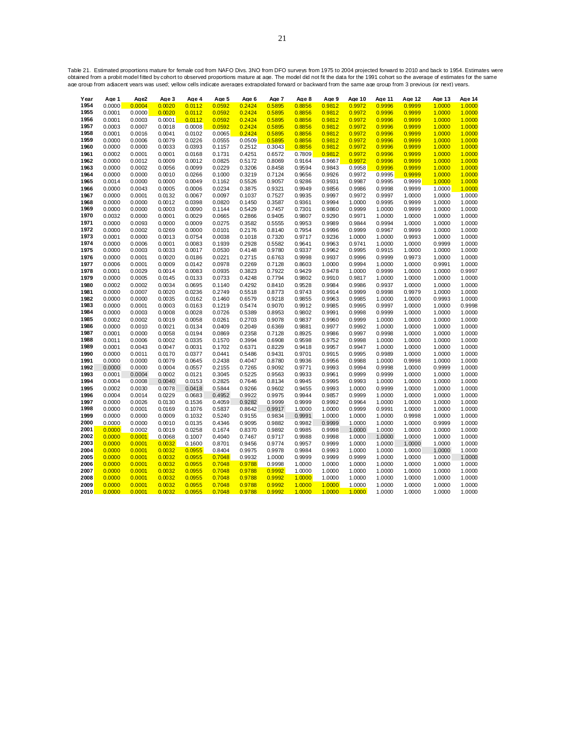Table 21. Estimated proportions mature for female cod from NAFO Divs. 3NO from DFO surveys from 1975 to 2004 projected forward to 2010 and back to 1954. Estimates were<br>obtained from a probit model fitted by cohort to obser

| Year         | Age 1            | Age2             | Age 3            | Age 4            | Age 5            | Age 6            | Age 7            | Age 8            | Age 9            | Age 10           | Age 11           | Age 12           | Age 13           | Age 14           |
|--------------|------------------|------------------|------------------|------------------|------------------|------------------|------------------|------------------|------------------|------------------|------------------|------------------|------------------|------------------|
| 1954         | 0.0000           | 0.0004           | 0.0020           | 0.0112           | 0.0592           | 0.2424           | 0.5895           | 0.8856           | 0.9812           | 0.9972           | 0.9996           | 0.9999           | 1.0000           | 1.0000           |
| 1955         | 0.0001           | 0.0000           | 0.0020           | 0.0112           | 0.0592           | 0.2424           | 0.5895           | 0.8856           | 0.9812           | 0.9972           | 0.9996           | 0.9999           | 1.0000           | 1.0000           |
| 1956         | 0.0001           | 0.0003           | 0.0001           | 0.0112           | 0.0592           | 0.2424           | 0.5895           | 0.8856           | 0.9812           | 0.9972           | 0.9996           | 0.9999           | 1.0000           | 1.0000           |
| 1957         | 0.0003           | 0.0007           | 0.0018           | 0.0008           | 0.0592           | 0.2424           | 0.5895           | 0.8856           | 0.9812           | 0.9972           | 0.9996           | 0.9999           | 1.0000           | 1.0000           |
| 1958         | 0.0001           | 0.0016           | 0.0041           | 0.0102           | 0.0065           | 0.2424           | 0.5895           | 0.8856           | 0.9812           | 0.9972           | 0.9996           | 0.9999           | 1.0000           | 1.0000           |
| 1959         | 0.0000           | 0.0006           | 0.0079           | 0.0226           | 0.0555           | 0.0509           | 0.5895           | 0.8856           | 0.9812           | 0.9972           | 0.9996           | 0.9999           | 1.0000           | 1.0000           |
| 1960         | 0.0000           | 0.0000           | 0.0033           | 0.0393           | 0.1157           | 0.2512           | 0.3043           | 0.8856           | 0.9812           | 0.9972           | 0.9996           | 0.9999           | 1.0000           | 1.0000           |
| 1961         | 0.0002           | 0.0001           | 0.0001           | 0.0168           | 0.1731           | 0.4251           | 0.6572           | 0.7809           | 0.9812           | 0.9972           | 0.9996           | 0.9999           | 1.0000           | 1.0000           |
| 1962         | 0.0000           | 0.0012           | 0.0009           | 0.0012           | 0.0825           | 0.5172           | 0.8069           | 0.9164           | 0.9667           | 0.9972           | 0.9996           | 0.9999           | 1.0000           | 1.0000           |
| 1963         | 0.0000           | 0.0002           | 0.0056           | 0.0099           | 0.0229           | 0.3206           | 0.8458           | 0.9594           | 0.9843           | 0.9958           | 0.9996           | 0.9999           | 1.0000           | 1.0000           |
| 1964         | 0.0000           | 0.0000           | 0.0010           | 0.0266           | 0.1000           | 0.3219           | 0.7124           | 0.9656           | 0.9926           | 0.9972           | 0.9995           | 0.9999           | 1.0000           | 1.0000           |
| 1965         | 0.0014           | 0.0000           | 0.0000           | 0.0049           | 0.1162           | 0.5526           | 0.9057           | 0.9286           | 0.9931           | 0.9987           | 0.9995           | 0.9999           | 1.0000           | 1.0000           |
| 1966         | 0.0000           | 0.0043           | 0.0005           | 0.0006           | 0.0234           | 0.3875           | 0.9321           | 0.9949           | 0.9856           | 0.9986           | 0.9998           | 0.9999           | 1.0000           | 1.0000           |
| 1967         | 0.0000           | 0.0001           | 0.0132           | 0.0067           | 0.0097           | 0.1037           | 0.7527           | 0.9935           | 0.9997           | 0.9972           | 0.9997           | 1.0000           | 1.0000           | 1.0000           |
| 1968         | 0.0000           | 0.0000           | 0.0012           | 0.0398           | 0.0820           | 0.1450           | 0.3587           | 0.9361           | 0.9994           | 1.0000           | 0.9995           | 0.9999           | 1.0000           | 1.0000           |
| 1969         | 0.0000           | 0.0000           | 0.0003           | 0.0090           | 0.1144           | 0.5429           | 0.7457           | 0.7301           | 0.9860           | 0.9999           | 1.0000           | 0.9999           | 1.0000           | 1.0000           |
| 1970         | 0.0032           | 0.0000           | 0.0001           | 0.0029           | 0.0665           | 0.2866           | 0.9405           | 0.9807           | 0.9290           | 0.9971           | 1.0000           | 1.0000           | 1.0000           | 1.0000           |
| 1971         | 0.0000           | 0.0093           | 0.0000           | 0.0009           | 0.0275           | 0.3582           | 0.5555           | 0.9953           | 0.9989           | 0.9844           | 0.9994           | 1.0000           | 1.0000           | 1.0000           |
| 1972         | 0.0000           | 0.0002           | 0.0269           | 0.0000           | 0.0101           | 0.2176           | 0.8140           | 0.7954           | 0.9996           | 0.9999           | 0.9967           | 0.9999           | 1.0000           | 1.0000           |
| 1973         | 0.0001           | 0.0000           | 0.0013           | 0.0754           | 0.0038           | 0.1018           | 0.7320           | 0.9717           | 0.9236           | 1.0000           | 1.0000           | 0.9993           | 1.0000           | 1.0000           |
| 1974         | 0.0000           | 0.0006           | 0.0001           | 0.0083           | 0.1939           | 0.2928           | 0.5582           | 0.9641           | 0.9963           | 0.9741           | 1.0000           | 1.0000           | 0.9999           | 1.0000           |
| 1975         | 0.0000           | 0.0003           | 0.0033           | 0.0017           | 0.0530           | 0.4148           | 0.9780           | 0.9337           | 0.9962           | 0.9995           | 0.9915           | 1.0000           | 1.0000           | 1.0000           |
| 1976         | 0.0000           | 0.0001           | 0.0020           | 0.0186           | 0.0221           | 0.2715           | 0.6763           | 0.9998           | 0.9937           | 0.9996           | 0.9999           | 0.9973           | 1.0000           | 1.0000           |
| 1977         | 0.0006           | 0.0001           | 0.0009           | 0.0142           | 0.0978           | 0.2269           | 0.7128           | 0.8603           | 1.0000           | 0.9994           | 1.0000           | 1.0000           | 0.9991           | 1.0000           |
| 1978         | 0.0001           | 0.0029           | 0.0014           | 0.0083           | 0.0935           | 0.3823           | 0.7922           | 0.9429           | 0.9478           | 1.0000           | 0.9999           | 1.0000           | 1.0000           | 0.9997           |
| 1979         | 0.0000           | 0.0005           | 0.0145           | 0.0133           | 0.0733           | 0.4248           | 0.7794           | 0.9802           | 0.9910           | 0.9817           | 1.0000           | 1.0000           | 1.0000           | 1.0000           |
| 1980         | 0.0002           | 0.0002           | 0.0034           | 0.0695           | 0.1140           | 0.4292           | 0.8410           | 0.9528           | 0.9984           | 0.9986           | 0.9937           | 1.0000           | 1.0000           | 1.0000           |
| 1981         | 0.0000           | 0.0007           | 0.0020           | 0.0236           | 0.2749           | 0.5518           | 0.8773           | 0.9743           | 0.9914           | 0.9999           | 0.9998           | 0.9979           | 1.0000           | 1.0000           |
| 1982         | 0.0000           | 0.0000           | 0.0035           | 0.0162           | 0.1460           | 0.6579           | 0.9218           | 0.9855           | 0.9963           | 0.9985           | 1.0000           | 1.0000           | 0.9993           | 1.0000           |
| 1983         | 0.0000           | 0.0001           | 0.0003           | 0.0163           | 0.1219           | 0.5474           | 0.9070           | 0.9912           | 0.9985           | 0.9995           | 0.9997           | 1.0000           | 1.0000           | 0.9998           |
| 1984         | 0.0000           | 0.0003           | 0.0008           | 0.0028           | 0.0726           | 0.5389           | 0.8953           | 0.9802           | 0.9991           | 0.9998           | 0.9999           | 1.0000           | 1.0000           | 1.0000           |
| 1985         | 0.0002           | 0.0002           | 0.0019           | 0.0058           | 0.0261           | 0.2703           | 0.9078           | 0.9837           | 0.9960           | 0.9999           | 1.0000           | 1.0000           | 1.0000           | 1.0000           |
| 1986         | 0.0000           | 0.0010           | 0.0021           | 0.0134           | 0.0409           | 0.2049           | 0.6369           | 0.9881           | 0.9977           | 0.9992           | 1.0000           | 1.0000           | 1.0000           | 1.0000           |
| 1987         | 0.0001           | 0.0000           | 0.0058           | 0.0194           | 0.0869           | 0.2358           | 0.7128           | 0.8925           | 0.9986           | 0.9997           | 0.9998           | 1.0000           | 1.0000           | 1.0000           |
| 1988         | 0.0011           | 0.0006           | 0.0002           | 0.0335           | 0.1570           | 0.3994           | 0.6908           | 0.9598           | 0.9752           | 0.9998           | 1.0000           | 1.0000           | 1.0000           | 1.0000           |
| 1989         | 0.0001           | 0.0043           | 0.0047           | 0.0031           | 0.1702           | 0.6371           | 0.8229           | 0.9418           | 0.9957           | 0.9947           | 1.0000           | 1.0000           | 1.0000           | 1.0000           |
| 1990         | 0.0000           | 0.0011           | 0.0170           | 0.0377           | 0.0441           | 0.5486           | 0.9431           | 0.9701           | 0.9915           | 0.9995           | 0.9989           | 1.0000           | 1.0000           | 1.0000           |
| 1991         | 0.0000           | 0.0000           | 0.0079           | 0.0645           | 0.2438           | 0.4047           | 0.8780           | 0.9936           | 0.9956           | 0.9988           | 1.0000           | 0.9998           | 1.0000           | 1.0000           |
| 1992         | 0.0000           | 0.0000<br>0.0004 | 0.0004<br>0.0002 | 0.0557<br>0.0121 | 0.2155<br>0.3045 | 0.7265           | 0.9092           | 0.9771           | 0.9993           | 0.9994           | 0.9998           | 1.0000           | 0.9999           | 1.0000           |
| 1993<br>1994 | 0.0001<br>0.0004 | 0.0008           | 0.0040           | 0.0153           | 0.2825           | 0.5225<br>0.7646 | 0.9563<br>0.8134 | 0.9933<br>0.9945 | 0.9961<br>0.9995 | 0.9999<br>0.9993 | 0.9999<br>1.0000 | 1.0000<br>1.0000 | 1.0000<br>1.0000 | 1.0000<br>1.0000 |
| 1995         | 0.0002           | 0.0030           | 0.0078           | 0.0418           | 0.5844           | 0.9266           | 0.9602           | 0.9455           | 0.9993           | 1.0000           | 0.9999           | 1.0000           | 1.0000           | 1.0000           |
| 1996         | 0.0004           | 0.0014           | 0.0229           | 0.0683           | 0.4952           | 0.9922           | 0.9975           | 0.9944           | 0.9857           | 0.9999           | 1.0000           | 1.0000           | 1.0000           | 1.0000           |
| 1997         | 0.0000           | 0.0026           | 0.0130           | 0.1536           | 0.4059           | 0.9282           | 0.9999           | 0.9999           | 0.9992           | 0.9964           | 1.0000           | 1.0000           | 1.0000           | 1.0000           |
| 1998         | 0.0000           | 0.0001           | 0.0169           | 0.1076           | 0.5837           | 0.8642           | 0.9917           | 1.0000           | 1.0000           | 0.9999           | 0.9991           | 1.0000           | 1.0000           | 1.0000           |
| 1999         | 0.0000           | 0.0000           | 0.0009           | 0.1032           | 0.5240           | 0.9155           | 0.9834           | 0.9991           | 1.0000           | 1.0000           | 1.0000           | 0.9998           | 1.0000           | 1.0000           |
| 2000         | 0.0000           | 0.0000           | 0.0010           | 0.0135           | 0.4346           | 0.9095           | 0.9882           | 0.9982           | 0.9999           | 1.0000           | 1.0000           | 1.0000           | 0.9999           | 1.0000           |
| 2001         | 0.0000           | 0.0002           | 0.0019           | 0.0258           | 0.1674           | 0.8370           | 0.9892           | 0.9985           | 0.9998           | 1.0000           | 1.0000           | 1.0000           | 1.0000           | 1.0000           |
| 2002         | 0.0000           | 0.0001           | 0.0068           | 0.1007           | 0.4040           | 0.7467           | 0.9717           | 0.9988           | 0.9998           | 1.0000           | 1.0000           | 1.0000           | 1.0000           | 1.0000           |
| 2003         | 0.0000           | 0.0001           | 0.0032           | 0.1600           | 0.8701           | 0.9456           | 0.9774           | 0.9957           | 0.9999           | 1.0000           | 1.0000           | 1.0000           | 1.0000           | 1.0000           |
| 2004         | 0.0000           | 0.0001           | 0.0032           | 0.0955           | 0.8404           | 0.9975           | 0.9978           | 0.9984           | 0.9993           | 1.0000           | 1.0000           | 1.0000           | 1.0000           | 1.0000           |
| 2005         | 0.0000           | 0.0001           | 0.0032           | 0.0955           | 0.7048           | 0.9932           | 1.0000           | 0.9999           | 0.9999           | 0.9999           | 1.0000           | 1.0000           | 1.0000           | 1.0000           |
| 2006         | 0.0000           | 0.0001           | 0.0032           | 0.0955           | 0.7048           | 0.9788           | 0.9998           | 1.0000           | 1.0000           | 1.0000           | 1.0000           | 1.0000           | 1.0000           | 1.0000           |
| 2007         | 0.0000           | 0.0001           | 0.0032           | 0.0955           | 0.7048           | 0.9788           | 0.9992           | 1.0000           | 1.0000           | 1.0000           | 1.0000           | 1.0000           | 1.0000           | 1.0000           |
| 2008         | 0.0000           | 0.0001           | 0.0032           | 0.0955           | 0.7048           | 0.9788           | 0.9992           | 1.0000           | 1.0000           | 1.0000           | 1.0000           | 1.0000           | 1.0000           | 1.0000           |
| 2009         | 0.0000           | 0.0001           | 0.0032           | 0.0955           | 0.7048           | 0.9788           | 0.9992           | 1.0000           | 1.0000           | 1.0000           | 1.0000           | 1.0000           | 1.0000           | 1.0000           |
| 2010         | 0.0000           | 0.0001           | 0.0032           | 0.0955           | 0.7048           | 0.9788           | 0.9992           | 1.0000           | 1.0000           | 1.0000           | 1.0000           | 1.0000           | 1.0000           | 1.0000           |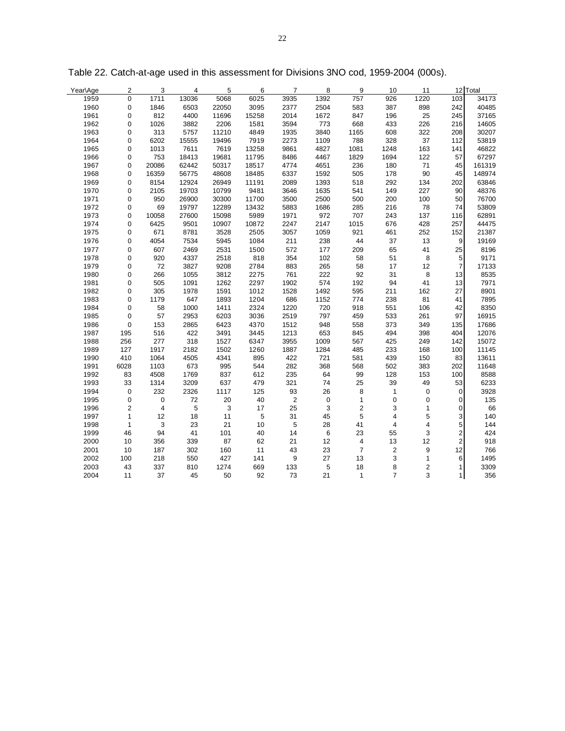| Year\Age | 2            | 3              | 4          | 5     | 6           | 7                | 8           | 9              | 10             | 11                      |                  | 12 Total |
|----------|--------------|----------------|------------|-------|-------------|------------------|-------------|----------------|----------------|-------------------------|------------------|----------|
| 1959     | 0            | 1711           | 13036      | 5068  | 6025        | 3935             | 1392        | 757            | 926            | 1220                    | 103              | 34173    |
| 1960     | $\mathbf 0$  | 1846           | 6503       | 22050 | 3095        | 2377             | 2504        | 583            | 387            | 898                     | 242              | 40485    |
| 1961     | 0            | 812            | 4400       | 11696 | 15258       | 2014             | 1672        | 847            | 196            | 25                      | 245              | 37165    |
| 1962     | 0            | 1026           | 3882       | 2206  | 1581        | 3594             | 773         | 668            | 433            | 226                     | 216              | 14605    |
| 1963     | 0            | 313            | 5757       | 11210 | 4849        | 1935             | 3840        | 1165           | 608            | 322                     | 208              | 30207    |
| 1964     | 0            | 6202           | 15555      | 19496 | 7919        | 2273             | 1109        | 788            | 328            | 37                      | 112              | 53819    |
| 1965     | 0            | 1013           | 7611       | 7619  | 13258       | 9861             | 4827        | 1081           | 1248           | 163                     | 141              | 46822    |
| 1966     | 0            | 753            | 18413      | 19681 | 11795       | 8486             | 4467        | 1829           | 1694           | 122                     | 57               | 67297    |
| 1967     | 0            | 20086          | 62442      | 50317 | 18517       | 4774             | 4651        | 236            | 180            | 71                      | 45               | 161319   |
| 1968     | 0            | 16359          | 56775      | 48608 | 18485       | 6337             | 1592        | 505            | 178            | 90                      | 45               | 148974   |
| 1969     | 0            | 8154           | 12924      | 26949 | 11191       | 2089             | 1393        | 518            | 292            | 134                     | 202              | 63846    |
| 1970     | 0            | 2105           | 19703      | 10799 | 9481        | 3646             | 1635        | 541            | 149            | 227                     | 90               | 48376    |
| 1971     | 0            | 950            | 26900      | 30300 | 11700       | 3500             | 2500        | 500            | 200            | 100                     | 50               | 76700    |
| 1972     | 0            | 69             | 19797      | 12289 | 13432       | 5883             | 1686        | 285            | 216            | 78                      | 74               | 53809    |
| 1973     | 0            | 10058          | 27600      | 15098 | 5989        | 1971             | 972         | 707            | 243            | 137                     | 116              | 62891    |
| 1974     | 0            | 6425           | 9501       | 10907 | 10872       | 2247             | 2147        | 1015           | 676            | 428                     | 257              | 44475    |
| 1975     | 0            | 671            | 8781       | 3528  | 2505        | 3057             | 1059        | 921            | 461            | 252                     | 152              | 21387    |
| 1976     | 0            | 4054           | 7534       | 5945  | 1084        | 211              | 238         | 44             | 37             | 13                      | $\overline{9}$   | 19169    |
| 1977     | 0            | 607            | 2469       | 2531  | 1500        | 572              | 177         | 209            | 65             | 41                      | 25               | 8196     |
| 1978     | 0            | 920            | 4337       | 2518  | 818         | 354              | 102         | 58             | 51             | 8                       | 5                | 9171     |
| 1979     | 0            | 72             | 3827       | 9208  | 2784        | 883              | 265         | 58             | 17             | 12                      | $\overline{7}$   | 17133    |
| 1980     | 0            | 266            | 1055       | 3812  | 2275        | 761              | 222         | 92             | 31             | 8                       | 13               | 8535     |
| 1981     | 0            | 505            | 1091       | 1262  | 2297        | 1902             | 574         | 192            | 94             | 41                      | 13               | 7971     |
| 1982     | 0            | 305            | 1978       | 1591  | 1012        | 1528             | 1492        | 595            | 211            | 162                     | 27               | 8901     |
| 1983     | 0            | 1179           | 647        | 1893  | 1204        | 686              | 1152        | 774            | 238            | 81                      | 41               | 7895     |
| 1984     | 0            | 58             | 1000       | 1411  | 2324        | 1220             | 720         | 918            | 551            | 106                     | 42               | 8350     |
| 1985     | $\mathbf 0$  | 57             | 2953       | 6203  | 3036        | 2519             | 797         | 459            | 533            | 261                     | 97               | 16915    |
| 1986     | $\mathbf 0$  | 153            | 2865       | 6423  | 4370        | 1512             | 948         | 558            | 373            | 349                     | 135              | 17686    |
| 1987     | 195          | 516            | 422        | 3491  | 3445        | 1213             | 653         | 845            | 494            | 398                     | 404              | 12076    |
| 1988     | 256          | 277            | 318        | 1527  | 6347        | 3955             | 1009        | 567            | 425            | 249                     | 142              | 15072    |
| 1989     | 127          | 1917           | 2182       | 1502  | 1260        | 1887             | 1284        | 485            | 233            | 168                     | 100              | 11145    |
| 1990     | 410          | 1064           | 4505       | 4341  | 895         | 422              | 721         | 581            | 439            | 150                     | 83               | 13611    |
| 1991     | 6028         | 1103           | 673        | 995   | 544         | 282              | 368         | 568            | 502            | 383                     | 202              | 11648    |
| 1992     | 83           | 4508           | 1769       | 837   | 612         | 235              | 64          | 99             | 128            | 153                     | 100              | 8588     |
| 1993     | 33           | 1314           | 3209       | 637   | 479         | 321              | 74          | 25             | 39             | 49                      | 53               | 6233     |
| 1994     | $\mathbf 0$  | 232            | 2326       | 1117  | 125         | 93               | 26          | 8              | $\mathbf{1}$   | $\boldsymbol{0}$        | $\mathbf 0$      | 3928     |
| 1995     | 0            | $\mathbf 0$    | 72         | 20    | 40          | $\sqrt{2}$       | $\mathbf 0$ | $\mathbf{1}$   | 0              | 0                       | 0                | 135      |
| 1996     | 2            | $\overline{4}$ | $\sqrt{5}$ | 3     | 17          | 25               | 3           | $\overline{c}$ | 3              | 1                       | $\mathbf 0$      | 66       |
| 1997     | $\mathbf{1}$ | 12             | 18         | 11    | $\,$ 5 $\,$ | 31               | 45          | 5              | $\overline{4}$ | 5                       | 3                | 140      |
| 1998     | $\mathbf{1}$ | $\mathbf{3}$   | 23         | 21    | 10          | 5                | 28          | 41             | $\overline{4}$ | 4                       | 5                | 144      |
| 1999     | 46           | 94             | 41         | 101   | 40          | 14               | 6           | 23             | 55             | 3                       | $\overline{2}$   | 424      |
| 2000     | 10           | 356            | 339        | 87    | 62          | 21               | 12          | 4              | 13             | 12                      | $\overline{2}$   | 918      |
| 2001     | 10           | 187            | 302        | 160   | 11          | 43               | 23          | $\overline{7}$ | $\overline{2}$ | 9                       | 12               | 766      |
| 2002     | 100          | 218            | 550        | 427   | 141         | $\boldsymbol{9}$ | 27          | 13             | $\mathbf{3}$   | $\mathbf{1}$            | $6 \overline{6}$ | 1495     |
| 2003     | 43           | 337            | 810        | 1274  | 669         | 133              | 5           | 18             | 8              | $\overline{\mathbf{c}}$ | $\mathbf{1}$     | 3309     |
| 2004     | 11           | 37             | 45         | 50    | 92          | 73               | 21          | $\mathbf{1}$   | $\overline{7}$ | 3                       | 1                | 356      |

Table 22. Catch-at-age used in this assessment for Divisions 3NO cod, 1959-2004 (000s).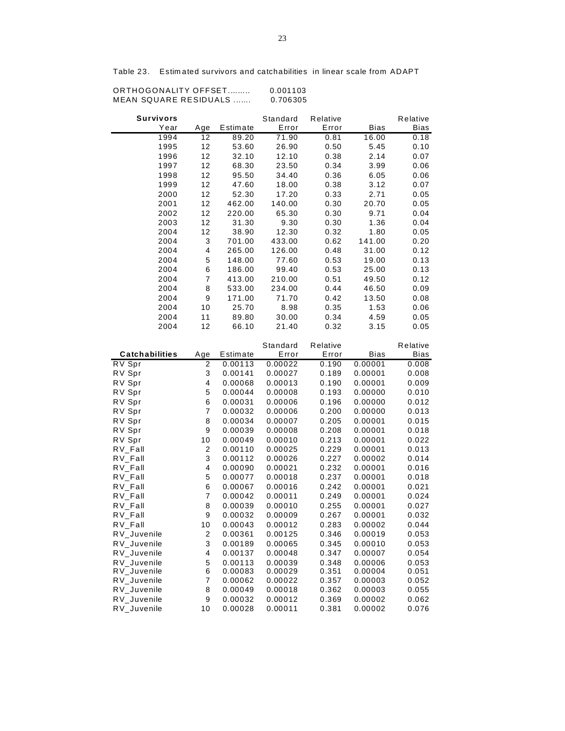| MEAN SQUARE RESIDUALS |                         |                    | 0.706305           |                |                    |                |
|-----------------------|-------------------------|--------------------|--------------------|----------------|--------------------|----------------|
| <b>Survivors</b>      |                         |                    | Standard           | Relative       |                    | Relative       |
| Year                  | Age                     | Estimate           | Error              | Error          | <b>Bias</b>        | Bias           |
| 1994                  | 12                      | 89.20              | 71.90              | 0.81           | 16.00              | 0.18           |
| 1995                  | 12                      | 53.60              | 26.90              | 0.50           | 5.45               | 0.10           |
| 1996                  | 12                      | 32.10              | 12.10              | 0.38           | 2.14               | 0.07           |
| 1997                  | 12                      | 68.30              | 23.50              | 0.34           | 3.99               | 0.06           |
| 1998                  | 12                      | 95.50              | 34.40              | 0.36           | 6.05               | 0.06           |
| 1999                  | 12                      | 47.60              | 18.00              | 0.38           | 3.12               | 0.07           |
| 2000                  | 12                      | 52.30              | 17.20              | 0.33           | 2.71               | 0.05           |
| 2001                  | 12                      | 462.00             | 140.00             | 0.30           | 20.70              | 0.05           |
| 2002                  | 12                      | 220.00             | 65.30              | 0.30           | 9.71               | 0.04           |
| 2003                  | 12                      | 31.30              | 9.30               | 0.30           | 1.36               | 0.04           |
| 2004                  | 12                      | 38.90              | 12.30              | 0.32           | 1.80               | 0.05           |
| 2004                  | 3                       | 701.00             | 433.00             | 0.62           | 141.00             | 0.20           |
| 2004                  | 4                       | 265.00             | 126.00             | 0.48           | 31.00              | 0.12           |
| 2004                  | 5                       | 148.00             | 77.60              | 0.53           | 19.00              | 0.13           |
| 2004                  | 6                       | 186.00             | 99.40              | 0.53           | 25.00              | 0.13           |
| 2004                  | $\overline{7}$          | 413.00             | 210.00             | 0.51           | 49.50              | 0.12           |
| 2004                  | 8                       | 533.00             | 234.00             | 0.44           | 46.50              | 0.09           |
| 2004                  | 9                       | 171.00             | 71.70              | 0.42           | 13.50              | 0.08           |
| 2004                  | 10                      | 25.70              | 8.98               | 0.35           | 1.53               | 0.06           |
| 2004                  | 11                      | 89.80              | 30.00              | 0.34           | 4.59               | 0.05           |
| 2004                  | 12                      | 66.10              | 21.40              | 0.32           | 3.15               | 0.05           |
|                       |                         |                    | Standard           | Relative       |                    | Relative       |
| <b>Catchabilities</b> | Age                     | Estimate           | Error              | Error          | <b>Bias</b>        | <b>Bias</b>    |
| RV Spr                | 2                       | 0.00113            | 0.00022            | 0.190          | 0.00001            | 0.008          |
| RV Spr                | 3                       | 0.00141            | 0.00027            | 0.189          | 0.00001            | 0.008          |
| RV Spr                | 4                       | 0.00068            | 0.00013            | 0.190          | 0.00001            | 0.009          |
| RV Spr                | 5                       | 0.00044            | 0.00008            | 0.193          | 0.00000            | 0.010          |
| RV Spr                | 6                       | 0.00031            | 0.00006            | 0.196          | 0.00000            | 0.012          |
| RV Spr                | 7                       | 0.00032            | 0.00006            | 0.200          | 0.00000            | 0.013          |
| RV Spr                | 8                       | 0.00034            | 0.00007            | 0.205          | 0.00001            | 0.015          |
| RV Spr                | 9                       | 0.00039            | 0.00008            | 0.208          | 0.00001            | 0.018          |
| RV Spr                | 10                      | 0.00049            | 0.00010            | 0.213          | 0.00001            | 0.022          |
| $RV_F$ all            | $\overline{\mathbf{c}}$ | 0.00110            | 0.00025            | 0.229          | 0.00001            | 0.013          |
| $RV_F$ all            | 3                       | 0.00112            | 0.00026            | 0.227          | 0.00002            | 0.014          |
| RV_Fall               | 4                       | 0.00090            | 0.00021            | 0.232          | 0.00001            | 0.016          |
| $RV_F$ all            | 5                       | 0.00077            | 0.00018            | 0.237          | 0.00001            | 0.018          |
| $RV_F$ all            | 6<br>7                  | 0.00067<br>0.00042 | 0.00016            | 0.242<br>0.249 | 0.00001<br>0.00001 | 0.021          |
| $RV_F$ all<br>RV_Fall | 8                       | 0.00039            | 0.00011<br>0.00010 | 0.255          | 0.00001            | 0.024<br>0.027 |
| $RV_F$ all            | 9                       | 0.00032            | 0.00009            | 0.267          | 0.00001            | 0.032          |
| $RV_F$ all            | 10                      | 0.00043            | 0.00012            | 0.283          | 0.00002            | 0.044          |
| RV_Juvenile           | 2                       | 0.00361            | 0.00125            | 0.346          | 0.00019            | 0.053          |
| RV_Juvenile           | 3                       | 0.00189            | 0.00065            | 0.345          | 0.00010            | 0.053          |
| RV_Juvenile           | 4                       | 0.00137            | 0.00048            | 0.347          | 0.00007            | 0.054          |
| RV_Juvenile           | 5                       | 0.00113            | 0.00039            | 0.348          | 0.00006            | 0.053          |
| RV_Juvenile           | 6                       | 0.00083            | 0.00029            | 0.351          | 0.00004            | 0.051          |
| RV_Juvenile           | 7                       | 0.00062            | 0.00022            | 0.357          | 0.00003            | 0.052          |
| RV_Juvenile           | 8                       | 0.00049            | 0.00018            | 0.362          | 0.00003            | 0.055          |
| RV_Juvenile           | 9                       | 0.00032            | 0.00012            | 0.369          | 0.00002            | 0.062          |
| RV_Juvenile           | 10                      | 0.00028            | 0.00011            | 0.381          | 0.00002            | 0.076          |

Table 23. Estim ated survivors and catchabilities in linear scale from ADAPT

ORTHOGONALITY OFFSET......... 0.001103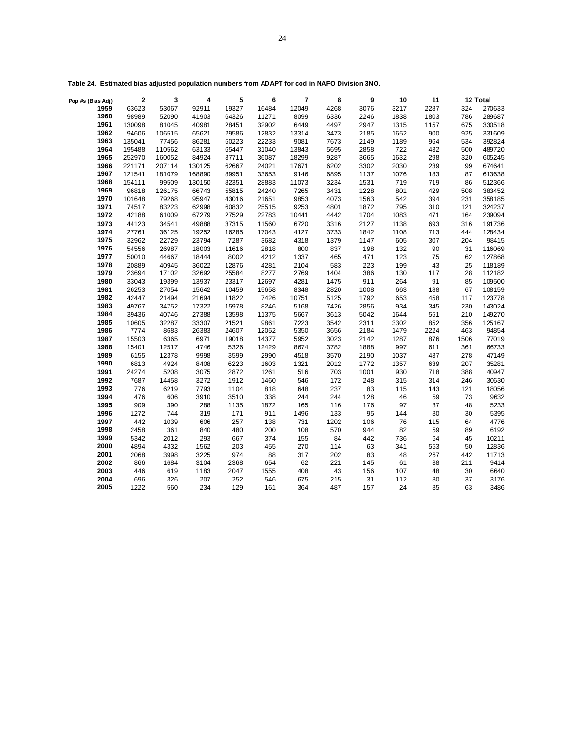| Pop #s (Bias Adj) | $\mathbf 2$ | 3      | 4      | 5     | 6     | $\overline{\phantom{a}}$ | 8    | 9    | 10   | 11   |      | 12 Total |
|-------------------|-------------|--------|--------|-------|-------|--------------------------|------|------|------|------|------|----------|
| 1959              | 63623       | 53067  | 92911  | 19327 | 16484 | 12049                    | 4268 | 3076 | 3217 | 2287 | 324  | 270633   |
| 1960              | 98989       | 52090  | 41903  | 64326 | 11271 | 8099                     | 6336 | 2246 | 1838 | 1803 | 786  | 289687   |
| 1961              | 130098      | 81045  | 40981  | 28451 | 32902 | 6449                     | 4497 | 2947 | 1315 | 1157 | 675  | 330518   |
| 1962              | 94606       | 106515 | 65621  | 29586 | 12832 | 13314                    | 3473 | 2185 | 1652 | 900  | 925  | 331609   |
| 1963              | 135041      | 77456  | 86281  | 50223 | 22233 | 9081                     | 7673 | 2149 | 1189 | 964  | 534  | 392824   |
| 1964              | 195488      | 110562 | 63133  | 65447 | 31040 | 13843                    | 5695 | 2858 | 722  | 432  | 500  | 489720   |
| 1965              | 252970      | 160052 | 84924  | 37711 | 36087 | 18299                    | 9287 | 3665 | 1632 | 298  | 320  | 605245   |
| 1966              | 221171      | 207114 | 130125 | 62667 | 24021 | 17671                    | 6202 | 3302 | 2030 | 239  | 99   | 674641   |
| 1967              | 121541      | 181079 | 168890 | 89951 | 33653 | 9146                     | 6895 | 1137 | 1076 | 183  | 87   | 613638   |
| 1968              | 154111      | 99509  | 130150 | 82351 | 28883 | 11073                    | 3234 | 1531 | 719  | 719  | 86   | 512366   |
| 1969              | 96818       | 126175 | 66743  | 55815 | 24240 | 7265                     | 3431 | 1228 | 801  | 429  | 508  | 383452   |
| 1970              | 101648      | 79268  | 95947  | 43016 | 21651 | 9853                     | 4073 | 1563 | 542  | 394  | 231  | 358185   |
| 1971              | 74517       | 83223  | 62998  | 60832 | 25515 | 9253                     | 4801 | 1872 | 795  | 310  | 121  | 324237   |
| 1972              | 42188       | 61009  | 67279  | 27529 | 22783 | 10441                    | 4442 | 1704 | 1083 | 471  | 164  | 239094   |
| 1973              | 44123       | 34541  | 49888  | 37315 | 11560 | 6720                     | 3316 | 2127 | 1138 | 693  | 316  | 191736   |
| 1974              | 27761       | 36125  | 19252  | 16285 | 17043 | 4127                     | 3733 | 1842 | 1108 | 713  | 444  | 128434   |
| 1975              | 32962       | 22729  | 23794  | 7287  | 3682  | 4318                     | 1379 | 1147 | 605  | 307  | 204  | 98415    |
| 1976              | 54556       | 26987  | 18003  | 11616 | 2818  | 800                      | 837  | 198  | 132  | 90   | 31   | 116069   |
| 1977              | 50010       | 44667  | 18444  | 8002  | 4212  | 1337                     | 465  | 471  | 123  | 75   | 62   | 127868   |
| 1978              | 20889       | 40945  | 36022  | 12876 | 4281  | 2104                     | 583  | 223  | 199  | 43   | 25   | 118189   |
| 1979              | 23694       | 17102  | 32692  | 25584 | 8277  | 2769                     | 1404 | 386  | 130  | 117  | 28   | 112182   |
| 1980              | 33043       | 19399  | 13937  | 23317 | 12697 | 4281                     | 1475 | 911  | 264  | 91   | 85   | 109500   |
| 1981              | 26253       | 27054  | 15642  | 10459 | 15658 | 8348                     | 2820 | 1008 | 663  | 188  | 67   | 108159   |
| 1982              | 42447       | 21494  | 21694  | 11822 | 7426  | 10751                    | 5125 | 1792 | 653  | 458  | 117  | 123778   |
| 1983              | 49767       | 34752  | 17322  | 15978 | 8246  | 5168                     | 7426 | 2856 | 934  | 345  | 230  | 143024   |
| 1984              | 39436       | 40746  | 27388  | 13598 | 11375 | 5667                     | 3613 | 5042 | 1644 | 551  | 210  | 149270   |
| 1985              | 10605       | 32287  | 33307  | 21521 | 9861  | 7223                     | 3542 | 2311 | 3302 | 852  | 356  | 125167   |
| 1986              | 7774        | 8683   | 26383  | 24607 | 12052 | 5350                     | 3656 | 2184 | 1479 | 2224 | 463  | 94854    |
| 1987              | 15503       | 6365   | 6971   | 19018 | 14377 | 5952                     | 3023 | 2142 | 1287 | 876  | 1506 | 77019    |
| 1988              | 15401       | 12517  | 4746   | 5326  | 12429 | 8674                     | 3782 | 1888 | 997  | 611  | 361  | 66733    |
| 1989              | 6155        | 12378  | 9998   | 3599  | 2990  | 4518                     | 3570 | 2190 | 1037 | 437  | 278  | 47149    |
| 1990              | 6813        | 4924   | 8408   | 6223  | 1603  | 1321                     | 2012 | 1772 | 1357 | 639  | 207  | 35281    |
| 1991              | 24274       | 5208   | 3075   | 2872  | 1261  | 516                      | 703  | 1001 | 930  | 718  | 388  | 40947    |
| 1992              | 7687        | 14458  | 3272   | 1912  | 1460  | 546                      | 172  | 248  | 315  | 314  | 246  | 30630    |
| 1993              | 776         | 6219   | 7793   | 1104  | 818   | 648                      | 237  | 83   | 115  | 143  | 121  | 18056    |
| 1994              | 476         | 606    | 3910   | 3510  | 338   | 244                      | 244  | 128  | 46   | 59   | 73   | 9632     |
| 1995              | 909         | 390    | 288    | 1135  | 1872  | 165                      | 116  | 176  | 97   | 37   | 48   | 5233     |
| 1996              | 1272        | 744    | 319    | 171   | 911   | 1496                     | 133  | 95   | 144  | 80   | 30   | 5395     |
| 1997              | 442         | 1039   | 606    | 257   | 138   | 731                      | 1202 | 106  | 76   | 115  | 64   | 4776     |
| 1998              | 2458        | 361    | 840    | 480   | 200   | 108                      | 570  | 944  | 82   | 59   | 89   | 6192     |
| 1999              | 5342        | 2012   | 293    | 667   | 374   | 155                      | 84   | 442  | 736  | 64   | 45   | 10211    |
| 2000              | 4894        | 4332   | 1562   | 203   | 455   | 270                      | 114  | 63   | 341  | 553  | 50   | 12836    |
| 2001              | 2068        | 3998   | 3225   | 974   | 88    | 317                      | 202  | 83   | 48   | 267  | 442  | 11713    |
| 2002              | 866         | 1684   | 3104   | 2368  | 654   | 62                       | 221  | 145  | 61   | 38   | 211  | 9414     |
| 2003              | 446         | 619    | 1183   | 2047  | 1555  | 408                      | 43   | 156  | 107  | 48   | 30   | 6640     |
| 2004              | 696         | 326    | 207    | 252   | 546   | 675                      | 215  | 31   | 112  | 80   | 37   | 3176     |
| 2005              | 1222        | 560    | 234    | 129   | 161   | 364                      | 487  | 157  | 24   | 85   | 63   | 3486     |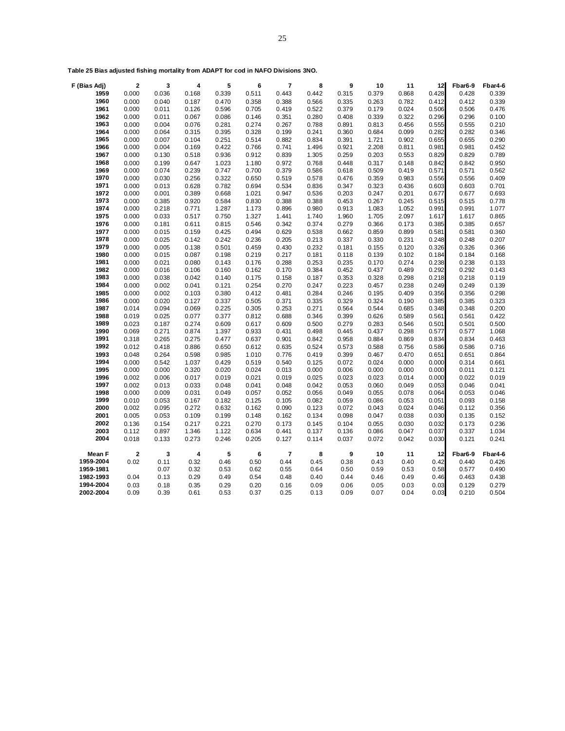| F (Bias Adj) | $\mathbf{2}$            | 3     | 4                       | 5     | 6     | 7              | 8     | 9     | 10    | 11    | 12    | Fbar6-9 | Fbar4-6 |
|--------------|-------------------------|-------|-------------------------|-------|-------|----------------|-------|-------|-------|-------|-------|---------|---------|
| 1959         | 0.000                   | 0.036 | 0.168                   | 0.339 | 0.511 | 0.443          | 0.442 | 0.315 | 0.379 | 0.868 | 0.428 | 0.428   | 0.339   |
| 1960         | 0.000                   | 0.040 | 0.187                   | 0.470 | 0.358 | 0.388          | 0.566 | 0.335 | 0.263 | 0.782 | 0.412 | 0.412   | 0.339   |
| 1961         | 0.000                   | 0.011 | 0.126                   | 0.596 | 0.705 | 0.419          | 0.522 | 0.379 | 0.179 | 0.024 | 0.506 | 0.506   | 0.476   |
| 1962         | 0.000                   | 0.011 | 0.067                   | 0.086 | 0.146 | 0.351          | 0.280 | 0.408 | 0.339 | 0.322 | 0.296 | 0.296   | 0.100   |
| 1963         | 0.000                   | 0.004 | 0.076                   | 0.281 | 0.274 | 0.267          | 0.788 | 0.891 | 0.813 | 0.456 | 0.555 | 0.555   | 0.210   |
| 1964         | 0.000                   | 0.064 | 0.315                   | 0.395 | 0.328 | 0.199          | 0.241 | 0.360 | 0.684 | 0.099 | 0.282 | 0.282   | 0.346   |
| 1965         | 0.000                   | 0.007 | 0.104                   | 0.251 | 0.514 | 0.882          | 0.834 | 0.391 | 1.721 | 0.902 | 0.655 | 0.655   | 0.290   |
| 1966         | 0.000                   | 0.004 | 0.169                   | 0.422 | 0.766 | 0.741          | 1.496 | 0.921 | 2.208 | 0.811 | 0.981 | 0.981   | 0.452   |
| 1967         | 0.000                   | 0.130 | 0.518                   | 0.936 | 0.912 | 0.839          | 1.305 | 0.259 | 0.203 | 0.553 | 0.829 | 0.829   | 0.789   |
| 1968         | 0.000                   | 0.199 | 0.647                   | 1.023 | 1.180 | 0.972          | 0.768 | 0.448 | 0.317 | 0.148 | 0.842 | 0.842   | 0.950   |
| 1969         | 0.000                   | 0.074 | 0.239                   | 0.747 | 0.700 | 0.379          | 0.586 | 0.618 | 0.509 | 0.419 | 0.571 | 0.571   | 0.562   |
| 1970         | 0.000                   | 0.030 | 0.256                   | 0.322 | 0.650 | 0.519          | 0.578 | 0.476 | 0.359 | 0.983 | 0.556 | 0.556   | 0.409   |
| 1971         | 0.000                   | 0.013 | 0.628                   | 0.782 | 0.694 | 0.534          | 0.836 | 0.347 | 0.323 | 0.436 | 0.603 | 0.603   | 0.701   |
| 1972         | 0.000                   | 0.001 | 0.389                   | 0.668 | 1.021 | 0.947          | 0.536 | 0.203 | 0.247 | 0.201 | 0.677 | 0.677   | 0.693   |
| 1973         | 0.000                   | 0.385 | 0.920                   | 0.584 | 0.830 | 0.388          | 0.388 | 0.453 | 0.267 | 0.245 | 0.515 | 0.515   | 0.778   |
| 1974         | 0.000                   | 0.218 | 0.771                   | 1.287 | 1.173 | 0.896          | 0.980 | 0.913 | 1.083 | 1.052 | 0.991 | 0.991   | 1.077   |
| 1975         | 0.000                   | 0.033 | 0.517                   | 0.750 | 1.327 | 1.441          | 1.740 | 1.960 | 1.705 | 2.097 | 1.617 | 1.617   | 0.865   |
| 1976         | 0.000                   | 0.181 | 0.611                   | 0.815 | 0.546 | 0.342          | 0.374 | 0.279 | 0.366 | 0.173 | 0.385 | 0.385   | 0.657   |
| 1977         | 0.000                   | 0.015 | 0.159                   | 0.425 | 0.494 | 0.629          | 0.538 | 0.662 | 0.859 | 0.899 | 0.581 | 0.581   | 0.360   |
| 1978         | 0.000                   | 0.025 | 0.142                   | 0.242 | 0.236 | 0.205          | 0.213 | 0.337 | 0.330 | 0.231 | 0.248 | 0.248   | 0.207   |
| 1979         | 0.000                   | 0.005 | 0.138                   | 0.501 | 0.459 | 0.430          | 0.232 | 0.181 | 0.155 | 0.120 | 0.326 | 0.326   | 0.366   |
| 1980         | 0.000                   | 0.015 | 0.087                   | 0.198 | 0.219 | 0.217          | 0.181 | 0.118 | 0.139 | 0.102 | 0.184 | 0.184   | 0.168   |
| 1981         | 0.000                   | 0.021 | 0.080                   | 0.143 | 0.176 | 0.288          | 0.253 | 0.235 | 0.170 | 0.274 | 0.238 | 0.238   | 0.133   |
| 1982         | 0.000                   | 0.016 | 0.106                   | 0.160 | 0.162 | 0.170          | 0.384 | 0.452 | 0.437 | 0.489 | 0.292 | 0.292   | 0.143   |
| 1983         | 0.000                   | 0.038 | 0.042                   | 0.140 | 0.175 | 0.158          | 0.187 | 0.353 | 0.328 | 0.298 | 0.218 | 0.218   | 0.119   |
| 1984         | 0.000                   | 0.002 | 0.041                   | 0.121 | 0.254 | 0.270          | 0.247 | 0.223 | 0.457 | 0.238 | 0.249 | 0.249   | 0.139   |
| 1985         | 0.000                   | 0.002 | 0.103                   | 0.380 | 0.412 | 0.481          | 0.284 | 0.246 | 0.195 | 0.409 | 0.356 | 0.356   | 0.298   |
| 1986         | 0.000                   | 0.020 | 0.127                   | 0.337 | 0.505 | 0.371          | 0.335 | 0.329 | 0.324 | 0.190 | 0.385 | 0.385   | 0.323   |
| 1987         | 0.014                   | 0.094 | 0.069                   | 0.225 | 0.305 | 0.253          | 0.271 | 0.564 | 0.544 | 0.685 | 0.348 | 0.348   | 0.200   |
| 1988         | 0.019                   | 0.025 | 0.077                   | 0.377 | 0.812 | 0.688          | 0.346 | 0.399 | 0.626 | 0.589 | 0.561 | 0.561   | 0.422   |
| 1989         | 0.023                   | 0.187 | 0.274                   | 0.609 | 0.617 | 0.609          | 0.500 | 0.279 | 0.283 | 0.546 | 0.501 | 0.501   | 0.500   |
| 1990         | 0.069                   | 0.271 | 0.874                   | 1.397 | 0.933 | 0.431          | 0.498 | 0.445 | 0.437 | 0.298 | 0.577 | 0.577   | 1.068   |
| 1991         | 0.318                   | 0.265 | 0.275                   | 0.477 | 0.637 | 0.901          | 0.842 | 0.958 | 0.884 | 0.869 | 0.834 | 0.834   | 0.463   |
| 1992         | 0.012                   | 0.418 | 0.886                   | 0.650 | 0.612 | 0.635          | 0.524 | 0.573 | 0.588 | 0.756 | 0.586 | 0.586   | 0.716   |
| 1993         | 0.048                   | 0.264 | 0.598                   | 0.985 | 1.010 | 0.776          | 0.419 | 0.399 | 0.467 | 0.470 | 0.651 | 0.651   | 0.864   |
| 1994         | 0.000                   | 0.542 | 1.037                   | 0.429 | 0.519 | 0.540          | 0.125 | 0.072 | 0.024 | 0.000 | 0.000 | 0.314   | 0.661   |
| 1995         | 0.000                   | 0.000 | 0.320                   | 0.020 | 0.024 | 0.013          | 0.000 | 0.006 | 0.000 | 0.000 | 0.000 | 0.011   | 0.121   |
| 1996         | 0.002                   | 0.006 | 0.017                   | 0.019 | 0.021 | 0.019          | 0.025 | 0.023 | 0.023 | 0.014 | 0.000 | 0.022   | 0.019   |
| 1997         | 0.002                   | 0.013 | 0.033                   | 0.048 | 0.041 | 0.048          | 0.042 | 0.053 | 0.060 | 0.049 | 0.053 | 0.046   | 0.041   |
| 1998         | 0.000                   | 0.009 | 0.031                   | 0.049 | 0.057 | 0.052          | 0.056 | 0.049 | 0.055 | 0.078 | 0.064 | 0.053   | 0.046   |
| 1999         | 0.010                   | 0.053 | 0.167                   | 0.182 | 0.125 | 0.105          | 0.082 | 0.059 | 0.086 | 0.053 | 0.051 | 0.093   | 0.158   |
| 2000         | 0.002                   | 0.095 | 0.272                   | 0.632 | 0.162 | 0.090          | 0.123 | 0.072 | 0.043 | 0.024 | 0.046 | 0.112   | 0.356   |
| 2001         | 0.005                   | 0.053 | 0.109                   | 0.199 | 0.148 | 0.162          | 0.134 | 0.098 | 0.047 | 0.038 | 0.030 | 0.135   | 0.152   |
| 2002         | 0.136                   | 0.154 | 0.217                   | 0.221 | 0.270 | 0.173          | 0.145 | 0.104 | 0.055 | 0.030 | 0.032 | 0.173   | 0.236   |
| 2003         | 0.112                   | 0.897 | 1.346                   | 1.122 | 0.634 | 0.441          | 0.137 | 0.136 | 0.086 | 0.047 | 0.037 | 0.337   | 1.034   |
| 2004         | 0.018                   | 0.133 | 0.273                   | 0.246 | 0.205 | 0.127          | 0.114 | 0.037 | 0.072 | 0.042 | 0.030 | 0.121   | 0.241   |
|              |                         |       |                         |       |       |                |       |       |       |       |       |         |         |
| Mean F       | $\overline{\mathbf{2}}$ | 3     | $\overline{\mathbf{4}}$ | 5     | 6     | $\overline{7}$ | 8     | 9     | 10    | 11    | 12    | Fbar6-9 | Fbar4-6 |
| 1959-2004    | 0.02                    | 0.11  | 0.32                    | 0.46  | 0.50  | 0.44           | 0.45  | 0.38  | 0.43  | 0.40  | 0.42  | 0.440   | 0.426   |
| 1959-1981    |                         | 0.07  | 0.32                    | 0.53  | 0.62  | 0.55           | 0.64  | 0.50  | 0.59  | 0.53  | 0.58  | 0.577   | 0.490   |
| 1982-1993    | 0.04                    | 0.13  | 0.29                    | 0.49  | 0.54  | 0.48           | 0.40  | 0.44  | 0.46  | 0.49  | 0.46  | 0.463   | 0.438   |
| 1994-2004    | 0.03                    | 0.18  | 0.35                    | 0.29  | 0.20  | 0.16           | 0.09  | 0.06  | 0.05  | 0.03  | 0.03  | 0.129   | 0.279   |
| 2002-2004    | 0.09                    | 0.39  | 0.61                    | 0.53  | 0.37  | 0.25           | 0.13  | 0.09  | 0.07  | 0.04  | 0.03  | 0.210   | 0.504   |
|              |                         |       |                         |       |       |                |       |       |       |       |       |         |         |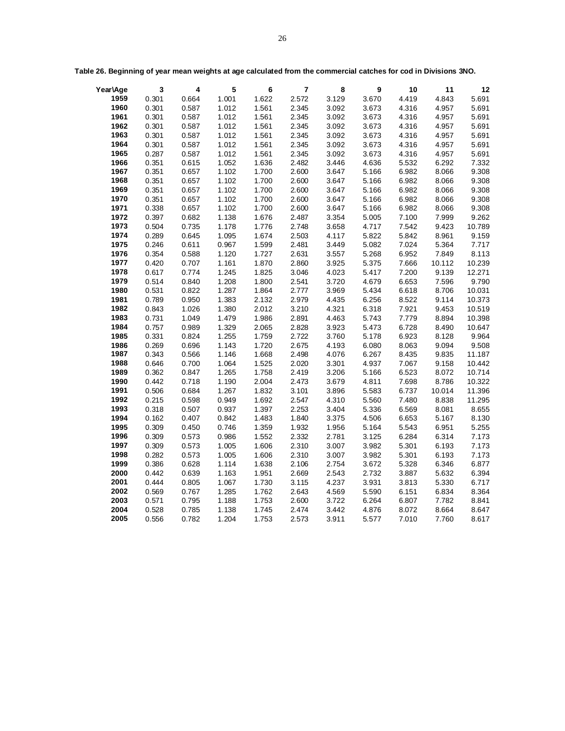| Year\Age | $\mathbf{3}$ | 4     | ${\bf 5}$ | 6     | $\overline{7}$ | 8     | 9     | 10    | 11     | 12     |
|----------|--------------|-------|-----------|-------|----------------|-------|-------|-------|--------|--------|
| 1959     | 0.301        | 0.664 | 1.001     | 1.622 | 2.572          | 3.129 | 3.670 | 4.419 | 4.843  | 5.691  |
| 1960     | 0.301        | 0.587 | 1.012     | 1.561 | 2.345          | 3.092 | 3.673 | 4.316 | 4.957  | 5.691  |
| 1961     | 0.301        | 0.587 | 1.012     | 1.561 | 2.345          | 3.092 | 3.673 | 4.316 | 4.957  | 5.691  |
| 1962     | 0.301        | 0.587 | 1.012     | 1.561 | 2.345          | 3.092 | 3.673 | 4.316 | 4.957  | 5.691  |
| 1963     | 0.301        | 0.587 | 1.012     | 1.561 | 2.345          | 3.092 | 3.673 | 4.316 | 4.957  | 5.691  |
| 1964     | 0.301        | 0.587 | 1.012     | 1.561 | 2.345          | 3.092 | 3.673 | 4.316 | 4.957  | 5.691  |
| 1965     | 0.287        | 0.587 | 1.012     | 1.561 | 2.345          | 3.092 | 3.673 | 4.316 | 4.957  | 5.691  |
| 1966     | 0.351        | 0.615 | 1.052     | 1.636 | 2.482          | 3.446 | 4.636 | 5.532 | 6.292  | 7.332  |
| 1967     | 0.351        | 0.657 | 1.102     | 1.700 | 2.600          | 3.647 | 5.166 | 6.982 | 8.066  | 9.308  |
| 1968     | 0.351        | 0.657 | 1.102     | 1.700 | 2.600          | 3.647 | 5.166 | 6.982 | 8.066  | 9.308  |
| 1969     | 0.351        | 0.657 | 1.102     | 1.700 | 2.600          | 3.647 | 5.166 | 6.982 | 8.066  | 9.308  |
| 1970     | 0.351        | 0.657 | 1.102     | 1.700 | 2.600          | 3.647 | 5.166 | 6.982 | 8.066  | 9.308  |
| 1971     | 0.338        | 0.657 | 1.102     | 1.700 | 2.600          | 3.647 | 5.166 | 6.982 | 8.066  | 9.308  |
| 1972     | 0.397        | 0.682 | 1.138     | 1.676 | 2.487          | 3.354 | 5.005 | 7.100 | 7.999  | 9.262  |
| 1973     | 0.504        | 0.735 | 1.178     | 1.776 | 2.748          | 3.658 | 4.717 | 7.542 | 9.423  | 10.789 |
| 1974     | 0.289        | 0.645 | 1.095     | 1.674 | 2.503          | 4.117 | 5.822 | 5.842 | 8.961  | 9.159  |
| 1975     | 0.246        | 0.611 | 0.967     | 1.599 | 2.481          | 3.449 | 5.082 | 7.024 | 5.364  | 7.717  |
| 1976     | 0.354        | 0.588 | 1.120     | 1.727 | 2.631          | 3.557 | 5.268 | 6.952 | 7.849  | 8.113  |
| 1977     | 0.420        | 0.707 | 1.161     | 1.870 | 2.860          | 3.925 | 5.375 | 7.666 | 10.112 | 10.239 |
| 1978     | 0.617        | 0.774 | 1.245     | 1.825 | 3.046          | 4.023 | 5.417 | 7.200 | 9.139  | 12.271 |
| 1979     | 0.514        | 0.840 | 1.208     | 1.800 | 2.541          | 3.720 | 4.679 | 6.653 | 7.596  | 9.790  |
| 1980     | 0.531        | 0.822 | 1.287     | 1.864 | 2.777          | 3.969 | 5.434 | 6.618 | 8.706  | 10.031 |
| 1981     | 0.789        | 0.950 | 1.383     | 2.132 | 2.979          | 4.435 | 6.256 | 8.522 | 9.114  | 10.373 |
| 1982     | 0.843        | 1.026 | 1.380     | 2.012 | 3.210          | 4.321 | 6.318 | 7.921 | 9.453  | 10.519 |
| 1983     | 0.731        | 1.049 | 1.479     | 1.986 | 2.891          | 4.463 | 5.743 | 7.779 | 8.894  | 10.398 |
| 1984     | 0.757        | 0.989 | 1.329     | 2.065 | 2.828          | 3.923 | 5.473 | 6.728 | 8.490  | 10.647 |
| 1985     | 0.331        | 0.824 | 1.255     | 1.759 | 2.722          | 3.760 | 5.178 | 6.923 | 8.128  | 9.964  |
| 1986     | 0.269        | 0.696 | 1.143     | 1.720 | 2.675          | 4.193 | 6.080 | 8.063 | 9.094  | 9.508  |
| 1987     | 0.343        | 0.566 | 1.146     | 1.668 | 2.498          | 4.076 | 6.267 | 8.435 | 9.835  | 11.187 |
| 1988     | 0.646        | 0.700 | 1.064     | 1.525 | 2.020          | 3.301 | 4.937 | 7.067 | 9.158  | 10.442 |
| 1989     | 0.362        | 0.847 | 1.265     | 1.758 | 2.419          | 3.206 | 5.166 | 6.523 | 8.072  | 10.714 |
| 1990     | 0.442        | 0.718 | 1.190     | 2.004 | 2.473          | 3.679 | 4.811 | 7.698 | 8.786  | 10.322 |
| 1991     | 0.506        | 0.684 | 1.267     | 1.832 | 3.101          | 3.896 | 5.583 | 6.737 | 10.014 | 11.396 |
| 1992     | 0.215        | 0.598 | 0.949     | 1.692 | 2.547          | 4.310 | 5.560 | 7.480 | 8.838  | 11.295 |
| 1993     | 0.318        | 0.507 | 0.937     | 1.397 | 2.253          | 3.404 | 5.336 | 6.569 | 8.081  | 8.655  |
| 1994     | 0.162        | 0.407 | 0.842     | 1.483 | 1.840          | 3.375 | 4.506 | 6.653 | 5.167  | 8.130  |
| 1995     | 0.309        | 0.450 | 0.746     | 1.359 | 1.932          | 1.956 | 5.164 | 5.543 | 6.951  | 5.255  |
| 1996     | 0.309        | 0.573 | 0.986     | 1.552 | 2.332          | 2.781 | 3.125 | 6.284 | 6.314  | 7.173  |
| 1997     | 0.309        | 0.573 | 1.005     | 1.606 | 2.310          | 3.007 | 3.982 | 5.301 | 6.193  | 7.173  |
| 1998     | 0.282        | 0.573 | 1.005     | 1.606 | 2.310          | 3.007 | 3.982 | 5.301 | 6.193  | 7.173  |
| 1999     | 0.386        | 0.628 | 1.114     | 1.638 | 2.106          | 2.754 | 3.672 | 5.328 | 6.346  | 6.877  |
| 2000     | 0.442        | 0.639 | 1.163     | 1.951 | 2.669          | 2.543 | 2.732 | 3.887 | 5.632  | 6.394  |
| 2001     | 0.444        | 0.805 | 1.067     | 1.730 | 3.115          | 4.237 | 3.931 | 3.813 | 5.330  | 6.717  |
| 2002     | 0.569        | 0.767 | 1.285     | 1.762 | 2.643          | 4.569 | 5.590 | 6.151 | 6.834  | 8.364  |
| 2003     | 0.571        | 0.795 | 1.188     | 1.753 | 2.600          | 3.722 | 6.264 | 6.807 | 7.782  | 8.841  |
| 2004     | 0.528        | 0.785 | 1.138     | 1.745 | 2.474          | 3.442 | 4.876 | 8.072 | 8.664  | 8.647  |
| 2005     | 0.556        | 0.782 | 1.204     | 1.753 | 2.573          | 3.911 | 5.577 | 7.010 | 7.760  | 8.617  |

**Table 26. Beginning of year mean weights at age calculated from the commercial catches for cod in Divisions 3NO.**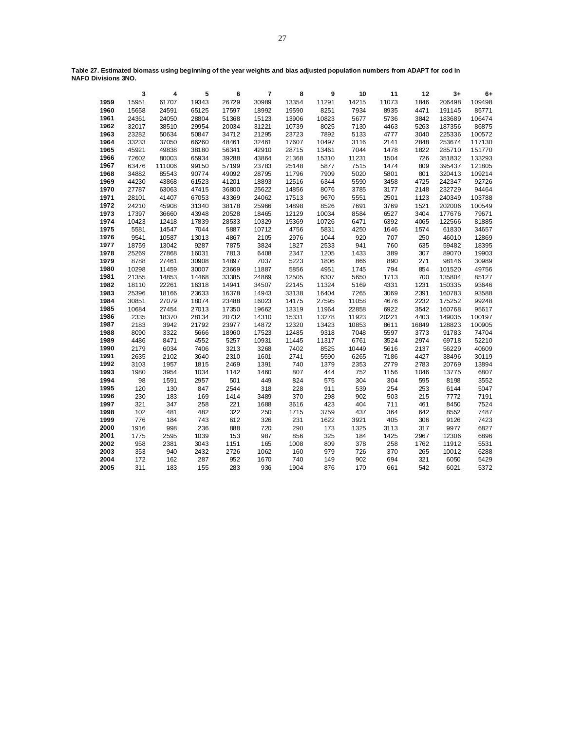**Table 27. Estimated biomass using beginning of the year weights and bias adjusted population numbers from ADAPT for cod in NAFO Divisions 3NO.**

|      | 3     | 4      | 5     | 6     | 7     | 8     | 9     | 10    | 11    | 12    | $3+$   | 6+     |
|------|-------|--------|-------|-------|-------|-------|-------|-------|-------|-------|--------|--------|
| 1959 | 15951 | 61707  | 19343 | 26729 | 30989 | 13354 | 11291 | 14215 | 11073 | 1846  | 206498 | 109498 |
| 1960 | 15658 | 24591  | 65125 | 17597 | 18992 | 19590 | 8251  | 7934  | 8935  | 4471  | 191145 | 85771  |
| 1961 | 24361 | 24050  | 28804 | 51368 | 15123 | 13906 | 10823 | 5677  | 5736  | 3842  | 183689 | 106474 |
| 1962 | 32017 | 38510  | 29954 | 20034 | 31221 | 10739 | 8025  | 7130  | 4463  | 5263  | 187356 | 86875  |
| 1963 | 23282 | 50634  | 50847 | 34712 | 21295 | 23723 | 7892  | 5133  | 4777  | 3040  | 225336 | 100572 |
| 1964 | 33233 | 37050  | 66260 | 48461 | 32461 | 17607 | 10497 | 3116  | 2141  | 2848  | 253674 | 117130 |
| 1965 | 45921 | 49838  | 38180 | 56341 | 42910 | 28715 | 13461 | 7044  | 1478  | 1822  | 285710 | 151770 |
| 1966 | 72602 | 80003  | 65934 | 39288 | 43864 | 21368 | 15310 | 11231 | 1504  | 726   | 351832 | 133293 |
| 1967 | 63476 | 111006 | 99150 | 57199 | 23783 | 25148 | 5877  | 7515  | 1474  | 809   | 395437 | 121805 |
| 1968 | 34882 | 85543  | 90774 | 49092 | 28795 | 11796 | 7909  | 5020  | 5801  | 801   | 320413 | 109214 |
| 1969 | 44230 | 43868  | 61523 | 41201 | 18893 | 12516 | 6344  | 5590  | 3458  | 4725  | 242347 | 92726  |
| 1970 | 27787 | 63063  | 47415 | 36800 | 25622 | 14856 | 8076  | 3785  | 3177  | 2148  | 232729 | 94464  |
| 1971 | 28101 | 41407  | 67053 | 43369 | 24062 | 17513 | 9670  | 5551  | 2501  | 1123  | 240349 | 103788 |
| 1972 | 24210 | 45908  | 31340 | 38178 | 25966 | 14898 | 8526  | 7691  | 3769  | 1521  | 202006 | 100549 |
| 1973 | 17397 | 36660  | 43948 | 20528 | 18465 | 12129 | 10034 | 8584  | 6527  | 3404  | 177676 | 79671  |
| 1974 | 10423 | 12418  | 17839 | 28533 | 10329 | 15369 | 10726 | 6471  | 6392  | 4065  | 122566 | 81885  |
| 1975 | 5581  | 14547  | 7044  | 5887  | 10712 | 4756  | 5831  | 4250  | 1646  | 1574  | 61830  | 34657  |
| 1976 | 9541  | 10587  | 13013 | 4867  | 2105  | 2976  | 1044  | 920   | 707   | 250   | 46010  | 12869  |
| 1977 | 18759 | 13042  | 9287  | 7875  | 3824  | 1827  | 2533  | 941   | 760   | 635   | 59482  | 18395  |
| 1978 | 25269 | 27868  | 16031 | 7813  | 6408  | 2347  | 1205  | 1433  | 389   | 307   | 89070  | 19903  |
| 1979 | 8788  | 27461  | 30908 | 14897 | 7037  | 5223  | 1806  | 866   | 890   | 271   | 98146  | 30989  |
| 1980 | 10298 | 11459  | 30007 | 23669 | 11887 | 5856  | 4951  | 1745  | 794   | 854   | 101520 | 49756  |
| 1981 | 21355 | 14853  | 14468 | 33385 | 24869 | 12505 | 6307  | 5650  | 1713  | 700   | 135804 | 85127  |
| 1982 | 18110 | 22261  | 16318 | 14941 | 34507 | 22145 | 11324 | 5169  | 4331  | 1231  | 150335 | 93646  |
| 1983 | 25396 | 18166  | 23633 | 16378 | 14943 | 33138 | 16404 | 7265  | 3069  | 2391  | 160783 | 93588  |
| 1984 | 30851 | 27079  | 18074 | 23488 | 16023 | 14175 | 27595 | 11058 | 4676  | 2232  | 175252 | 99248  |
| 1985 | 10684 | 27454  | 27013 | 17350 | 19662 | 13319 | 11964 | 22858 | 6922  | 3542  | 160768 | 95617  |
| 1986 | 2335  | 18370  | 28134 | 20732 | 14310 | 15331 | 13278 | 11923 | 20221 | 4403  | 149035 | 100197 |
| 1987 | 2183  | 3942   | 21792 | 23977 | 14872 | 12320 | 13423 | 10853 | 8611  | 16849 | 128823 | 100905 |
| 1988 | 8090  | 3322   | 5666  | 18960 | 17523 | 12485 | 9318  | 7048  | 5597  | 3773  | 91783  | 74704  |
| 1989 | 4486  | 8471   | 4552  | 5257  | 10931 | 11445 | 11317 | 6761  | 3524  | 2974  | 69718  | 52210  |
| 1990 | 2179  | 6034   | 7406  | 3213  | 3268  | 7402  | 8525  | 10449 | 5616  | 2137  | 56229  | 40609  |
| 1991 | 2635  | 2102   | 3640  | 2310  | 1601  | 2741  | 5590  | 6265  | 7186  | 4427  | 38496  | 30119  |
| 1992 | 3103  | 1957   | 1815  | 2469  | 1391  | 740   | 1379  | 2353  | 2779  | 2783  | 20769  | 13894  |
| 1993 | 1980  | 3954   | 1034  | 1142  | 1460  | 807   | 444   | 752   | 1156  | 1046  | 13775  | 6807   |
| 1994 | 98    | 1591   | 2957  | 501   | 449   | 824   | 575   | 304   | 304   | 595   | 8198   | 3552   |
| 1995 | 120   | 130    | 847   | 2544  | 318   | 228   | 911   | 539   | 254   | 253   | 6144   | 5047   |
| 1996 | 230   | 183    | 169   | 1414  | 3489  | 370   | 298   | 902   | 503   | 215   | 7772   | 7191   |
| 1997 | 321   | 347    | 258   | 221   | 1688  | 3616  | 423   | 404   | 711   | 461   | 8450   | 7524   |
| 1998 | 102   | 481    | 482   | 322   | 250   | 1715  | 3759  | 437   | 364   | 642   | 8552   | 7487   |
| 1999 | 776   | 184    | 743   | 612   | 326   | 231   | 1622  | 3921  | 405   | 306   | 9126   | 7423   |
| 2000 | 1916  | 998    | 236   | 888   | 720   | 290   | 173   | 1325  | 3113  | 317   | 9977   | 6827   |
| 2001 | 1775  | 2595   | 1039  | 153   | 987   | 856   | 325   | 184   | 1425  | 2967  | 12306  | 6896   |
| 2002 | 958   | 2381   | 3043  | 1151  | 165   | 1008  | 809   | 378   | 258   | 1762  | 11912  | 5531   |
| 2003 | 353   | 940    | 2432  | 2726  | 1062  | 160   | 979   | 726   | 370   | 265   | 10012  | 6288   |
| 2004 | 172   | 162    | 287   | 952   | 1670  | 740   | 149   | 902   | 694   | 321   | 6050   | 5429   |
| 2005 | 311   | 183    | 155   | 283   | 936   | 1904  | 876   | 170   | 661   | 542   | 6021   | 5372   |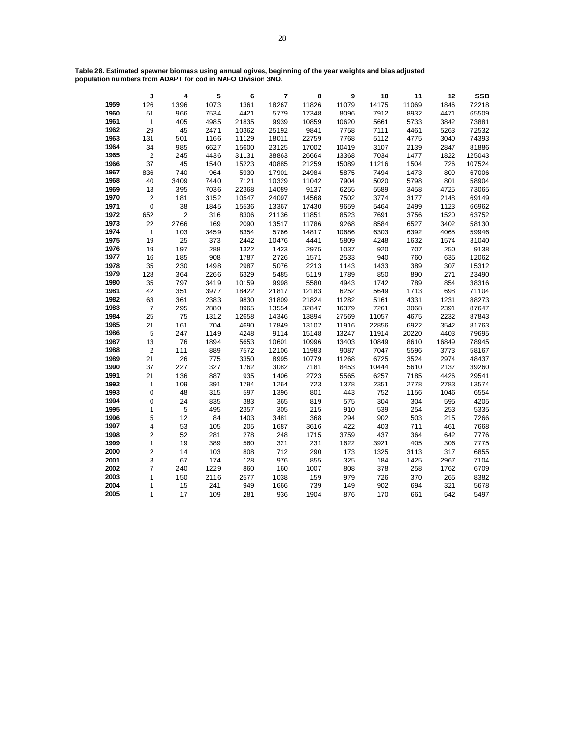**Table 28. Estimated spawner biomass using annual ogives, beginning of the year weights and bias adjusted population numbers from ADAPT for cod in NAFO Division 3NO.**

|      | $\overline{\mathbf{3}}$ | 4           | 5    | $6\phantom{1}$ | $\overline{7}$ | 8     | 9     | 10    | 11    | 12    | <b>SSB</b> |
|------|-------------------------|-------------|------|----------------|----------------|-------|-------|-------|-------|-------|------------|
| 1959 | 126                     | 1396        | 1073 | 1361           | 18267          | 11826 | 11079 | 14175 | 11069 | 1846  | 72218      |
| 1960 | 51                      | 966         | 7534 | 4421           | 5779           | 17348 | 8096  | 7912  | 8932  | 4471  | 65509      |
| 1961 | $\overline{1}$          | 405         | 4985 | 21835          | 9939           | 10859 | 10620 | 5661  | 5733  | 3842  | 73881      |
| 1962 | 29                      | 45          | 2471 | 10362          | 25192          | 9841  | 7758  | 7111  | 4461  | 5263  | 72532      |
| 1963 | 131                     | 501         | 1166 | 11129          | 18011          | 22759 | 7768  | 5112  | 4775  | 3040  | 74393      |
| 1964 | 34                      | 985         | 6627 | 15600          | 23125          | 17002 | 10419 | 3107  | 2139  | 2847  | 81886      |
| 1965 | $\overline{c}$          | 245         | 4436 | 31131          | 38863          | 26664 | 13368 | 7034  | 1477  | 1822  | 125043     |
| 1966 | 37                      | 45          | 1540 | 15223          | 40885          | 21259 | 15089 | 11216 | 1504  | 726   | 107524     |
| 1967 | 836                     | 740         | 964  | 5930           | 17901          | 24984 | 5875  | 7494  | 1473  | 809   | 67006      |
| 1968 | 40                      | 3409        | 7440 | 7121           | 10329          | 11042 | 7904  | 5020  | 5798  | 801   | 58904      |
| 1969 | 13                      | 395         | 7036 | 22368          | 14089          | 9137  | 6255  | 5589  | 3458  | 4725  | 73065      |
| 1970 | $\mathbf 2$             | 181         | 3152 | 10547          | 24097          | 14568 | 7502  | 3774  | 3177  | 2148  | 69149      |
| 1971 | $\mathbf 0$             | 38          | 1845 | 15536          | 13367          | 17430 | 9659  | 5464  | 2499  | 1123  | 66962      |
| 1972 | 652                     | $\mathbf 2$ | 316  | 8306           | 21136          | 11851 | 8523  | 7691  | 3756  | 1520  | 63752      |
| 1973 | 22                      | 2766        | 169  | 2090           | 13517          | 11786 | 9268  | 8584  | 6527  | 3402  | 58130      |
| 1974 | $\mathbf{1}$            | 103         | 3459 | 8354           | 5766           | 14817 | 10686 | 6303  | 6392  | 4065  | 59946      |
| 1975 | 19                      | 25          | 373  | 2442           | 10476          | 4441  | 5809  | 4248  | 1632  | 1574  | 31040      |
| 1976 | 19                      | 197         | 288  | 1322           | 1423           | 2975  | 1037  | 920   | 707   | 250   | 9138       |
| 1977 | 16                      | 185         | 908  | 1787           | 2726           | 1571  | 2533  | 940   | 760   | 635   | 12062      |
| 1978 | 35                      | 230         | 1498 | 2987           | 5076           | 2213  | 1143  | 1433  | 389   | 307   | 15312      |
| 1979 | 128                     | 364         | 2266 | 6329           | 5485           | 5119  | 1789  | 850   | 890   | 271   | 23490      |
| 1980 | 35                      | 797         | 3419 | 10159          | 9998           | 5580  | 4943  | 1742  | 789   | 854   | 38316      |
| 1981 | 42                      | 351         | 3977 | 18422          | 21817          | 12183 | 6252  | 5649  | 1713  | 698   | 71104      |
| 1982 | 63                      | 361         | 2383 | 9830           | 31809          | 21824 | 11282 | 5161  | 4331  | 1231  | 88273      |
| 1983 | $\overline{7}$          | 295         | 2880 | 8965           | 13554          | 32847 | 16379 | 7261  | 3068  | 2391  | 87647      |
| 1984 | 25                      | 75          | 1312 | 12658          | 14346          | 13894 | 27569 | 11057 | 4675  | 2232  | 87843      |
| 1985 | 21                      | 161         | 704  | 4690           | 17849          | 13102 | 11916 | 22856 | 6922  | 3542  | 81763      |
| 1986 | 5                       | 247         | 1149 | 4248           | 9114           | 15148 | 13247 | 11914 | 20220 | 4403  | 79695      |
| 1987 | 13                      | 76          | 1894 | 5653           | 10601          | 10996 | 13403 | 10849 | 8610  | 16849 | 78945      |
| 1988 | $\overline{c}$          | 111         | 889  | 7572           | 12106          | 11983 | 9087  | 7047  | 5596  | 3773  | 58167      |
| 1989 | 21                      | 26          | 775  | 3350           | 8995           | 10779 | 11268 | 6725  | 3524  | 2974  | 48437      |
| 1990 | 37                      | 227         | 327  | 1762           | 3082           | 7181  | 8453  | 10444 | 5610  | 2137  | 39260      |
| 1991 | 21                      | 136         | 887  | 935            | 1406           | 2723  | 5565  | 6257  | 7185  | 4426  | 29541      |
| 1992 | $\mathbf{1}$            | 109         | 391  | 1794           | 1264           | 723   | 1378  | 2351  | 2778  | 2783  | 13574      |
| 1993 | 0                       | 48          | 315  | 597            | 1396           | 801   | 443   | 752   | 1156  | 1046  | 6554       |
| 1994 | 0                       | 24          | 835  | 383            | 365            | 819   | 575   | 304   | 304   | 595   | 4205       |
| 1995 | 1                       | $\sqrt{5}$  | 495  | 2357           | 305            | 215   | 910   | 539   | 254   | 253   | 5335       |
| 1996 | 5                       | 12          | 84   | 1403           | 3481           | 368   | 294   | 902   | 503   | 215   | 7266       |
| 1997 | 4                       | 53          | 105  | 205            | 1687           | 3616  | 422   | 403   | 711   | 461   | 7668       |
| 1998 | 2                       | 52          | 281  | 278            | 248            | 1715  | 3759  | 437   | 364   | 642   | 7776       |
| 1999 | 1                       | 19          | 389  | 560            | 321            | 231   | 1622  | 3921  | 405   | 306   | 7775       |
| 2000 | $\overline{2}$          | 14          | 103  | 808            | 712            | 290   | 173   | 1325  | 3113  | 317   | 6855       |
| 2001 | 3                       | 67          | 174  | 128            | 976            | 855   | 325   | 184   | 1425  | 2967  | 7104       |
| 2002 | $\overline{7}$          | 240         | 1229 | 860            | 160            | 1007  | 808   | 378   | 258   | 1762  | 6709       |
| 2003 | 1                       | 150         | 2116 | 2577           | 1038           | 159   | 979   | 726   | 370   | 265   | 8382       |
| 2004 | 1                       | 15          | 241  | 949            | 1666           | 739   | 149   | 902   | 694   | 321   | 5678       |
| 2005 | 1                       | 17          | 109  | 281            | 936            | 1904  | 876   | 170   | 661   | 542   | 5497       |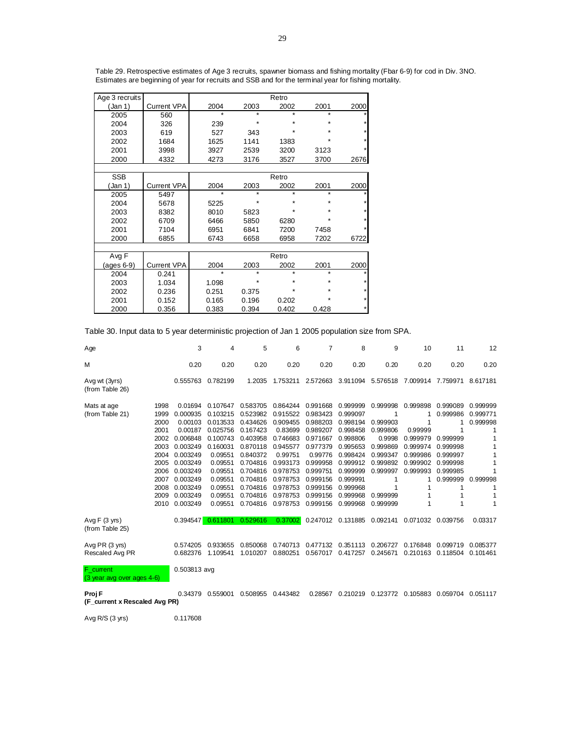| Age 3 recruits |                    | Rello   |         |         |         |         |  |  |
|----------------|--------------------|---------|---------|---------|---------|---------|--|--|
| (Jan 1)        | <b>Current VPA</b> | 2004    | 2003    | 2002    | 2001    | 2000    |  |  |
| 2005           | 560                | $\star$ |         | $\star$ | $\star$ |         |  |  |
| 2004           | 326                | 239     | *       | $\star$ | $\star$ | *       |  |  |
| 2003           | 619                | 527     | 343     | $\star$ | $\star$ | $\star$ |  |  |
| 2002           | 1684               | 1625    | 1141    | 1383    | $\star$ | $\star$ |  |  |
| 2001           | 3998               | 3927    | 2539    | 3200    | 3123    |         |  |  |
| 2000           | 4332               | 4273    | 3176    | 3527    | 3700    | 2676    |  |  |
|                |                    |         |         |         |         |         |  |  |
| <b>SSB</b>     |                    | Retro   |         |         |         |         |  |  |
| (Jan 1)        | <b>Current VPA</b> | 2004    | 2003    | 2002    | 2001    | 2000    |  |  |
| 2005           | 5497               | $\star$ | $\star$ | $\star$ | $\star$ |         |  |  |
| 2004           | 5678               | 5225    | *       | $\star$ | $\star$ |         |  |  |
| 2003           | 8382               | 8010    | 5823    | *       | $\star$ | $\star$ |  |  |
| 2002           | 6709               | 6466    | 5850    | 6280    | $\star$ | $\star$ |  |  |
| 2001           | 7104               | 6951    | 6841    | 7200    | 7458    |         |  |  |
| 2000           | 6855               | 6743    | 6658    | 6958    | 7202    | 6722    |  |  |
|                |                    |         |         |         |         |         |  |  |
| Avg F          |                    | Retro   |         |         |         |         |  |  |
| (ages 6-9)     | <b>Current VPA</b> | 2004    | 2003    | 2002    | 2001    | 2000    |  |  |
| 2004           | 0.241              | $\star$ | $\star$ | $\star$ | $\star$ |         |  |  |
| 2003           | 1.034              | 1.098   | *       | *       | $\star$ | $\star$ |  |  |
| 2002           | 0.236              | 0.251   | 0.375   | *       | $\star$ | $\star$ |  |  |
| 2001           | 0.152              | 0.165   | 0.196   | 0.202   | $\star$ | *       |  |  |
| 2000           | 0.356              | 0.383   | 0.394   | 0.402   | 0.428   | $\star$ |  |  |

Table 29. Retrospective estimates of Age 3 recruits, spawner biomass and fishing mortality (Fbar 6-9) for cod in Div. 3NO. Estimates are beginning of year for recruits and SSB and for the terminal year for fishing mortality.

Retro

Table 30. Input data to 5 year deterministic projection of Jan 1 2005 population size from SPA.

| Age                                     |      | 3            | 4        | 5        | 6        | 7        | 8                          | 9        | 10                | 11       | 12       |
|-----------------------------------------|------|--------------|----------|----------|----------|----------|----------------------------|----------|-------------------|----------|----------|
| М                                       |      | 0.20         | 0.20     | 0.20     | 0.20     | 0.20     | 0.20                       | 0.20     | 0.20              | 0.20     | 0.20     |
| Avg wt (3yrs)<br>(from Table 26)        |      | 0.555763     | 0.782199 | 1.2035   | 1.753211 | 2.572663 | 3.911094 5.576518          |          | 7.009914 7.759971 |          | 8.617181 |
| Mats at age                             | 1998 | 0.01694      | 0.107647 | 0.583705 | 0.864244 | 0.991668 | 0.999999                   | 0.999998 | 0.999898          | 0.999089 | 0.999999 |
| (from Table 21)                         | 1999 | 0.000935     | 0.103215 | 0.523982 | 0.915522 | 0.983423 | 0.999097                   |          |                   | 0.999986 | 0.999771 |
|                                         | 2000 | 0.00103      | 0.013533 | 0.434626 | 0.909455 | 0.988203 | 0.998194                   | 0.999903 |                   |          | 0.999998 |
|                                         | 2001 | 0.00187      | 0.025756 | 0.167423 | 0.83699  | 0.989207 | 0.998458                   | 0.999806 | 0.99999           |          |          |
|                                         | 2002 | 0.006848     | 0.100743 | 0.403958 | 0.746683 | 0.971667 | 0.998806                   | 0.9998   | 0.999979          | 0.999999 |          |
|                                         | 2003 | 0.003249     | 0.160031 | 0.870118 | 0.945577 | 0.977379 | 0.995653                   | 0.999869 | 0.999974          | 0.999998 | 1        |
|                                         | 2004 | 0.003249     | 0.09551  | 0.840372 | 0.99751  | 0.99776  | 0.998424                   | 0.999347 | 0.999986          | 0.999997 |          |
|                                         | 2005 | 0.003249     | 0.09551  | 0.704816 | 0.993173 | 0.999958 | 0.999912                   | 0.999892 | 0.999902          | 0.999998 |          |
|                                         | 2006 | 0.003249     | 0.09551  | 0.704816 | 0.978753 | 0.999751 | 0.999999                   | 0.999997 | 0.999993          | 0.999985 |          |
|                                         | 2007 | 0.003249     | 0.09551  | 0.704816 | 0.978753 | 0.999156 | 0.999991                   |          |                   | 0.999999 | 0.999998 |
|                                         | 2008 | 0.003249     | 0.09551  | 0.704816 | 0.978753 | 0.999156 | 0.999968                   |          |                   |          | 1        |
|                                         | 2009 | 0.003249     | 0.09551  | 0.704816 | 0.978753 | 0.999156 | 0.999968                   | 0.999999 |                   |          |          |
|                                         | 2010 | 0.003249     | 0.09551  | 0.704816 | 0.978753 | 0.999156 | 0.999968                   | 0.999999 |                   |          |          |
| Avg $F(3$ yrs)<br>(from Table 25)       |      | 0.394547     | 0.611801 | 0.529616 | 0.37002  |          | 0.247012 0.131885 0.092141 |          | 0.071032 0.039756 |          | 0.03317  |
| Avg PR (3 yrs)                          |      | 0.574205     | 0.933655 | 0.850068 | 0.740713 | 0.477132 | 0.351113                   | 0.206727 | 0.176848          | 0.099719 | 0.085377 |
| Rescaled Avg PR                         |      | 0.682376     | 1.109541 | 1.010207 | 0.880251 | 0.567017 | 0.417257                   | 0.245671 | 0.210163          | 0.118504 | 0.101461 |
| F_current<br>(3 year avg over ages 4-6) |      | 0.503813 avg |          |          |          |          |                            |          |                   |          |          |

**Proj F** 0.34379 0.559001 0.508955 0.443482 0.28567 0.210219 0.123772 0.105883 0.059704 0.051117 **(F\_current x Rescaled Avg PR)**

Avg R/S (3 yrs) 0.117608

 $\Delta$ ge  $\Omega$  recruits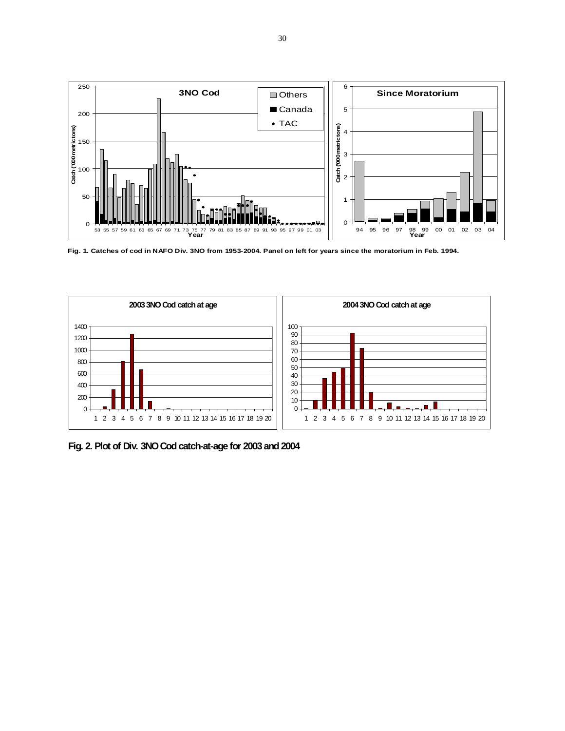

**Fig. 1. Catches of cod in NAFO Div. 3NO from 1953-2004. Panel on left for years since the moratorium in Feb. 1994.**



**Fig. 2. Plot of Div. 3NO Cod catch-at-age for 2003 and 2004**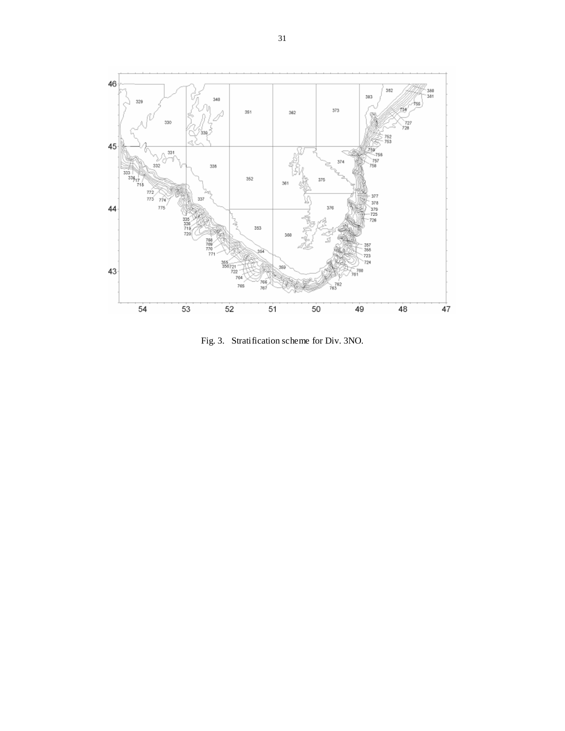

Fig. 3. Stratification scheme for Div. 3NO.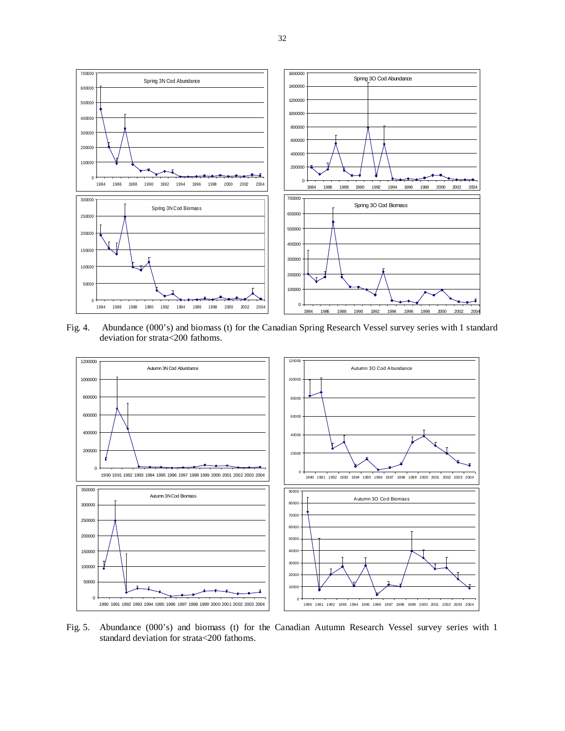

Fig. 4. Abundance (000's) and biomass (t) for the Canadian Spring Research Vessel survey series with 1 standard deviation for strata<200 fathoms.



Fig. 5. Abundance (000's) and biomass (t) for the Canadian Autumn Research Vessel survey series with 1 standard deviation for strata<200 fathoms.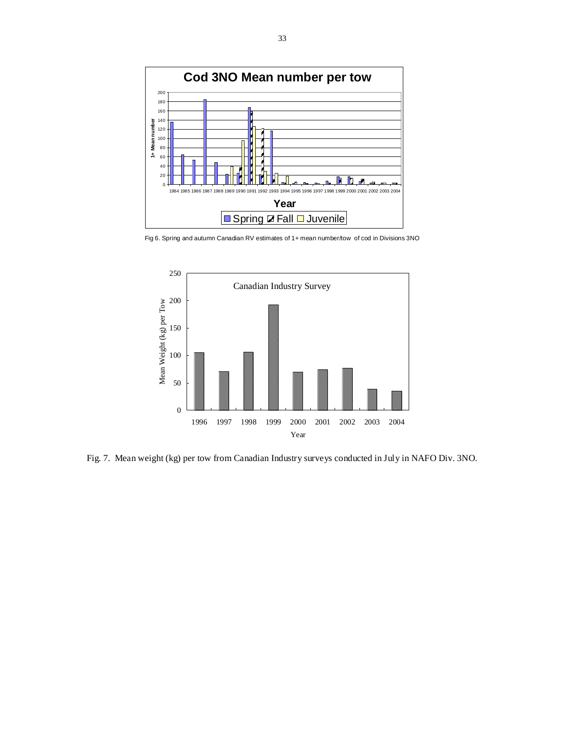

Fig 6. Spring and autumn Canadian RV estimates of 1+ mean number/tow of cod in Divisions 3NO



Fig. 7. Mean weight (kg) per tow from Canadian Industry surveys conducted in July in NAFO Div. 3NO.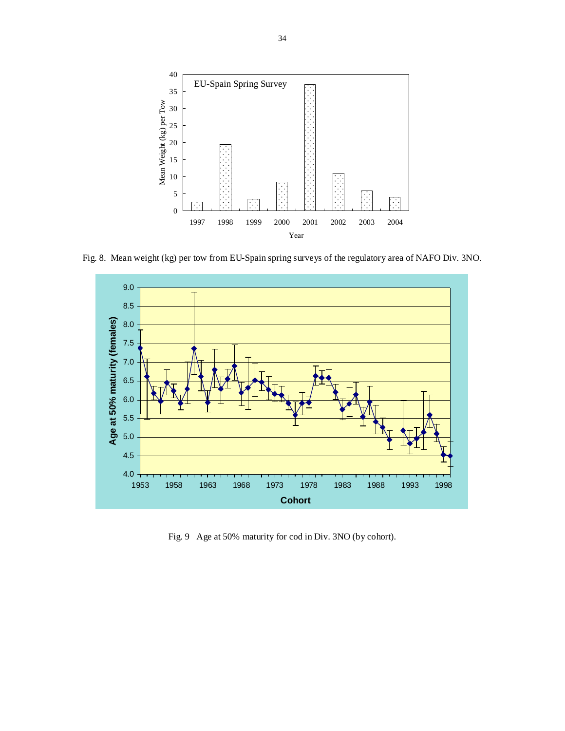

Fig. 8. Mean weight (kg) per tow from EU-Spain spring surveys of the regulatory area of NAFO Div. 3NO.



Fig. 9 Age at 50% maturity for cod in Div. 3NO (by cohort).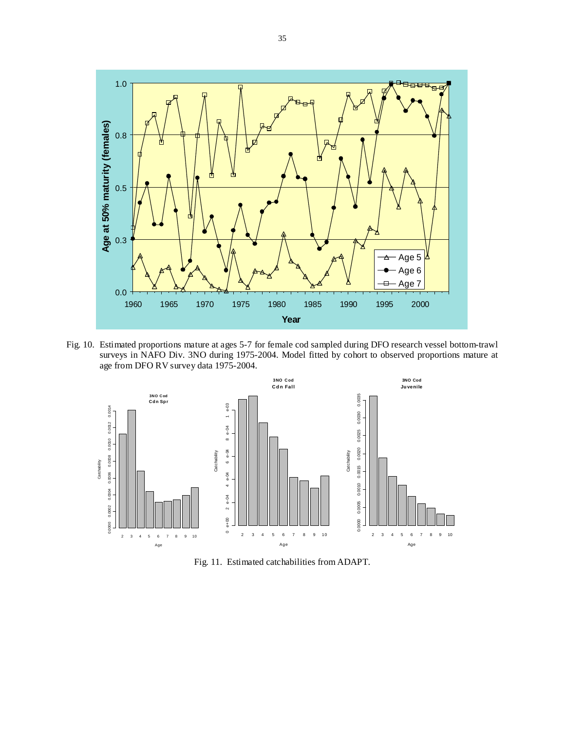

Fig. 10. Estimated proportions mature at ages 5-7 for female cod sampled during DFO research vessel bottom-trawl surveys in NAFO Div. 3NO during 1975-2004. Model fitted by cohort to observed proportions mature at age from DFO RV survey data 1975-2004.



Fig. 11. Estimated catchabilities from ADAPT.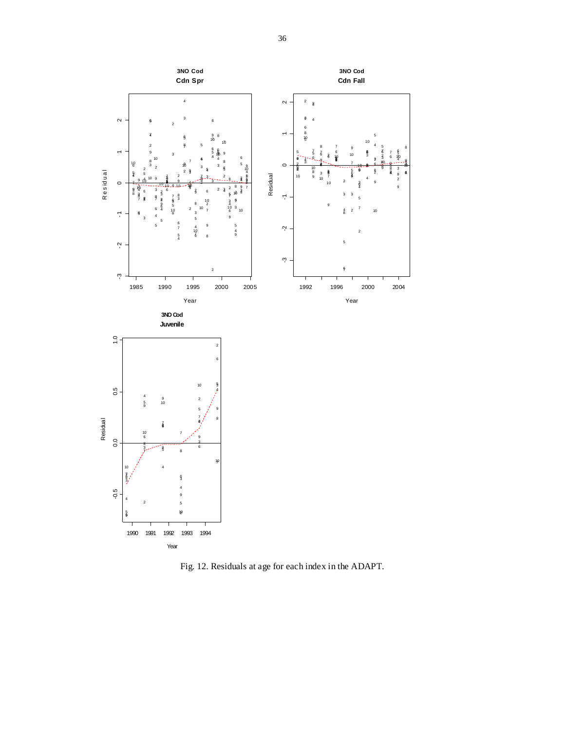

Fig. 12. Residuals at age for each index in the ADAPT.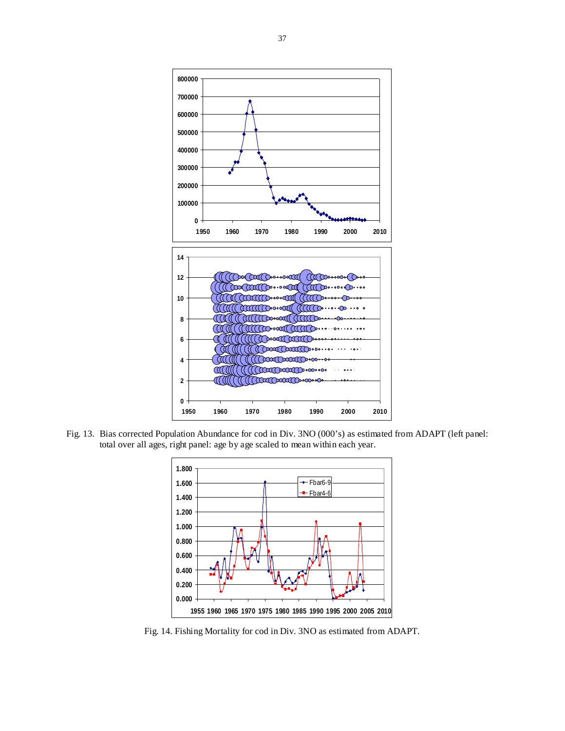

Fig. 13. Bias corrected Population Abundance for cod in Div. 3NO (000's) as estimated from ADAPT (left panel: total over all ages, right panel: age by age scaled to mean within each year.



Fig. 14. Fishing Mortality for cod in Div. 3NO as estimated from ADAPT.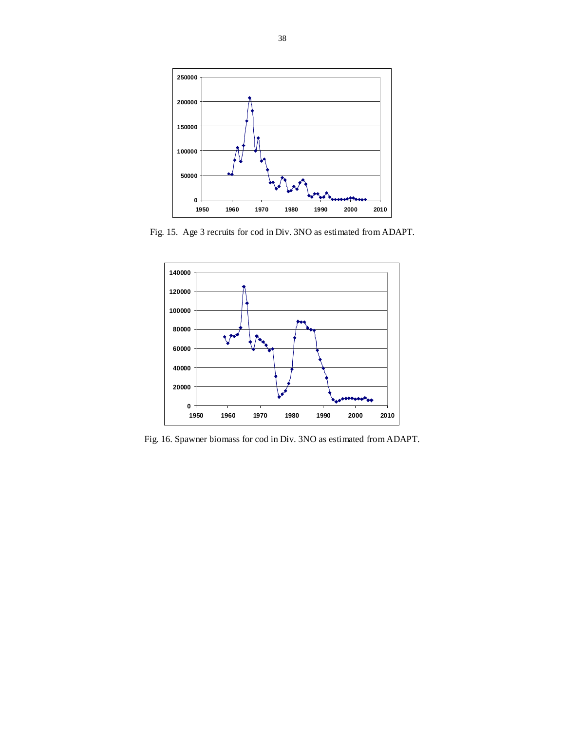

Fig. 15. Age 3 recruits for cod in Div. 3NO as estimated from ADAPT.



Fig. 16. Spawner biomass for cod in Div. 3NO as estimated from ADAPT.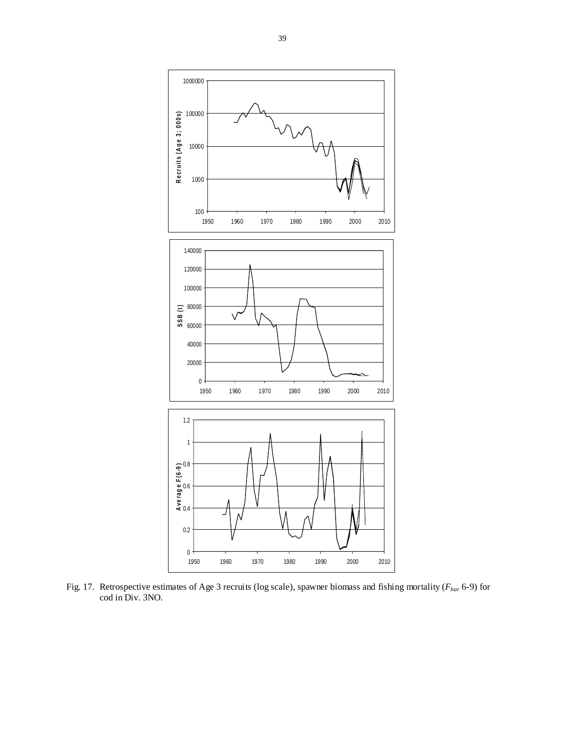

Fig. 17. Retrospective estimates of Age 3 recruits (log scale), spawner biomass and fishing mortality ( $F_{bar}$  6-9) for cod in Div. 3NO.